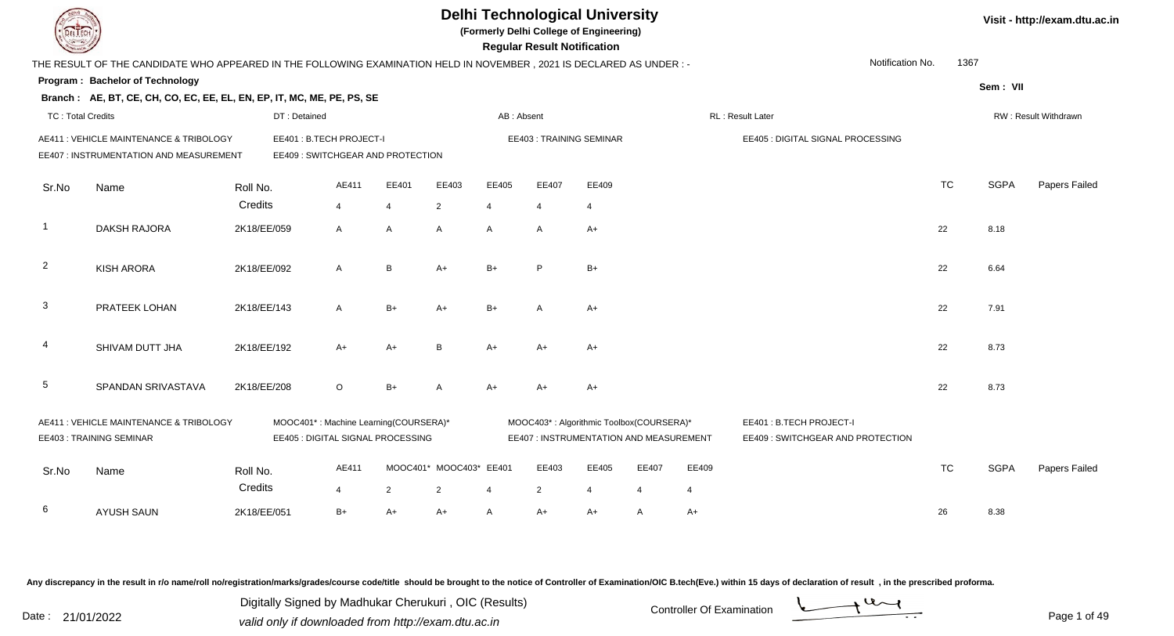|                          |                                                                                                                        |                     |                                                                            |                         |                |                              |                | <b>Regular Result Notification</b> | <b>Delhi Technological University</b><br>(Formerly Delhi College of Engineering)    |            |                         |                                                              |                  |      |             | Visit - http://exam.dtu.ac.in |
|--------------------------|------------------------------------------------------------------------------------------------------------------------|---------------------|----------------------------------------------------------------------------|-------------------------|----------------|------------------------------|----------------|------------------------------------|-------------------------------------------------------------------------------------|------------|-------------------------|--------------------------------------------------------------|------------------|------|-------------|-------------------------------|
|                          | THE RESULT OF THE CANDIDATE WHO APPEARED IN THE FOLLOWING EXAMINATION HELD IN NOVEMBER , 2021 IS DECLARED AS UNDER : - |                     |                                                                            |                         |                |                              |                |                                    |                                                                                     |            |                         |                                                              | Notification No. | 1367 |             |                               |
|                          | <b>Program: Bachelor of Technology</b>                                                                                 |                     |                                                                            |                         |                |                              |                |                                    |                                                                                     |            |                         |                                                              |                  |      | Sem: VII    |                               |
|                          | Branch: AE, BT, CE, CH, CO, EC, EE, EL, EN, EP, IT, MC, ME, PE, PS, SE                                                 |                     |                                                                            |                         |                |                              |                |                                    |                                                                                     |            |                         |                                                              |                  |      |             |                               |
| <b>TC: Total Credits</b> |                                                                                                                        |                     | DT: Detained                                                               |                         |                |                              | AB: Absent     |                                    |                                                                                     |            |                         | RL: Result Later                                             |                  |      |             | RW: Result Withdrawn          |
|                          | AE411 : VEHICLE MAINTENANCE & TRIBOLOGY<br>EE407 : INSTRUMENTATION AND MEASUREMENT                                     |                     | EE401: B.TECH PROJECT-I<br>EE409 : SWITCHGEAR AND PROTECTION               |                         |                |                              |                | EE403: TRAINING SEMINAR            |                                                                                     |            |                         | EE405 : DIGITAL SIGNAL PROCESSING                            |                  |      |             |                               |
| Sr.No                    | Name                                                                                                                   | Roll No.            |                                                                            | AE411                   | EE401          | EE403                        | EE405          | EE407                              | EE409                                                                               |            |                         |                                                              | <b>TC</b>        |      | <b>SGPA</b> | Papers Failed                 |
|                          |                                                                                                                        | Credits             |                                                                            | 4                       | $\overline{4}$ | $\overline{2}$               | $\overline{4}$ | $\overline{4}$                     | 4                                                                                   |            |                         |                                                              |                  |      |             |                               |
| $\overline{1}$           | <b>DAKSH RAJORA</b>                                                                                                    | 2K18/EE/059         |                                                                            | A                       | A              | A                            | $\overline{A}$ | $\overline{A}$                     | $A+$                                                                                |            |                         |                                                              | 22               |      | 8.18        |                               |
| $\overline{2}$           | <b>KISH ARORA</b>                                                                                                      | 2K18/EE/092         |                                                                            | A                       | B              | $A+$                         | $B+$           | P                                  | $B+$                                                                                |            |                         |                                                              | 22               |      | 6.64        |                               |
| 3                        | PRATEEK LOHAN                                                                                                          | 2K18/EE/143         |                                                                            | A                       | $B+$           | A+                           | $B+$           | A                                  | $A+$                                                                                |            |                         |                                                              | 22               |      | 7.91        |                               |
| 4                        | SHIVAM DUTT JHA                                                                                                        | 2K18/EE/192         |                                                                            | A+                      | $A+$           | B                            | $A+$           | $A+$                               | $A+$                                                                                |            |                         |                                                              | 22               |      | 8.73        |                               |
| 5                        | SPANDAN SRIVASTAVA                                                                                                     | 2K18/EE/208         |                                                                            | $\circ$                 | $B+$           | А                            | $A+$           | $A+$                               | $A+$                                                                                |            |                         |                                                              | 22               |      | 8.73        |                               |
|                          | AE411 : VEHICLE MAINTENANCE & TRIBOLOGY<br>EE403: TRAINING SEMINAR                                                     |                     | MOOC401*: Machine Learning(COURSERA)*<br>EE405 : DIGITAL SIGNAL PROCESSING |                         |                |                              |                |                                    | MOOC403*: Algorithmic Toolbox(COURSERA)*<br>EE407 : INSTRUMENTATION AND MEASUREMENT |            |                         | EE401: B.TECH PROJECT-I<br>EE409 : SWITCHGEAR AND PROTECTION |                  |      |             |                               |
| Sr.No                    | Name                                                                                                                   | Roll No.<br>Credits |                                                                            | AE411<br>$\overline{4}$ | $\overline{2}$ | MOOC401* MOOC403* EE401<br>2 | 4              | EE403<br>2                         | EE405<br>$\overline{4}$                                                             | EE407<br>4 | EE409<br>$\overline{4}$ |                                                              | <b>TC</b>        |      | <b>SGPA</b> | Papers Failed                 |
| 6                        | <b>AYUSH SAUN</b>                                                                                                      | 2K18/EE/051         |                                                                            | $B+$                    | $A+$           | A+                           | A              | A+                                 | $A+$                                                                                | A          | $A+$                    |                                                              | 26               |      | 8.38        |                               |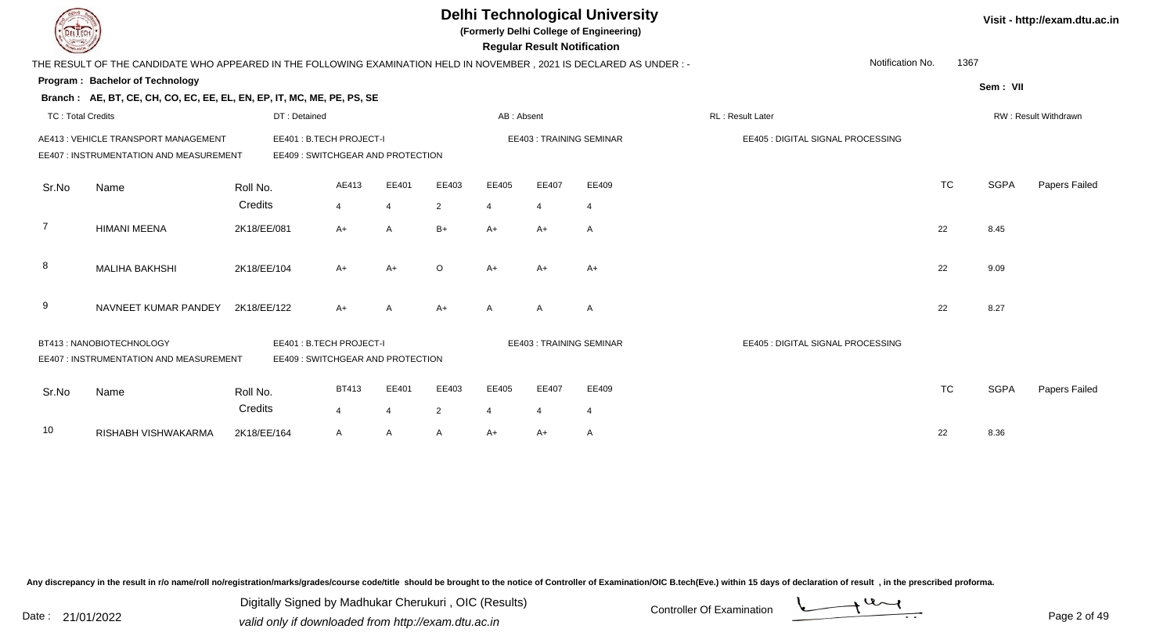| LI ECH                   |                                                                                                                        |             |                                                              |              |                |                |                       | <b>Regular Result Notification</b> | <b>Delhi Technological University</b><br>(Formerly Delhi College of Engineering) |                                   |                  |           |             | Visit - http://exam.dtu.ac.in |
|--------------------------|------------------------------------------------------------------------------------------------------------------------|-------------|--------------------------------------------------------------|--------------|----------------|----------------|-----------------------|------------------------------------|----------------------------------------------------------------------------------|-----------------------------------|------------------|-----------|-------------|-------------------------------|
|                          | THE RESULT OF THE CANDIDATE WHO APPEARED IN THE FOLLOWING EXAMINATION HELD IN NOVEMBER , 2021 IS DECLARED AS UNDER : - |             |                                                              |              |                |                |                       |                                    |                                                                                  |                                   | Notification No. | 1367      |             |                               |
|                          | <b>Program: Bachelor of Technology</b>                                                                                 |             |                                                              |              |                |                |                       |                                    |                                                                                  |                                   |                  |           | Sem: VII    |                               |
|                          | Branch: AE, BT, CE, CH, CO, EC, EE, EL, EN, EP, IT, MC, ME, PE, PS, SE                                                 |             |                                                              |              |                |                |                       |                                    |                                                                                  |                                   |                  |           |             |                               |
| <b>TC: Total Credits</b> |                                                                                                                        |             | DT: Detained                                                 |              |                |                | AB: Absent            |                                    |                                                                                  | RL: Result Later                  |                  |           |             | RW: Result Withdrawn          |
|                          | AE413 : VEHICLE TRANSPORT MANAGEMENT<br>EE407 : INSTRUMENTATION AND MEASUREMENT                                        |             | EE401: B.TECH PROJECT-I<br>EE409 : SWITCHGEAR AND PROTECTION |              |                |                |                       |                                    | EE403: TRAINING SEMINAR                                                          | EE405 : DIGITAL SIGNAL PROCESSING |                  |           |             |                               |
| Sr.No                    | Name                                                                                                                   | Roll No.    |                                                              | AE413        | EE401          | EE403          | EE405                 | EE407                              | EE409                                                                            |                                   |                  | <b>TC</b> | <b>SGPA</b> | Papers Failed                 |
|                          |                                                                                                                        | Credits     | 4                                                            |              | 4              | $\overline{2}$ | $\boldsymbol{\Delta}$ | $\overline{4}$                     | $\overline{4}$                                                                   |                                   |                  |           |             |                               |
| 7                        | <b>HIMANI MEENA</b>                                                                                                    | 2K18/EE/081 | $A+$                                                         |              | A              | $B+$           | $A+$                  | $A+$                               | A                                                                                |                                   | 22               |           | 8.45        |                               |
| 8                        | <b>MALIHA BAKHSHI</b>                                                                                                  | 2K18/EE/104 | A+                                                           |              | A+             | $\circ$        | $A+$                  | $A+$                               | $A+$                                                                             |                                   | 22               |           | 9.09        |                               |
| 9                        | NAVNEET KUMAR PANDEY                                                                                                   | 2K18/EE/122 | $A+$                                                         |              | A              | $A+$           | A                     | A                                  | A                                                                                |                                   | 22               |           | 8.27        |                               |
|                          | BT413: NANOBIOTECHNOLOGY<br>EE407 : INSTRUMENTATION AND MEASUREMENT                                                    |             | EE401: B.TECH PROJECT-I<br>EE409 : SWITCHGEAR AND PROTECTION |              |                |                |                       |                                    | <b>EE403: TRAINING SEMINAR</b>                                                   | EE405 : DIGITAL SIGNAL PROCESSING |                  |           |             |                               |
| Sr.No                    | Name                                                                                                                   | Roll No.    |                                                              | <b>BT413</b> | EE401          | EE403          | EE405                 | EE407                              | EE409                                                                            |                                   |                  | <b>TC</b> | <b>SGPA</b> | Papers Failed                 |
|                          |                                                                                                                        | Credits     | $\overline{4}$                                               |              | $\overline{4}$ | $\overline{2}$ | $\boldsymbol{\Delta}$ |                                    | $\overline{4}$                                                                   |                                   |                  |           |             |                               |
| 10                       | RISHABH VISHWAKARMA                                                                                                    | 2K18/EE/164 | A                                                            |              | A              | A              | $A+$                  | $A+$                               | $\mathsf{A}$                                                                     |                                   | 22               |           | 8.36        |                               |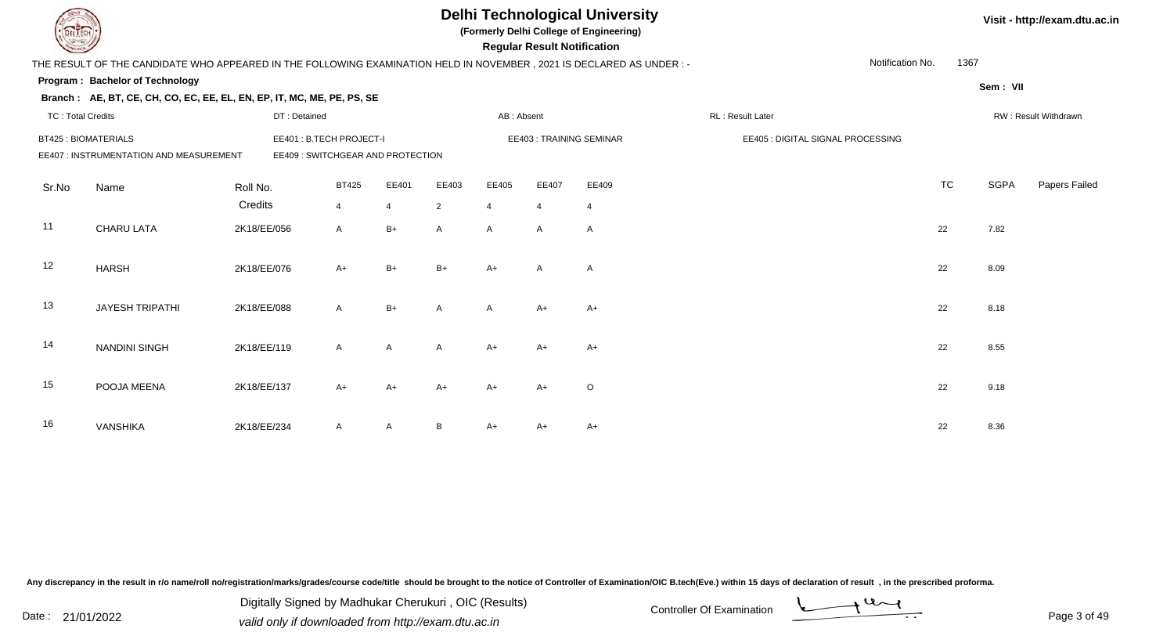|                            |                                                                                                                      |             |                                  |                |                |              | <b>Regular Result Notification</b> | <b>Delhi Technological University</b><br>(Formerly Delhi College of Engineering) |                                   |                  |           |             | Visit - http://exam.dtu.ac.in |
|----------------------------|----------------------------------------------------------------------------------------------------------------------|-------------|----------------------------------|----------------|----------------|--------------|------------------------------------|----------------------------------------------------------------------------------|-----------------------------------|------------------|-----------|-------------|-------------------------------|
|                            | THE RESULT OF THE CANDIDATE WHO APPEARED IN THE FOLLOWING EXAMINATION HELD IN NOVEMBER, 2021 IS DECLARED AS UNDER :- |             |                                  |                |                |              |                                    |                                                                                  |                                   | Notification No. | 1367      |             |                               |
|                            | Program: Bachelor of Technology                                                                                      |             |                                  |                |                |              |                                    |                                                                                  |                                   |                  |           | Sem: VII    |                               |
|                            | Branch: AE, BT, CE, CH, CO, EC, EE, EL, EN, EP, IT, MC, ME, PE, PS, SE                                               |             |                                  |                |                |              |                                    |                                                                                  |                                   |                  |           |             |                               |
| <b>TC: Total Credits</b>   |                                                                                                                      |             | DT: Detained                     |                |                | AB: Absent   |                                    |                                                                                  | RL: Result Later                  |                  |           |             | RW: Result Withdrawn          |
| <b>BT425: BIOMATERIALS</b> |                                                                                                                      |             | EE401: B.TECH PROJECT-I          |                |                |              |                                    | EE403: TRAINING SEMINAR                                                          | EE405 : DIGITAL SIGNAL PROCESSING |                  |           |             |                               |
|                            | EE407 : INSTRUMENTATION AND MEASUREMENT                                                                              |             | EE409: SWITCHGEAR AND PROTECTION |                |                |              |                                    |                                                                                  |                                   |                  |           |             |                               |
| Sr.No                      | Name                                                                                                                 | Roll No.    | <b>BT425</b>                     | EE401          | EE403          | EE405        | EE407                              | EE409                                                                            |                                   |                  | <b>TC</b> | <b>SGPA</b> | Papers Failed                 |
|                            |                                                                                                                      | Credits     | $\overline{4}$                   | $\overline{4}$ | $\overline{2}$ | 4            | $\overline{4}$                     | $\overline{4}$                                                                   |                                   |                  |           |             |                               |
| 11                         | CHARU LATA                                                                                                           | 2K18/EE/056 | $\mathsf{A}$                     | $B+$           | A              | $\mathsf{A}$ | A                                  | A                                                                                |                                   |                  | 22        | 7.82        |                               |
| 12                         | <b>HARSH</b>                                                                                                         | 2K18/EE/076 | A+                               | $B+$           | $B+$           | $A+$         | $\overline{A}$                     | $\mathsf{A}$                                                                     |                                   |                  | 22        | 8.09        |                               |
| 13                         | <b>JAYESH TRIPATHI</b>                                                                                               | 2K18/EE/088 | $\mathsf{A}$                     | $B+$           | A              | A            | $A+$                               | $A+$                                                                             |                                   |                  | 22        | 8.18        |                               |
| 14                         | <b>NANDINI SINGH</b>                                                                                                 | 2K18/EE/119 | $\mathsf{A}$                     | A              | $\mathsf{A}$   | $A+$         | $A+$                               | A+                                                                               |                                   |                  | 22        | 8.55        |                               |
| 15                         | POOJA MEENA                                                                                                          | 2K18/EE/137 | $A+$                             | $A+$           | A+             | $A+$         | $A+$                               | $\circ$                                                                          |                                   |                  | 22        | 9.18        |                               |
| 16                         | <b>VANSHIKA</b>                                                                                                      | 2K18/EE/234 | A                                | A              | B              | $A+$         | A+                                 | $A+$                                                                             |                                   |                  | 22        | 8.36        |                               |

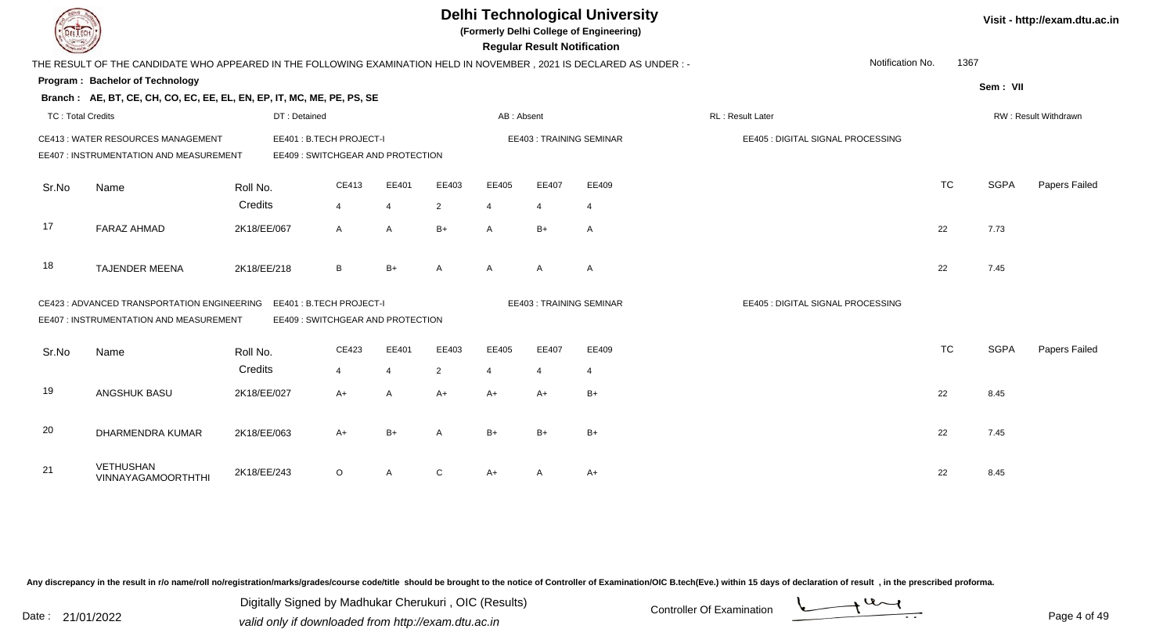| <b>DELTECH</b>           |                                                                                                                      |              |                                                               |                |                |                       |       | <b>Delhi Technological University</b><br>(Formerly Delhi College of Engineering)<br><b>Regular Result Notification</b> |                                   |           |             | Visit - http://exam.dtu.ac.in |
|--------------------------|----------------------------------------------------------------------------------------------------------------------|--------------|---------------------------------------------------------------|----------------|----------------|-----------------------|-------|------------------------------------------------------------------------------------------------------------------------|-----------------------------------|-----------|-------------|-------------------------------|
|                          | THE RESULT OF THE CANDIDATE WHO APPEARED IN THE FOLLOWING EXAMINATION HELD IN NOVEMBER, 2021 IS DECLARED AS UNDER :- |              |                                                               |                |                |                       |       |                                                                                                                        | Notification No.                  | 1367      |             |                               |
|                          | Program: Bachelor of Technology                                                                                      |              |                                                               |                |                |                       |       |                                                                                                                        |                                   |           | Sem: VII    |                               |
|                          | Branch: AE, BT, CE, CH, CO, EC, EE, EL, EN, EP, IT, MC, ME, PE, PS, SE                                               |              |                                                               |                |                |                       |       |                                                                                                                        |                                   |           |             |                               |
| <b>TC: Total Credits</b> |                                                                                                                      | DT: Detained |                                                               |                |                | AB: Absent            |       |                                                                                                                        | RL: Result Later                  |           |             | RW: Result Withdrawn          |
|                          | CE413: WATER RESOURCES MANAGEMENT<br>EE407 : INSTRUMENTATION AND MEASUREMENT                                         |              | EE401 : B.TECH PROJECT-I<br>EE409 : SWITCHGEAR AND PROTECTION |                |                |                       |       | EE403: TRAINING SEMINAR                                                                                                | EE405 : DIGITAL SIGNAL PROCESSING |           |             |                               |
| Sr.No                    | Name                                                                                                                 | Roll No.     | CE413                                                         | EE401          | EE403          | EE405                 | EE407 | EE409                                                                                                                  |                                   | <b>TC</b> | <b>SGPA</b> | Papers Failed                 |
|                          |                                                                                                                      | Credits      | $\overline{4}$                                                | $\overline{4}$ | $\overline{2}$ | $\overline{4}$        |       | $\overline{4}$                                                                                                         |                                   |           |             |                               |
| 17                       | <b>FARAZ AHMAD</b>                                                                                                   | 2K18/EE/067  | $\overline{A}$                                                | A              | $B+$           | A                     | $B+$  | A                                                                                                                      |                                   | 22        | 7.73        |                               |
| 18                       | <b>TAJENDER MEENA</b>                                                                                                | 2K18/EE/218  | B                                                             | $B+$           | A              | A                     | A     | $\mathsf{A}$                                                                                                           |                                   | 22        | 7.45        |                               |
|                          | CE423 : ADVANCED TRANSPORTATION ENGINEERING<br>EE407 : INSTRUMENTATION AND MEASUREMENT                               |              | EE401: B.TECH PROJECT-I<br>EE409 : SWITCHGEAR AND PROTECTION  |                |                |                       |       | <b>EE403: TRAINING SEMINAR</b>                                                                                         | EE405 : DIGITAL SIGNAL PROCESSING |           |             |                               |
| Sr.No                    | Name                                                                                                                 | Roll No.     | CE423                                                         | EE401          | EE403          | EE405                 | EE407 | EE409                                                                                                                  |                                   | <b>TC</b> | <b>SGPA</b> | Papers Failed                 |
|                          |                                                                                                                      | Credits      | $\overline{4}$                                                | $\overline{4}$ | $\overline{2}$ | $\boldsymbol{\Delta}$ |       | $\overline{4}$                                                                                                         |                                   |           |             |                               |
| 19                       | ANGSHUK BASU                                                                                                         | 2K18/EE/027  | $A+$                                                          | $\overline{A}$ | $A+$           | $A+$                  | $A+$  | $B+$                                                                                                                   |                                   | 22        | 8.45        |                               |
| 20                       | DHARMENDRA KUMAR                                                                                                     | 2K18/EE/063  | $A+$                                                          | $B+$           | $\mathsf{A}$   | $B+$                  | $B+$  | $B+$                                                                                                                   |                                   | 22        | 7.45        |                               |
| 21                       | <b>VETHUSHAN</b><br>VINNAYAGAMOORTHTHI                                                                               | 2K18/EE/243  | $\circ$                                                       | A              | $\mathsf{C}$   | A+                    |       | $A+$                                                                                                                   |                                   | 22        | 8.45        |                               |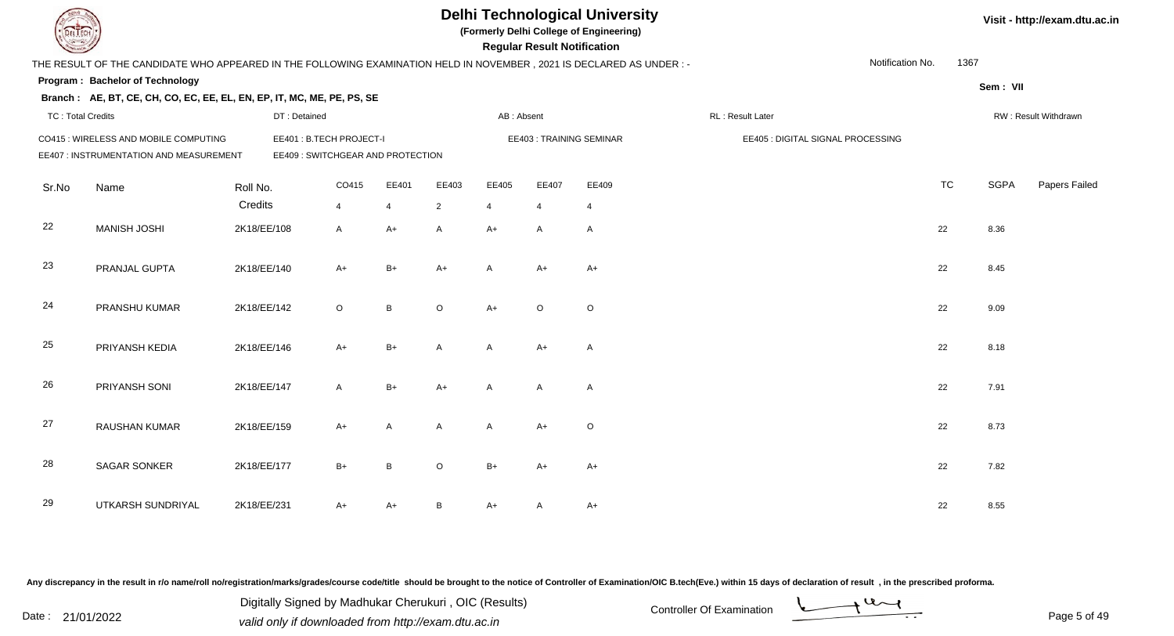|                          |                                                                                                                      |             |                                                             |                |                |                |              | <b>Regular Result Notification</b> | <b>Delhi Technological University</b><br>(Formerly Delhi College of Engineering) |                  |                                   |           |             | Visit - http://exam.dtu.ac.in |
|--------------------------|----------------------------------------------------------------------------------------------------------------------|-------------|-------------------------------------------------------------|----------------|----------------|----------------|--------------|------------------------------------|----------------------------------------------------------------------------------|------------------|-----------------------------------|-----------|-------------|-------------------------------|
|                          | THE RESULT OF THE CANDIDATE WHO APPEARED IN THE FOLLOWING EXAMINATION HELD IN NOVEMBER, 2021 IS DECLARED AS UNDER :- |             |                                                             |                |                |                |              |                                    |                                                                                  |                  | Notification No.                  | 1367      |             |                               |
|                          | Program: Bachelor of Technology                                                                                      |             |                                                             |                |                |                |              |                                    |                                                                                  |                  |                                   |           | Sem: VII    |                               |
|                          | Branch: AE, BT, CE, CH, CO, EC, EE, EL, EN, EP, IT, MC, ME, PE, PS, SE                                               |             |                                                             |                |                |                |              |                                    |                                                                                  |                  |                                   |           |             |                               |
| <b>TC: Total Credits</b> |                                                                                                                      |             | DT: Detained                                                |                |                |                | AB: Absent   |                                    |                                                                                  | RL: Result Later |                                   |           |             | RW: Result Withdrawn          |
|                          | CO415 : WIRELESS AND MOBILE COMPUTING<br>EE407 : INSTRUMENTATION AND MEASUREMENT                                     |             | EE401: B.TECH PROJECT-I<br>EE409: SWITCHGEAR AND PROTECTION |                |                |                |              |                                    | EE403: TRAINING SEMINAR                                                          |                  | EE405 : DIGITAL SIGNAL PROCESSING |           |             |                               |
| Sr.No                    | Name                                                                                                                 | Roll No.    |                                                             | CO415          | EE401          | EE403          | EE405        | EE407                              | EE409                                                                            |                  |                                   | <b>TC</b> | <b>SGPA</b> | Papers Failed                 |
|                          |                                                                                                                      | Credits     |                                                             | $\overline{4}$ | $\overline{4}$ | $\overline{2}$ | 4            | 4                                  | $\overline{4}$                                                                   |                  |                                   |           |             |                               |
| 22                       | <b>MANISH JOSHI</b>                                                                                                  | 2K18/EE/108 |                                                             | $\mathsf{A}$   | $A+$           | A              | $A+$         | A                                  | $\mathsf{A}$                                                                     |                  |                                   | 22        | 8.36        |                               |
| 23                       | PRANJAL GUPTA                                                                                                        | 2K18/EE/140 |                                                             | $A+$           | $B+$           | $A+$           | $\mathsf{A}$ | $A+$                               | $A+$                                                                             |                  |                                   | 22        | 8.45        |                               |
| 24                       | PRANSHU KUMAR                                                                                                        | 2K18/EE/142 |                                                             | $\circ$        | $\, {\bf B}$   | $\circ$        | $A+$         | $\Omega$                           | $\mathsf O$                                                                      |                  |                                   | 22        | 9.09        |                               |
| 25                       | PRIYANSH KEDIA                                                                                                       | 2K18/EE/146 |                                                             | $A+$           | $B+$           | A              | $\mathsf{A}$ | $A+$                               | $\mathsf{A}$                                                                     |                  |                                   | 22        | 8.18        |                               |
| 26                       | PRIYANSH SONI                                                                                                        | 2K18/EE/147 |                                                             | $\mathsf{A}$   | $B+$           | $A+$           | $\mathsf{A}$ | $\mathsf{A}$                       | A                                                                                |                  |                                   | 22        | 7.91        |                               |
| 27                       | RAUSHAN KUMAR                                                                                                        | 2K18/EE/159 |                                                             | $A+$           | A              | $\overline{A}$ | $\mathsf{A}$ | $A+$                               | $\mathsf O$                                                                      |                  |                                   | 22        | 8.73        |                               |
| 28                       | <b>SAGAR SONKER</b>                                                                                                  | 2K18/EE/177 |                                                             | $B+$           | $\mathsf B$    | O              | $B+$         | A+                                 | $A+$                                                                             |                  |                                   | 22        | 7.82        |                               |
| 29                       | UTKARSH SUNDRIYAL                                                                                                    | 2K18/EE/231 |                                                             | $A+$           | $A+$           | B              | $A+$         | A                                  | $A+$                                                                             |                  |                                   | 22        | 8.55        |                               |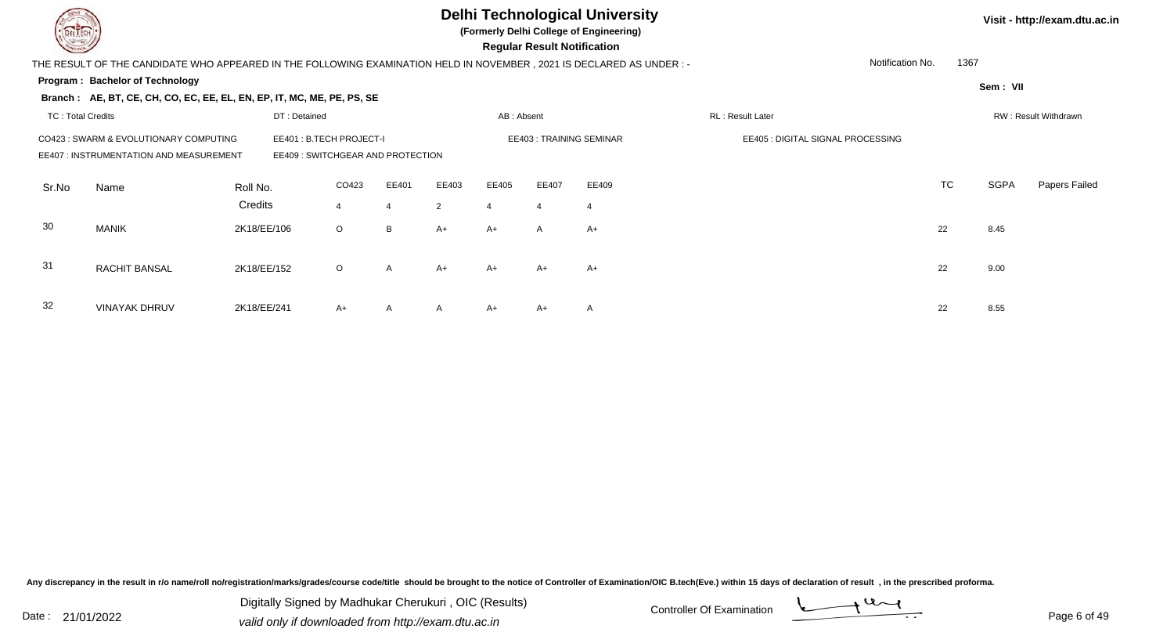**(Formerly Delhi College of Engineering)**

 **Regular Result Notification**

| $\sim$                   |                                                                                                                     |             |                                   |         |       |              |            | <b>Regular Result Notification</b> |       |                                   |                  |           |          |                      |
|--------------------------|---------------------------------------------------------------------------------------------------------------------|-------------|-----------------------------------|---------|-------|--------------|------------|------------------------------------|-------|-----------------------------------|------------------|-----------|----------|----------------------|
|                          | THE RESULT OF THE CANDIDATE WHO APPEARED IN THE FOLLOWING EXAMINATION HELD IN NOVEMBER, 2021 IS DECLARED AS UNDER:- |             |                                   |         |       |              |            |                                    |       |                                   | Notification No. | 1367      |          |                      |
|                          | Program: Bachelor of Technology                                                                                     |             |                                   |         |       |              |            |                                    |       |                                   |                  |           | Sem: VII |                      |
|                          | Branch: AE, BT, CE, CH, CO, EC, EE, EL, EN, EP, IT, MC, ME, PE, PS, SE                                              |             |                                   |         |       |              |            |                                    |       |                                   |                  |           |          |                      |
| <b>TC: Total Credits</b> |                                                                                                                     |             | DT: Detained                      |         |       |              | AB: Absent |                                    |       | RL: Result Later                  |                  |           |          | RW: Result Withdrawn |
|                          | CO423 : SWARM & EVOLUTIONARY COMPUTING                                                                              |             | EE401: B.TECH PROJECT-I           |         |       |              |            | EE403: TRAINING SEMINAR            |       | EE405 : DIGITAL SIGNAL PROCESSING |                  |           |          |                      |
|                          | EE407 : INSTRUMENTATION AND MEASUREMENT                                                                             |             | EE409 : SWITCHGEAR AND PROTECTION |         |       |              |            |                                    |       |                                   |                  |           |          |                      |
| Sr.No                    | Name                                                                                                                | Roll No.    |                                   | CO423   | EE401 | EE403        | EE405      | EE407                              | EE409 |                                   |                  | <b>TC</b> | SGPA     | Papers Failed        |
|                          |                                                                                                                     | Credits     |                                   | 4       | 4     | 2            | 4          | $\overline{4}$                     | 4     |                                   |                  |           |          |                      |
| 30                       | MANIK                                                                                                               | 2K18/EE/106 |                                   | $\circ$ | B     | $A+$         | A+         | A                                  | $A+$  |                                   |                  | 22        | 8.45     |                      |
|                          |                                                                                                                     |             |                                   |         |       |              |            |                                    |       |                                   |                  |           |          |                      |
| 31                       | <b>RACHIT BANSAL</b>                                                                                                | 2K18/EE/152 |                                   | $\circ$ | A     | $A+$         | A+         | $A+$                               | A+    |                                   |                  | 22        | 9.00     |                      |
| 32                       |                                                                                                                     |             |                                   |         |       |              |            |                                    |       |                                   |                  |           |          |                      |
|                          | <b>VINAYAK DHRUV</b>                                                                                                | 2K18/EE/241 |                                   | $A+$    | A     | $\mathsf{A}$ | A+         | $A+$                               | A     |                                   |                  | 22        | 8.55     |                      |

Any discrepancy in the result in r/o name/roll no/registration/marks/grades/course code/title should be brought to the notice of Controller of Examination/OIC B.tech(Eve.) within 15 days of declaration of result, in the pr

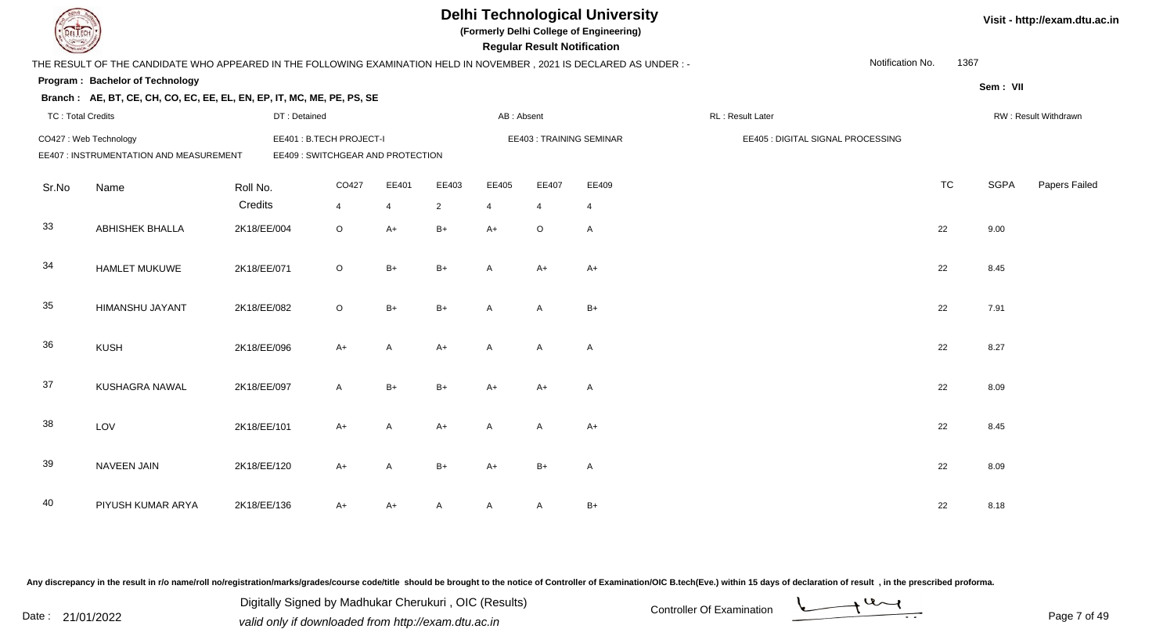| EL ECH                   |                                                                                                                      |              |                                  |                |                |                | <b>Regular Result Notification</b> | <b>Delhi Technological University</b><br>(Formerly Delhi College of Engineering) |                                   |                  |           |             | Visit - http://exam.dtu.ac.in |
|--------------------------|----------------------------------------------------------------------------------------------------------------------|--------------|----------------------------------|----------------|----------------|----------------|------------------------------------|----------------------------------------------------------------------------------|-----------------------------------|------------------|-----------|-------------|-------------------------------|
|                          | THE RESULT OF THE CANDIDATE WHO APPEARED IN THE FOLLOWING EXAMINATION HELD IN NOVEMBER, 2021 IS DECLARED AS UNDER :- |              |                                  |                |                |                |                                    |                                                                                  |                                   | Notification No. | 1367      |             |                               |
|                          | Program: Bachelor of Technology                                                                                      |              |                                  |                |                |                |                                    |                                                                                  |                                   |                  |           | Sem: VII    |                               |
|                          | Branch: AE, BT, CE, CH, CO, EC, EE, EL, EN, EP, IT, MC, ME, PE, PS, SE                                               |              |                                  |                |                |                |                                    |                                                                                  |                                   |                  |           |             |                               |
| <b>TC: Total Credits</b> |                                                                                                                      | DT: Detained |                                  |                |                | AB: Absent     |                                    |                                                                                  | RL: Result Later                  |                  |           |             | RW: Result Withdrawn          |
|                          | CO427: Web Technology                                                                                                |              | EE401: B.TECH PROJECT-I          |                |                |                |                                    | EE403: TRAINING SEMINAR                                                          | EE405 : DIGITAL SIGNAL PROCESSING |                  |           |             |                               |
|                          | EE407 : INSTRUMENTATION AND MEASUREMENT                                                                              |              | EE409: SWITCHGEAR AND PROTECTION |                |                |                |                                    |                                                                                  |                                   |                  |           |             |                               |
| Sr.No                    | Name                                                                                                                 | Roll No.     | CO427                            | EE401          | EE403          | EE405          | EE407                              | EE409                                                                            |                                   |                  | <b>TC</b> | <b>SGPA</b> | Papers Failed                 |
|                          |                                                                                                                      | Credits      | $\overline{4}$                   | $\overline{4}$ | $\overline{2}$ | $\overline{4}$ | 4                                  | $\overline{4}$                                                                   |                                   |                  |           |             |                               |
| 33                       | <b>ABHISHEK BHALLA</b>                                                                                               | 2K18/EE/004  | $\circ$                          | $A+$           | $B+$           | $A+$           | $\circ$                            | A                                                                                |                                   |                  | 22        | 9.00        |                               |
| 34                       | HAMLET MUKUWE                                                                                                        | 2K18/EE/071  | $\circ$                          | $B+$           | $B+$           | $\mathsf{A}$   | $A+$                               | $A+$                                                                             |                                   |                  | 22        | 8.45        |                               |
| $35\,$                   | HIMANSHU JAYANT                                                                                                      | 2K18/EE/082  | $\circ$                          | $B+$           | $B+$           | $\mathsf{A}$   | A                                  | $B+$                                                                             |                                   |                  | 22        | 7.91        |                               |
| 36                       | <b>KUSH</b>                                                                                                          | 2K18/EE/096  | $A+$                             | A              | $A+$           | $\mathsf{A}$   | A                                  | $\mathsf{A}$                                                                     |                                   |                  | 22        | 8.27        |                               |
| 37                       | KUSHAGRA NAWAL                                                                                                       | 2K18/EE/097  | $\mathsf{A}$                     | $B+$           | $B+$           | $A+$           | $A+$                               | A                                                                                |                                   |                  | 22        | 8.09        |                               |
| 38                       | LOV                                                                                                                  | 2K18/EE/101  | $A+$                             | A              | $A+$           | $\mathsf{A}$   | A                                  | $A+$                                                                             |                                   |                  | 22        | 8.45        |                               |
| 39                       | <b>NAVEEN JAIN</b>                                                                                                   | 2K18/EE/120  | $A+$                             | A              | $B+$           | $A+$           | $B+$                               | A                                                                                |                                   |                  | 22        | 8.09        |                               |
| 40                       | PIYUSH KUMAR ARYA                                                                                                    | 2K18/EE/136  | A+                               | $A+$           | A              | A              | A                                  | $\mathsf{B}+$                                                                    |                                   |                  | 22        | 8.18        |                               |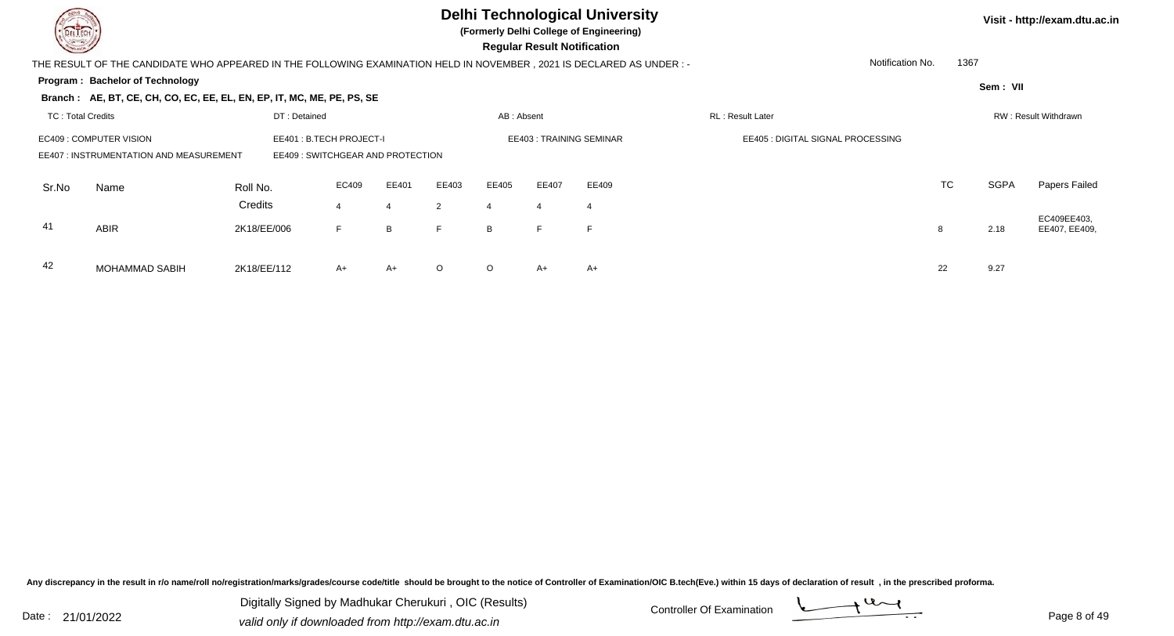**(Formerly Delhi College of Engineering)**

 **Regular Result Notification**

**Visit - http://exam.dtu.ac.in**

| <b>Courses A</b>         |                                                                                                                     |              |                                  |       |         |            | Regular Result Notification |                         |                                   |           |             |                              |
|--------------------------|---------------------------------------------------------------------------------------------------------------------|--------------|----------------------------------|-------|---------|------------|-----------------------------|-------------------------|-----------------------------------|-----------|-------------|------------------------------|
|                          | THE RESULT OF THE CANDIDATE WHO APPEARED IN THE FOLLOWING EXAMINATION HELD IN NOVEMBER, 2021 IS DECLARED AS UNDER:- |              |                                  |       |         |            |                             |                         | Notification No.                  | 1367      |             |                              |
|                          | <b>Program: Bachelor of Technology</b>                                                                              |              |                                  |       |         |            |                             |                         |                                   |           | Sem: VII    |                              |
|                          | Branch: AE, BT, CE, CH, CO, EC, EE, EL, EN, EP, IT, MC, ME, PE, PS, SE                                              |              |                                  |       |         |            |                             |                         |                                   |           |             |                              |
| <b>TC: Total Credits</b> |                                                                                                                     | DT: Detained |                                  |       |         | AB: Absent |                             |                         | RL: Result Later                  |           |             | RW: Result Withdrawn         |
|                          | EC409 : COMPUTER VISION                                                                                             |              | EE401: B.TECH PROJECT-I          |       |         |            |                             | EE403: TRAINING SEMINAR | EE405 : DIGITAL SIGNAL PROCESSING |           |             |                              |
|                          | EE407 : INSTRUMENTATION AND MEASUREMENT                                                                             |              | EE409: SWITCHGEAR AND PROTECTION |       |         |            |                             |                         |                                   |           |             |                              |
| Sr.No                    | Name                                                                                                                | Roll No.     | EC409                            | EE401 | EE403   | EE405      | EE407                       | EE409                   |                                   | <b>TC</b> | <b>SGPA</b> | Papers Failed                |
|                          |                                                                                                                     | Credits      | $\overline{4}$                   |       | 2       |            | 4                           | 4                       |                                   |           |             |                              |
| 41                       | <b>ABIR</b>                                                                                                         | 2K18/EE/006  | F.                               | B     | F       | B          | Е                           |                         |                                   | 8         | 2.18        | EC409EE403,<br>EE407, EE409, |
|                          |                                                                                                                     |              |                                  |       |         |            |                             |                         |                                   |           |             |                              |
| 42                       | MOHAMMAD SABIH                                                                                                      | 2K18/EE/112  | A+                               | A+    | $\circ$ | $\circ$    | A+                          | A+                      |                                   | 22        | 9.27        |                              |
|                          |                                                                                                                     |              |                                  |       |         |            |                             |                         |                                   |           |             |                              |

Any discrepancy in the result in r/o name/roll no/registration/marks/grades/course code/title should be brought to the notice of Controller of Examination/OIC B.tech(Eve.) within 15 days of declaration of result, in the pr

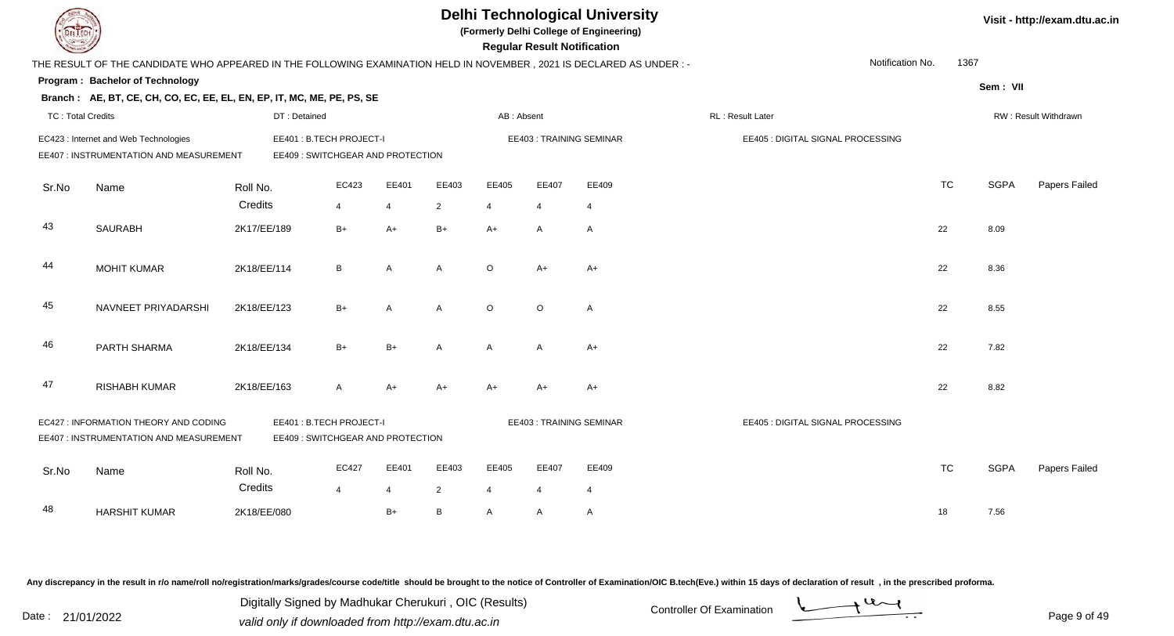|                          |                                                                                                                      |                     |                                                             |                         |                         |                                  |                         | <b>Delhi Technological University</b><br>(Formerly Delhi College of Engineering)<br><b>Regular Result Notification</b> |                                   |                  |           |             | Visit - http://exam.dtu.ac.in |
|--------------------------|----------------------------------------------------------------------------------------------------------------------|---------------------|-------------------------------------------------------------|-------------------------|-------------------------|----------------------------------|-------------------------|------------------------------------------------------------------------------------------------------------------------|-----------------------------------|------------------|-----------|-------------|-------------------------------|
|                          | THE RESULT OF THE CANDIDATE WHO APPEARED IN THE FOLLOWING EXAMINATION HELD IN NOVEMBER, 2021 IS DECLARED AS UNDER :- |                     |                                                             |                         |                         |                                  |                         |                                                                                                                        |                                   | Notification No. | 1367      |             |                               |
|                          | <b>Program: Bachelor of Technology</b>                                                                               |                     |                                                             |                         |                         |                                  |                         |                                                                                                                        |                                   |                  |           | Sem: VII    |                               |
|                          | Branch: AE, BT, CE, CH, CO, EC, EE, EL, EN, EP, IT, MC, ME, PE, PS, SE                                               |                     |                                                             |                         |                         |                                  |                         |                                                                                                                        |                                   |                  |           |             |                               |
| <b>TC: Total Credits</b> |                                                                                                                      | DT: Detained        |                                                             |                         |                         | AB: Absent                       |                         |                                                                                                                        | RL: Result Later                  |                  |           |             | RW: Result Withdrawn          |
|                          | EC423 : Internet and Web Technologies                                                                                |                     | EE401: B.TECH PROJECT-I                                     |                         |                         |                                  |                         | <b>EE403: TRAINING SEMINAR</b>                                                                                         | EE405 : DIGITAL SIGNAL PROCESSING |                  |           |             |                               |
|                          | EE407 : INSTRUMENTATION AND MEASUREMENT                                                                              |                     | EE409: SWITCHGEAR AND PROTECTION                            |                         |                         |                                  |                         |                                                                                                                        |                                   |                  |           |             |                               |
| Sr.No                    | Name                                                                                                                 | Roll No.            | EC423                                                       | EE401                   | EE403                   | EE405                            | EE407                   | EE409                                                                                                                  |                                   |                  | <b>TC</b> | <b>SGPA</b> | Papers Failed                 |
|                          |                                                                                                                      | Credits             | 4                                                           | $\overline{4}$          | $\overline{2}$          | $\overline{4}$                   | $\overline{4}$          | $\overline{4}$                                                                                                         |                                   |                  |           |             |                               |
| 43                       | <b>SAURABH</b>                                                                                                       | 2K17/EE/189         | $B+$                                                        | $A+$                    | $B+$                    | $A+$                             | A                       | $\overline{A}$                                                                                                         |                                   |                  | 22        | 8.09        |                               |
| 44                       | <b>MOHIT KUMAR</b>                                                                                                   | 2K18/EE/114         | B                                                           | $\overline{A}$          | $\mathsf{A}$            | $\circ$                          | $A+$                    | $A+$                                                                                                                   |                                   |                  | 22        | 8.36        |                               |
| 45                       | NAVNEET PRIYADARSHI                                                                                                  | 2K18/EE/123         | $B+$                                                        | $\overline{A}$          | $\mathsf{A}$            | $\circ$                          | $\circ$                 | $\overline{A}$                                                                                                         |                                   |                  | 22        | 8.55        |                               |
| 46                       | PARTH SHARMA                                                                                                         | 2K18/EE/134         | $B+$                                                        | $B+$                    | $\mathsf{A}$            | $\mathsf{A}$                     | $\mathsf{A}$            | $A+$                                                                                                                   |                                   |                  | 22        | 7.82        |                               |
| 47                       | RISHABH KUMAR                                                                                                        | 2K18/EE/163         | $\mathsf{A}$                                                | $A+$                    | $A+$                    | $A+$                             | $A+$                    | $A+$                                                                                                                   |                                   |                  | 22        | 8.82        |                               |
|                          | EC427 : INFORMATION THEORY AND CODING<br>EE407 : INSTRUMENTATION AND MEASUREMENT                                     |                     | EE401: B.TECH PROJECT-I<br>EE409: SWITCHGEAR AND PROTECTION |                         |                         |                                  |                         | EE403: TRAINING SEMINAR                                                                                                | EE405 : DIGITAL SIGNAL PROCESSING |                  |           |             |                               |
| Sr.No                    | Name                                                                                                                 | Roll No.<br>Credits | EC427<br>$\overline{4}$                                     | EE401<br>$\overline{4}$ | EE403<br>$\overline{2}$ | EE405<br>$\overline{\mathbf{A}}$ | EE407<br>$\overline{4}$ | EE409<br>$\overline{4}$                                                                                                |                                   |                  | <b>TC</b> | <b>SGPA</b> | Papers Failed                 |
| 48                       | <b>HARSHIT KUMAR</b>                                                                                                 | 2K18/EE/080         |                                                             | $B+$                    | B                       | A                                | A                       | $\mathsf{A}$                                                                                                           |                                   |                  | 18        | 7.56        |                               |
|                          |                                                                                                                      |                     |                                                             |                         |                         |                                  |                         |                                                                                                                        |                                   |                  |           |             |                               |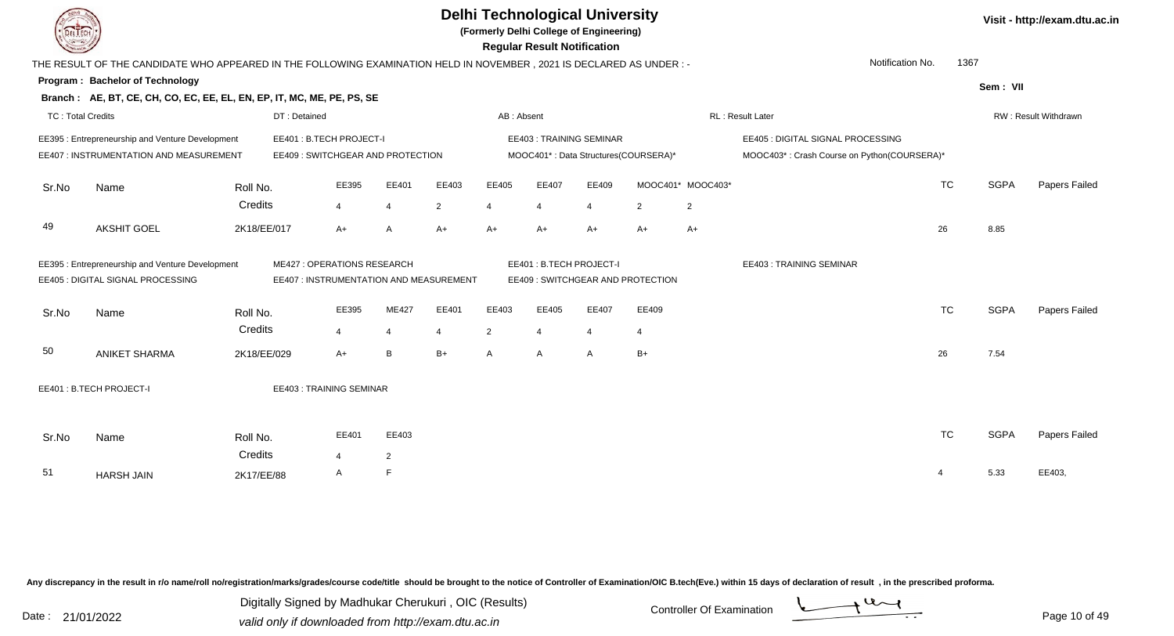**(Formerly Delhi College of Engineering)**

 **Regular Result Notification**

|                          | THE RESULT OF THE CANDIDATE WHO APPEARED IN THE FOLLOWING EXAMINATION HELD IN NOVEMBER, 2021 IS DECLARED AS UNDER :-       |             |                                   |                |                |                |                |                                      |       |                                   |                   | Notification No.                            | 1367           |             |                      |
|--------------------------|----------------------------------------------------------------------------------------------------------------------------|-------------|-----------------------------------|----------------|----------------|----------------|----------------|--------------------------------------|-------|-----------------------------------|-------------------|---------------------------------------------|----------------|-------------|----------------------|
|                          | Program: Bachelor of Technology                                                                                            |             |                                   |                |                |                |                |                                      |       |                                   |                   |                                             |                | Sem: VII    |                      |
|                          | Branch: AE, BT, CE, CH, CO, EC, EE, EL, EN, EP, IT, MC, ME, PE, PS, SE                                                     |             |                                   |                |                |                |                |                                      |       |                                   |                   |                                             |                |             |                      |
| <b>TC: Total Credits</b> |                                                                                                                            |             | DT: Detained                      |                |                |                | AB: Absent     |                                      |       |                                   |                   | RL: Result Later                            |                |             | RW: Result Withdrawn |
|                          | EE395 : Entrepreneurship and Venture Development                                                                           |             | EE401: B.TECH PROJECT-I           |                |                |                |                | <b>EE403: TRAINING SEMINAR</b>       |       |                                   |                   | EE405 : DIGITAL SIGNAL PROCESSING           |                |             |                      |
|                          | EE407 : INSTRUMENTATION AND MEASUREMENT                                                                                    |             | EE409 : SWITCHGEAR AND PROTECTION |                |                |                |                | MOOC401*: Data Structures(COURSERA)* |       |                                   |                   | MOOC403*: Crash Course on Python(COURSERA)* |                |             |                      |
| Sr.No                    | Name                                                                                                                       | Roll No.    |                                   | EE395          | EE401          | EE403          | EE405          | EE407                                | EE409 |                                   | MOOC401* MOOC403* |                                             | <b>TC</b>      | <b>SGPA</b> | Papers Failed        |
|                          |                                                                                                                            | Credits     |                                   | $\overline{4}$ |                | $\overline{2}$ | 4              | $\overline{4}$                       | 4     | $\overline{2}$                    | $\overline{2}$    |                                             |                |             |                      |
| 49                       | <b>AKSHIT GOEL</b>                                                                                                         | 2K18/EE/017 |                                   | $A+$           | A              | $A+$           | $A+$           | A+                                   | $A+$  | A+                                | $A+$              |                                             | 26             | 8.85        |                      |
|                          | EE395 : Entrepreneurship and Venture Development<br>ME427 : OPERATIONS RESEARCH<br>EE407 : INSTRUMENTATION AND MEASUREMENT |             |                                   |                |                |                |                | EE401: B.TECH PROJECT-I              |       |                                   |                   | <b>EE403: TRAINING SEMINAR</b>              |                |             |                      |
|                          | EE405 : DIGITAL SIGNAL PROCESSING                                                                                          |             |                                   |                |                |                |                |                                      |       | EE409 : SWITCHGEAR AND PROTECTION |                   |                                             |                |             |                      |
| Sr.No                    | Name                                                                                                                       | Roll No.    |                                   | EE395          | <b>ME427</b>   | EE401          | EE403          | EE405                                | EE407 | EE409                             |                   |                                             | <b>TC</b>      | <b>SGPA</b> | Papers Failed        |
|                          |                                                                                                                            | Credits     |                                   | $\overline{4}$ | 4              | $\overline{4}$ | $\overline{2}$ | $\overline{4}$                       | 4     | $\overline{4}$                    |                   |                                             |                |             |                      |
| 50                       | <b>ANIKET SHARMA</b>                                                                                                       | 2K18/EE/029 |                                   | $A+$           | B              | $B+$           | A              | A                                    | A     | $B+$                              |                   |                                             | 26             | 7.54        |                      |
|                          | EE401: B.TECH PROJECT-I<br><b>EE403: TRAINING SEMINAR</b>                                                                  |             |                                   |                |                |                |                |                                      |       |                                   |                   |                                             |                |             |                      |
|                          |                                                                                                                            |             |                                   |                |                |                |                |                                      |       |                                   |                   |                                             |                |             |                      |
| Sr.No                    | Name                                                                                                                       | Roll No.    |                                   | EE401          | EE403          |                |                |                                      |       |                                   |                   |                                             | <b>TC</b>      | <b>SGPA</b> | Papers Failed        |
|                          |                                                                                                                            | Credits     |                                   | 4              | $\overline{2}$ |                |                |                                      |       |                                   |                   |                                             |                |             |                      |
| 51                       | <b>HARSH JAIN</b>                                                                                                          | 2K17/EE/88  |                                   | $\mathsf{A}$   | F              |                |                |                                      |       |                                   |                   |                                             | $\overline{4}$ | 5.33        | EE403,               |

Any discrepancy in the result in r/o name/roll no/registration/marks/grades/course code/title should be brought to the notice of Controller of Examination/OIC B.tech(Eve.) within 15 days of declaration of result, in the pr

Date : 21/01/2022 Valid only if downloaded from http://exam.dtu.ac.in<br>Valid only if downloaded from http://exam.dtu.ac.in Digitally Signed by Madhukar Cherukuri , OIC (Results)

**Visit - http://exam.dtu.ac.in**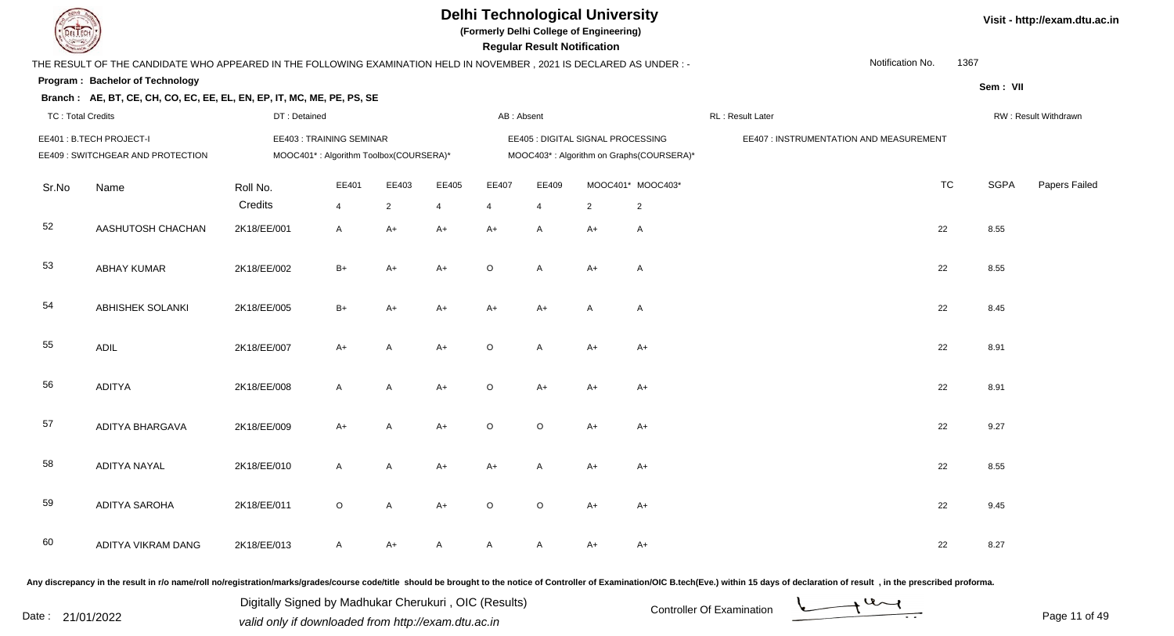

**(Formerly Delhi College of Engineering)**

 **Regular Result Notification**

| <b>Courses Lines</b>     |                                                                                                                      |              |                                        |                |                |                | Regular Result Notification |                                   |                                          |                                         |           |             |                      |
|--------------------------|----------------------------------------------------------------------------------------------------------------------|--------------|----------------------------------------|----------------|----------------|----------------|-----------------------------|-----------------------------------|------------------------------------------|-----------------------------------------|-----------|-------------|----------------------|
|                          | THE RESULT OF THE CANDIDATE WHO APPEARED IN THE FOLLOWING EXAMINATION HELD IN NOVEMBER, 2021 IS DECLARED AS UNDER :- |              |                                        |                |                |                |                             |                                   |                                          | Notification No.                        | 1367      |             |                      |
|                          | Program: Bachelor of Technology                                                                                      |              |                                        |                |                |                |                             |                                   |                                          |                                         |           | Sem: VII    |                      |
|                          | Branch: AE, BT, CE, CH, CO, EC, EE, EL, EN, EP, IT, MC, ME, PE, PS, SE                                               |              |                                        |                |                |                |                             |                                   |                                          |                                         |           |             |                      |
| <b>TC: Total Credits</b> |                                                                                                                      | DT: Detained |                                        |                |                | AB: Absent     |                             |                                   |                                          | RL: Result Later                        |           |             | RW: Result Withdrawn |
|                          | EE401: B.TECH PROJECT-I                                                                                              |              | EE403: TRAINING SEMINAR                |                |                |                |                             | EE405 : DIGITAL SIGNAL PROCESSING |                                          | EE407 : INSTRUMENTATION AND MEASUREMENT |           |             |                      |
|                          | EE409: SWITCHGEAR AND PROTECTION                                                                                     |              | MOOC401*: Algorithm Toolbox(COURSERA)* |                |                |                |                             |                                   | MOOC403*: Algorithm on Graphs(COURSERA)* |                                         |           |             |                      |
| Sr.No                    | Name                                                                                                                 | Roll No.     | EE401                                  | EE403          | EE405          | EE407          | EE409                       |                                   | MOOC401* MOOC403*                        |                                         | <b>TC</b> | <b>SGPA</b> | Papers Failed        |
|                          |                                                                                                                      | Credits      | $\overline{4}$                         | $\overline{2}$ | $\overline{4}$ | $\overline{4}$ | $\overline{4}$              | $\overline{2}$                    | $\overline{2}$                           |                                         |           |             |                      |
| 52                       | AASHUTOSH CHACHAN                                                                                                    | 2K18/EE/001  | $\mathsf{A}$                           | A+             | $A+$           | $A+$           | A                           | $A+$                              | $\mathsf{A}$                             |                                         | 22        | 8.55        |                      |
| 53                       | <b>ABHAY KUMAR</b>                                                                                                   | 2K18/EE/002  | $B+$                                   | A+             | $A+$           | $\circ$        | A                           | $A+$                              | $\mathsf{A}$                             |                                         | 22        | 8.55        |                      |
| 54                       | <b>ABHISHEK SOLANKI</b>                                                                                              | 2K18/EE/005  | $B+$                                   | $A+$           | $A+$           | A+             | $A+$                        | $\overline{A}$                    | $\mathsf{A}$                             |                                         | 22        | 8.45        |                      |
| 55                       | <b>ADIL</b>                                                                                                          | 2K18/EE/007  | $A+$                                   | A              | $A+$           | $\circ$        | A                           | $A+$                              | $A+$                                     |                                         | 22        | 8.91        |                      |
| 56                       | <b>ADITYA</b>                                                                                                        | 2K18/EE/008  | $\mathsf{A}$                           | A              | $A+$           | $\circ$        | $A+$                        | $A+$                              | $A+$                                     |                                         | 22        | 8.91        |                      |
| 57                       | ADITYA BHARGAVA                                                                                                      | 2K18/EE/009  | $A+$                                   | A              | $A+$           | O              | $\circ$                     | $A+$                              | $A+$                                     |                                         | 22        | 9.27        |                      |
| 58                       | <b>ADITYA NAYAL</b>                                                                                                  | 2K18/EE/010  | $\mathsf{A}$                           | A              | $A+$           | A+             | Α                           | A+                                | A+                                       |                                         | 22        | 8.55        |                      |
| 59                       | <b>ADITYA SAROHA</b>                                                                                                 | 2K18/EE/011  | $\circ$                                | $\mathsf{A}$   | $A+$           | $\circ$        | $\circ$                     | $A+$                              | $A+$                                     |                                         | 22        | 9.45        |                      |
| 60                       | ADITYA VIKRAM DANG                                                                                                   | 2K18/EE/013  | $\mathsf{A}$                           | A+             | A              | A              | Α                           | $A+$                              | $A+$                                     |                                         | 22        | 8.27        |                      |

Any discrepancy in the result in r/o name/roll no/registration/marks/grades/course code/title should be brought to the notice of Controller of Examination/OIC B.tech(Eve.) within 15 days of declaration of result, in the pr

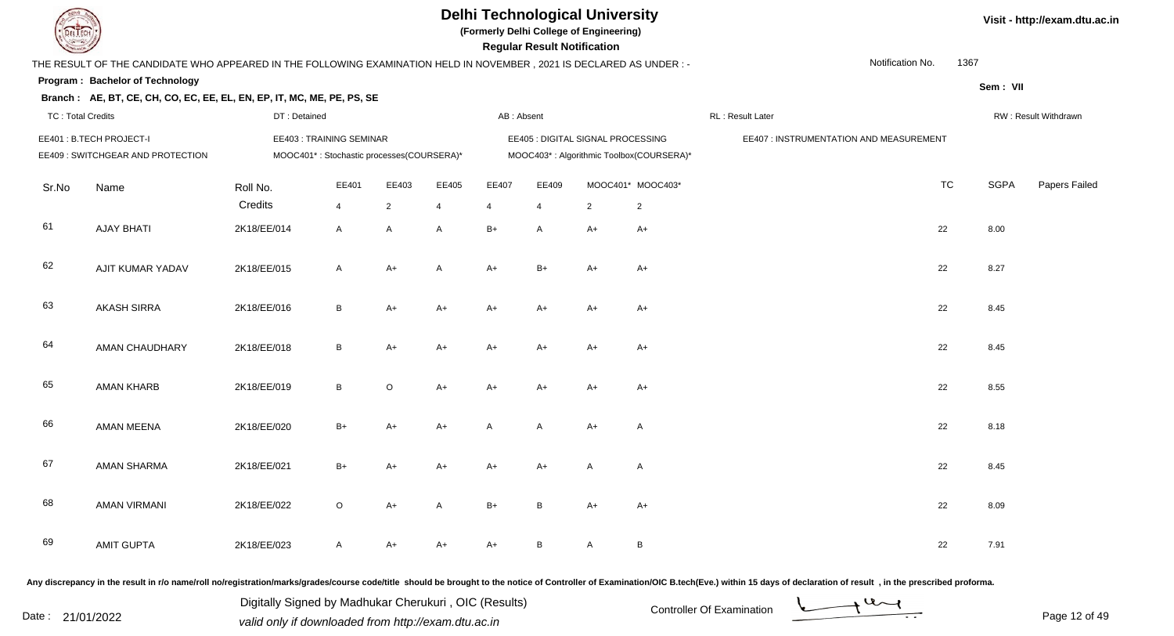

**(Formerly Delhi College of Engineering)**

 **Regular Result Notification**

**Visit - http://exam.dtu.ac.in**

| $\sim$                   |                                                                                                                      |              |                                           |                |              |            | Regular Result Notification       |                |                                          |                                         |                          |             |                      |
|--------------------------|----------------------------------------------------------------------------------------------------------------------|--------------|-------------------------------------------|----------------|--------------|------------|-----------------------------------|----------------|------------------------------------------|-----------------------------------------|--------------------------|-------------|----------------------|
|                          | THE RESULT OF THE CANDIDATE WHO APPEARED IN THE FOLLOWING EXAMINATION HELD IN NOVEMBER, 2021 IS DECLARED AS UNDER :- |              |                                           |                |              |            |                                   |                |                                          |                                         | Notification No.<br>1367 |             |                      |
|                          | Program: Bachelor of Technology                                                                                      |              |                                           |                |              |            |                                   |                |                                          |                                         |                          | Sem: VII    |                      |
| <b>TC: Total Credits</b> | Branch: AE, BT, CE, CH, CO, EC, EE, EL, EN, EP, IT, MC, ME, PE, PS, SE                                               | DT: Detained |                                           |                |              | AB: Absent |                                   |                |                                          | RL : Result Later                       |                          |             | RW: Result Withdrawn |
|                          |                                                                                                                      |              |                                           |                |              |            |                                   |                |                                          |                                         |                          |             |                      |
|                          | EE401: B.TECH PROJECT-I                                                                                              |              | EE403: TRAINING SEMINAR                   |                |              |            | EE405 : DIGITAL SIGNAL PROCESSING |                |                                          | EE407 : INSTRUMENTATION AND MEASUREMENT |                          |             |                      |
|                          | EE409 : SWITCHGEAR AND PROTECTION                                                                                    |              | MOOC401*: Stochastic processes(COURSERA)* |                |              |            |                                   |                | MOOC403*: Algorithmic Toolbox(COURSERA)* |                                         |                          |             |                      |
| Sr.No                    | Name                                                                                                                 | Roll No.     | EE401                                     | EE403          | EE405        | EE407      | EE409                             |                | MOOC401* MOOC403*                        |                                         | <b>TC</b>                | <b>SGPA</b> | Papers Failed        |
|                          |                                                                                                                      | Credits      | $\overline{4}$                            | $\overline{2}$ | 4            | 4          | 4                                 | $\overline{2}$ | $\overline{2}$                           |                                         |                          |             |                      |
| 61                       | <b>AJAY BHATI</b>                                                                                                    | 2K18/EE/014  | $\mathsf{A}$                              | $\mathsf{A}$   | $\mathsf{A}$ | $B+$       | $\mathsf{A}$                      | $A+$           | $A+$                                     |                                         | 22                       | 8.00        |                      |
| 62                       | <b>AJIT KUMAR YADAV</b>                                                                                              | 2K18/EE/015  | $\mathsf{A}$                              | $A+$           | $\mathsf{A}$ | $A+$       | $B+$                              | $A+$           | $A+$                                     |                                         | 22                       | 8.27        |                      |
| 63                       | <b>AKASH SIRRA</b>                                                                                                   | 2K18/EE/016  | $\, {\bf B} \,$                           | $A+$           | $A+$         | $A+$       | $A+$                              | $A+$           | $A+$                                     |                                         | 22                       | 8.45        |                      |
| 64                       | AMAN CHAUDHARY                                                                                                       | 2K18/EE/018  | $\, {\bf B} \,$                           | $A+$           | $A+$         | $A+$       | $A+$                              | $A+$           | $A+$                                     |                                         | 22                       | 8.45        |                      |
| 65                       | <b>AMAN KHARB</b>                                                                                                    | 2K18/EE/019  | $\mathsf B$                               | $\circ$        | $A+$         | $A+$       | $A+$                              | $A+$           | $A+$                                     |                                         | 22                       | 8.55        |                      |
| 66                       | <b>AMAN MEENA</b>                                                                                                    | 2K18/EE/020  | $B+$                                      | A+             | $A+$         | A          | $\mathsf{A}$                      | $A+$           | A                                        |                                         | 22                       | 8.18        |                      |
| 67                       | AMAN SHARMA                                                                                                          | 2K18/EE/021  | $B+$                                      | A+             | $A+$         | $A+$       | $A+$                              | A              | A                                        |                                         | 22                       | 8.45        |                      |
| 68                       | <b>AMAN VIRMANI</b>                                                                                                  | 2K18/EE/022  | $\circ$                                   | $A+$           | $\mathsf{A}$ | $B+$       | B                                 | $A+$           | $A+$                                     |                                         | 22                       | 8.09        |                      |
| 69                       | <b>AMIT GUPTA</b>                                                                                                    | 2K18/EE/023  | A                                         | A+             | $A+$         | $A+$       | B                                 | A              | $\, {\bf B} \,$                          |                                         | 22                       | 7.91        |                      |
|                          |                                                                                                                      |              |                                           |                |              |            |                                   |                |                                          |                                         |                          |             |                      |

Any discrepancy in the result in r/o name/roll no/registration/marks/grades/course code/title should be brought to the notice of Controller of Examination/OIC B.tech(Eve.) within 15 days of declaration of result, in the pr

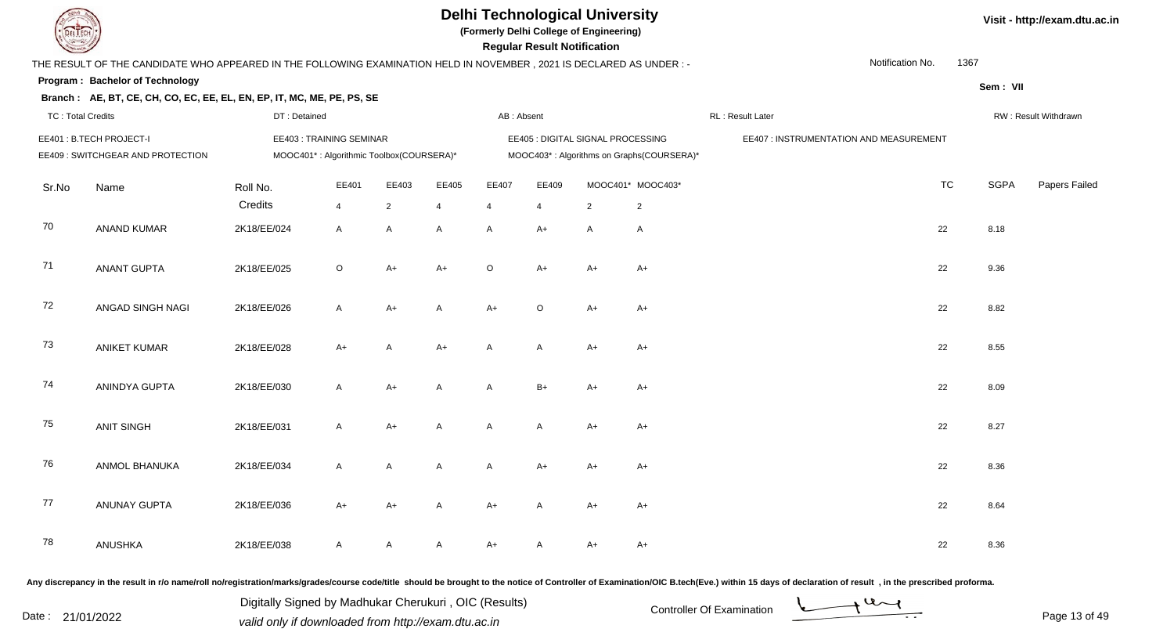

**(Formerly Delhi College of Engineering)**

 **Regular Result Notification**

| $\sim$                                                                                                               |                              |  |
|----------------------------------------------------------------------------------------------------------------------|------------------------------|--|
| THE RESULT OF THE CANDIDATE WHO APPEARED IN THE FOLLOWING EXAMINATION HELD IN NOVEMBER, 2021 IS DECLARED AS UNDER :- | 1367                         |  |
| Program: Bachelor of Technology                                                                                      | Sem: VII                     |  |
| Branch: AE, BT, CE, CH, CO, EC, EE, EL, EN, EP, IT, MC, ME, PE, PS, SE                                               |                              |  |
| <b>TC: Total Credits</b>                                                                                             | RW: Result Withdrawn         |  |
| EE401: B.TECH PROJECT-I                                                                                              |                              |  |
| EE409: SWITCHGEAR AND PROTECTION                                                                                     |                              |  |
| Sr.No                                                                                                                | <b>SGPA</b><br>Papers Failec |  |
|                                                                                                                      |                              |  |
| 70                                                                                                                   | 8.18                         |  |
| 71                                                                                                                   | 9.36                         |  |
| 72                                                                                                                   | 8.82                         |  |
| 73                                                                                                                   | 8.55                         |  |
| 74                                                                                                                   | 8.09                         |  |
| 75                                                                                                                   | 8.27                         |  |
| 76                                                                                                                   | 8.36                         |  |
| 77                                                                                                                   | 8.64                         |  |
| 78                                                                                                                   | 8.36                         |  |
|                                                                                                                      |                              |  |

Any discrepancy in the result in r/o name/roll no/registration/marks/grades/course code/title should be brought to the notice of Controller of Examination/OIC B.tech(Eve.) within 15 days of declaration of result, in the pr

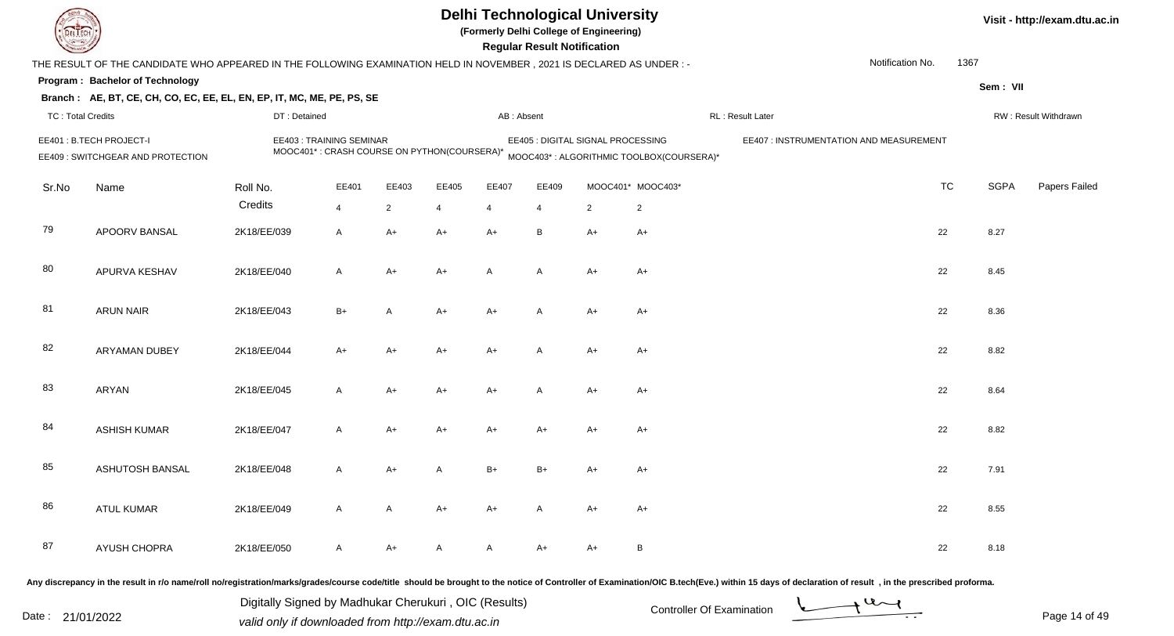| <b>DELTECH</b>           |                                                                                                                      |                                                                        |                |                |                |              | <b>Regular Result Notification</b> | <b>Delhi Technological University</b><br>(Formerly Delhi College of Engineering) |                                          |                                                                                                                                                                                                                                |                  |      |             | Visit - http://exam.dtu.ac.in |
|--------------------------|----------------------------------------------------------------------------------------------------------------------|------------------------------------------------------------------------|----------------|----------------|----------------|--------------|------------------------------------|----------------------------------------------------------------------------------|------------------------------------------|--------------------------------------------------------------------------------------------------------------------------------------------------------------------------------------------------------------------------------|------------------|------|-------------|-------------------------------|
|                          | THE RESULT OF THE CANDIDATE WHO APPEARED IN THE FOLLOWING EXAMINATION HELD IN NOVEMBER, 2021 IS DECLARED AS UNDER: - |                                                                        |                |                |                |              |                                    |                                                                                  |                                          |                                                                                                                                                                                                                                | Notification No. | 1367 |             |                               |
|                          | Program: Bachelor of Technology                                                                                      |                                                                        |                |                |                |              |                                    |                                                                                  |                                          |                                                                                                                                                                                                                                |                  |      | Sem: VII    |                               |
|                          | Branch: AE, BT, CE, CH, CO, EC, EE, EL, EN, EP, IT, MC, ME, PE, PS, SE                                               |                                                                        |                |                |                |              |                                    |                                                                                  |                                          |                                                                                                                                                                                                                                |                  |      |             |                               |
| <b>TC: Total Credits</b> |                                                                                                                      | DT: Detained                                                           |                |                |                | AB: Absent   |                                    |                                                                                  |                                          | RL: Result Later                                                                                                                                                                                                               |                  |      |             | RW: Result Withdrawn          |
|                          | EE401 : B.TECH PROJECT-I<br>EE409 : SWITCHGEAR AND PROTECTION                                                        | EE403: TRAINING SEMINAR<br>MOOC401*: CRASH COURSE ON PYTHON(COURSERA)* |                |                |                |              |                                    | EE405 : DIGITAL SIGNAL PROCESSING                                                | MOOC403*: ALGORITHMIC TOOLBOX(COURSERA)* | EE407 : INSTRUMENTATION AND MEASUREMENT                                                                                                                                                                                        |                  |      |             |                               |
| Sr.No                    | Name                                                                                                                 | Roll No.                                                               | EE401          | EE403          | EE405          | EE407        | EE409                              |                                                                                  | MOOC401* MOOC403*                        |                                                                                                                                                                                                                                | <b>TC</b>        |      | <b>SGPA</b> | Papers Failed                 |
|                          |                                                                                                                      | Credits                                                                | $\overline{4}$ | $\overline{2}$ | $\overline{4}$ | 4            | $\overline{4}$                     | $\overline{2}$                                                                   | $\overline{2}$                           |                                                                                                                                                                                                                                |                  |      |             |                               |
| 79                       | APOORV BANSAL                                                                                                        | 2K18/EE/039                                                            | A              | $A+$           | $A+$           | $A+$         | B                                  | $A+$                                                                             | A+                                       |                                                                                                                                                                                                                                | 22               |      | 8.27        |                               |
| 80                       | APURVA KESHAV                                                                                                        | 2K18/EE/040                                                            | $\overline{A}$ | $A+$           | $A+$           | A            | $\overline{A}$                     | $A+$                                                                             | A+                                       |                                                                                                                                                                                                                                | 22               |      | 8.45        |                               |
| 81                       | <b>ARUN NAIR</b>                                                                                                     | 2K18/EE/043                                                            | $B+$           | $\mathsf{A}$   | $A+$           | A+           | $\overline{A}$                     | $A+$                                                                             | A+                                       |                                                                                                                                                                                                                                | 22               |      | 8.36        |                               |
| 82                       | ARYAMAN DUBEY                                                                                                        | 2K18/EE/044                                                            | $A+$           | $A+$           | A+             | A+           | A                                  | $A+$                                                                             | A+                                       |                                                                                                                                                                                                                                | 22               |      | 8.82        |                               |
| 83                       | <b>ARYAN</b>                                                                                                         | 2K18/EE/045                                                            | $\overline{A}$ | $A+$           | A+             | A+           | A                                  | $A+$                                                                             | A+                                       |                                                                                                                                                                                                                                | 22               |      | 8.64        |                               |
| 84                       | <b>ASHISH KUMAR</b>                                                                                                  | 2K18/EE/047                                                            | $\mathsf{A}$   | $A+$           | A+             | A+           | A+                                 | $A+$                                                                             | A+                                       |                                                                                                                                                                                                                                | 22               |      | 8.82        |                               |
| 85                       | <b>ASHUTOSH BANSAL</b>                                                                                               | 2K18/EE/048                                                            | $\overline{A}$ | A+             |                | B+           | B+                                 | A+                                                                               | A+                                       |                                                                                                                                                                                                                                | 22               |      | 7.91        |                               |
| 86                       | ATUL KUMAR                                                                                                           | 2K18/EE/049                                                            | $\mathsf{A}$   | $\mathsf{A}$   | $A+$           | $A+$         | A                                  | $A+$                                                                             | A+                                       |                                                                                                                                                                                                                                | 22               |      | 8.55        |                               |
| 87                       | AYUSH CHOPRA                                                                                                         | 2K18/EE/050                                                            | $\mathsf{A}$   | $A+$           | A              | $\mathsf{A}$ | $A+$                               | $A+$                                                                             | $\mathsf{B}$                             |                                                                                                                                                                                                                                | 22               |      | 8.18        |                               |
|                          |                                                                                                                      |                                                                        |                |                |                |              |                                    |                                                                                  |                                          | Any discrepancy in the result in r/o name/roll no/registration/marks/grades/course code/title should be brought to the notice of Controller of Examination/OIC B.tech(Eve.) within 15 days of declaration of result , in the p |                  |      |             |                               |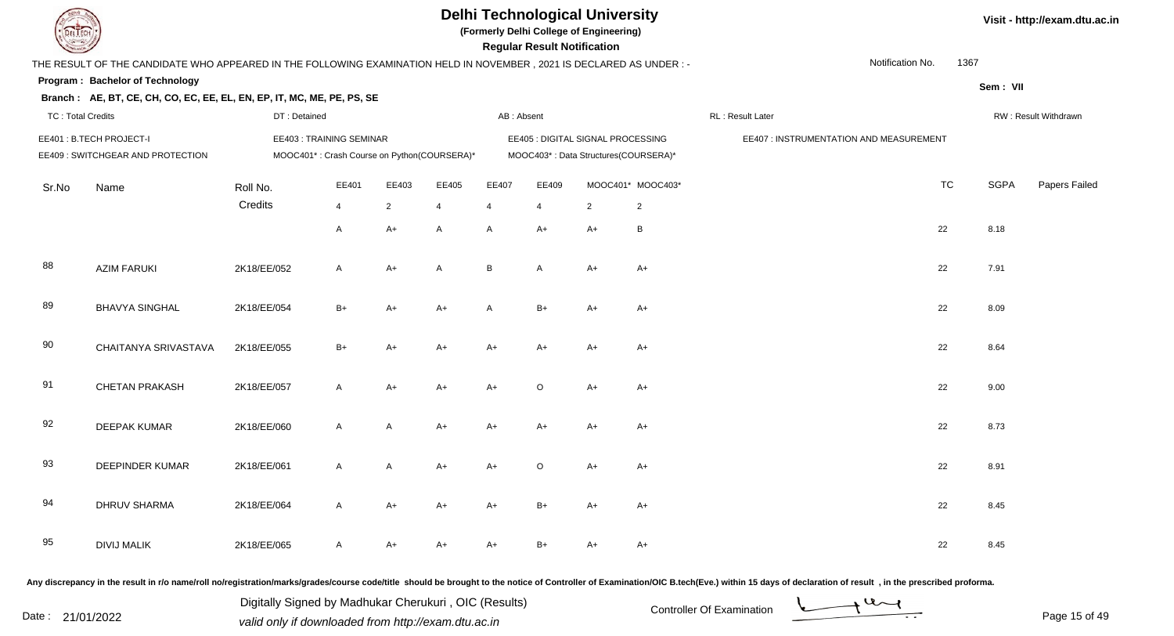

**(Formerly Delhi College of Engineering)**

 **Regular Result Notification**

| <b>Courses Lines</b>     |                                                                                                                      |              |                                                                               |                |                |            | Regular Result Notification |                                                                           |                   |                                         |                          |             |                      |
|--------------------------|----------------------------------------------------------------------------------------------------------------------|--------------|-------------------------------------------------------------------------------|----------------|----------------|------------|-----------------------------|---------------------------------------------------------------------------|-------------------|-----------------------------------------|--------------------------|-------------|----------------------|
|                          | THE RESULT OF THE CANDIDATE WHO APPEARED IN THE FOLLOWING EXAMINATION HELD IN NOVEMBER, 2021 IS DECLARED AS UNDER :- |              |                                                                               |                |                |            |                             |                                                                           |                   |                                         | Notification No.<br>1367 |             |                      |
|                          | Program: Bachelor of Technology                                                                                      |              |                                                                               |                |                |            |                             |                                                                           |                   |                                         |                          | Sem: VII    |                      |
|                          | Branch: AE, BT, CE, CH, CO, EC, EE, EL, EN, EP, IT, MC, ME, PE, PS, SE                                               |              |                                                                               |                |                |            |                             |                                                                           |                   |                                         |                          |             |                      |
| <b>TC: Total Credits</b> |                                                                                                                      | DT: Detained |                                                                               |                |                | AB: Absent |                             |                                                                           |                   | RL: Result Later                        |                          |             | RW: Result Withdrawn |
|                          | EE401: B.TECH PROJECT-I<br>EE409 : SWITCHGEAR AND PROTECTION                                                         |              | <b>EE403: TRAINING SEMINAR</b><br>MOOC401*: Crash Course on Python(COURSERA)* |                |                |            |                             | EE405 : DIGITAL SIGNAL PROCESSING<br>MOOC403*: Data Structures(COURSERA)* |                   | EE407 : INSTRUMENTATION AND MEASUREMENT |                          |             |                      |
| Sr.No                    | Name                                                                                                                 | Roll No.     | EE401                                                                         | EE403          | EE405          | EE407      | EE409                       |                                                                           | MOOC401* MOOC403* |                                         | <b>TC</b>                | <b>SGPA</b> | <b>Papers Failed</b> |
|                          |                                                                                                                      | Credits      | $\overline{4}$                                                                | $\overline{2}$ | $\overline{4}$ | 4          | $\overline{4}$              | $\overline{2}$                                                            | $\overline{2}$    |                                         |                          |             |                      |
|                          |                                                                                                                      |              | $\mathsf{A}$                                                                  | $A+$           | A              | A          | $A+$                        | $A+$                                                                      | B                 |                                         | 22                       | 8.18        |                      |
| 88                       | <b>AZIM FARUKI</b>                                                                                                   | 2K18/EE/052  | $\mathsf{A}$                                                                  | $A+$           | A              | B          | $\mathsf{A}$                | $A+$                                                                      | $A+$              |                                         | 22                       | 7.91        |                      |
| 89                       | <b>BHAVYA SINGHAL</b>                                                                                                | 2K18/EE/054  | $B+$                                                                          | A+             | $A+$           | A          | $B+$                        | $A+$                                                                      | A+                |                                         | 22                       | 8.09        |                      |
| 90                       | CHAITANYA SRIVASTAVA                                                                                                 | 2K18/EE/055  | $B+$                                                                          | A+             | $A+$           | $A+$       | $A+$                        | $A+$                                                                      | $A+$              |                                         | 22                       | 8.64        |                      |
| 91                       | <b>CHETAN PRAKASH</b>                                                                                                | 2K18/EE/057  | $\mathsf{A}$                                                                  | $A+$           | $A+$           | $A+$       | $\circ$                     | $A+$                                                                      | $A+$              |                                         | 22                       | 9.00        |                      |
| 92                       | <b>DEEPAK KUMAR</b>                                                                                                  | 2K18/EE/060  | $\mathsf{A}$                                                                  | $\mathsf{A}$   | $A+$           | $A+$       | $A+$                        | $A+$                                                                      | $A+$              |                                         | 22                       | 8.73        |                      |
| 93                       | <b>DEEPINDER KUMAR</b>                                                                                               | 2K18/EE/061  | $\mathsf{A}$                                                                  | A              | $A+$           | $A+$       | $\circ$                     | $A+$                                                                      | $A+$              |                                         | 22                       | 8.91        |                      |
| 94                       | <b>DHRUV SHARMA</b>                                                                                                  | 2K18/EE/064  | $\mathsf{A}$                                                                  | $A+$           | $A+$           | $A+$       | $B+$                        | $A+$                                                                      | $A+$              |                                         | 22                       | 8.45        |                      |
| 95                       | <b>DIVIJ MALIK</b>                                                                                                   | 2K18/EE/065  | $\mathsf{A}$                                                                  | A+             | $A+$           | A+         | B+                          | $A+$                                                                      | $A+$              |                                         | 22                       | 8.45        |                      |
|                          |                                                                                                                      |              |                                                                               |                |                |            |                             |                                                                           |                   |                                         |                          |             |                      |

Any discrepancy in the result in r/o name/roll no/registration/marks/grades/course code/title should be brought to the notice of Controller of Examination/OIC B.tech(Eve.) within 15 days of declaration of result, in the pr

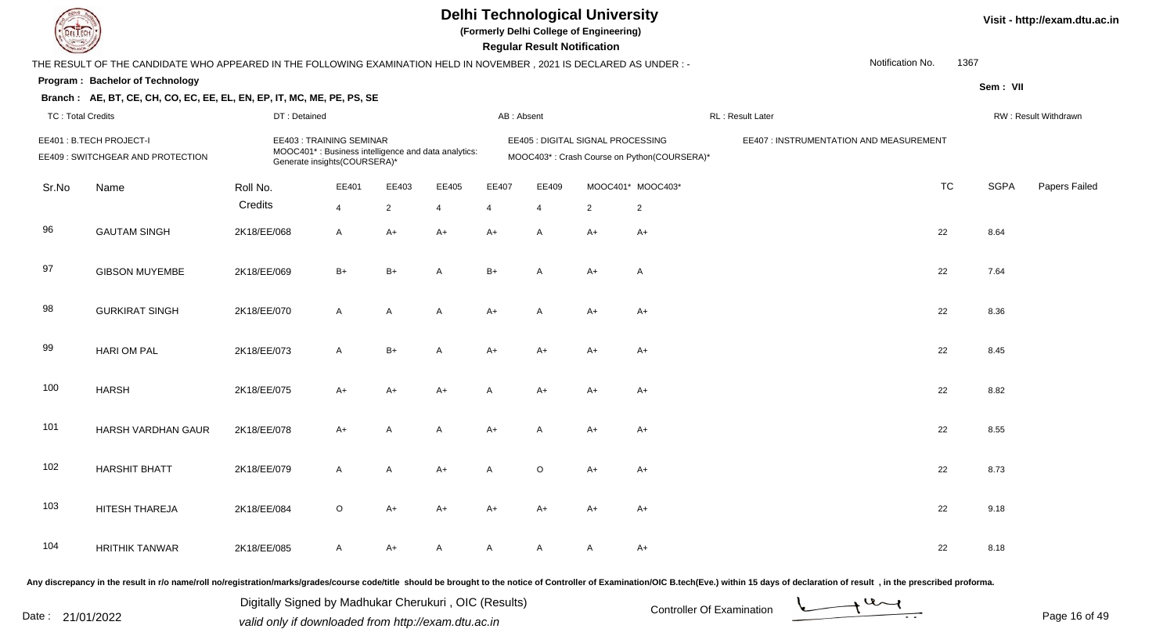

**(Formerly Delhi College of Engineering)**

 **Regular Result Notification**

| <b>Country</b>    |                                                                                                                     |              |                                                         |                |                                                     |                | <b>Regular Result Notification</b> |                                   |                                             |                                         |                  |             |                      |
|-------------------|---------------------------------------------------------------------------------------------------------------------|--------------|---------------------------------------------------------|----------------|-----------------------------------------------------|----------------|------------------------------------|-----------------------------------|---------------------------------------------|-----------------------------------------|------------------|-------------|----------------------|
|                   | THE RESULT OF THE CANDIDATE WHO APPEARED IN THE FOLLOWING EXAMINATION HELD IN NOVEMBER, 2021 IS DECLARED AS UNDER:- |              |                                                         |                |                                                     |                |                                    |                                   |                                             |                                         | Notification No. | 1367        |                      |
|                   | Program: Bachelor of Technology                                                                                     |              |                                                         |                |                                                     |                |                                    |                                   |                                             |                                         |                  | Sem: VII    |                      |
|                   | Branch: AE, BT, CE, CH, CO, EC, EE, EL, EN, EP, IT, MC, ME, PE, PS, SE                                              |              |                                                         |                |                                                     |                |                                    |                                   |                                             |                                         |                  |             |                      |
| TC: Total Credits |                                                                                                                     | DT: Detained |                                                         |                |                                                     | AB: Absent     |                                    |                                   |                                             | RL: Result Later                        |                  |             | RW: Result Withdrawn |
|                   | EE401: B.TECH PROJECT-I<br>EE409 : SWITCHGEAR AND PROTECTION                                                        |              | EE403: TRAINING SEMINAR<br>Generate insights(COURSERA)* |                | MOOC401*: Business intelligence and data analytics: |                |                                    | EE405 : DIGITAL SIGNAL PROCESSING | MOOC403*: Crash Course on Python(COURSERA)* | EE407 : INSTRUMENTATION AND MEASUREMENT |                  |             |                      |
| Sr.No             | Name                                                                                                                | Roll No.     | EE401                                                   | EE403          | EE405                                               | EE407          | EE409                              |                                   | MOOC401* MOOC403*                           |                                         | <b>TC</b>        | <b>SGPA</b> | Papers Failed        |
|                   |                                                                                                                     | Credits      | $\overline{4}$                                          | $\overline{2}$ | 4                                                   | $\overline{4}$ | $\overline{4}$                     | $\overline{2}$                    | $\overline{2}$                              |                                         |                  |             |                      |
| 96                | <b>GAUTAM SINGH</b>                                                                                                 | 2K18/EE/068  | $\mathsf{A}$                                            | A+             | $A+$                                                | $A+$           | A                                  | $A+$                              | $A+$                                        |                                         | 22               | 8.64        |                      |
| 97                | <b>GIBSON MUYEMBE</b>                                                                                               | 2K18/EE/069  | $B+$                                                    | $B+$           | A                                                   | $B+$           | Α                                  | $A+$                              | A                                           |                                         | 22               | 7.64        |                      |
| 98                | <b>GURKIRAT SINGH</b>                                                                                               | 2K18/EE/070  | $\mathsf{A}$                                            | A              | A                                                   | $A+$           | A                                  | $A+$                              | $A+$                                        |                                         | 22               | 8.36        |                      |
| 99                | <b>HARI OM PAL</b>                                                                                                  | 2K18/EE/073  | $\mathsf{A}$                                            | $B+$           | A                                                   | $A+$           | $A+$                               | $A+$                              | A+                                          |                                         | 22               | 8.45        |                      |
| 100               | <b>HARSH</b>                                                                                                        | 2K18/EE/075  | A+                                                      | $A+$           | $A+$                                                | A              | A+                                 | $A+$                              | A+                                          |                                         | 22               | 8.82        |                      |
| 101               | HARSH VARDHAN GAUR                                                                                                  | 2K18/EE/078  | $A+$                                                    | A              | A                                                   | $A+$           | A                                  | $A+$                              | $A+$                                        |                                         | 22               | 8.55        |                      |
| 102               | <b>HARSHIT BHATT</b>                                                                                                | 2K18/EE/079  | $\mathsf{A}$                                            | A              | $A+$                                                | A              | $\circ$                            | $A+$                              | $A+$                                        |                                         | 22               | 8.73        |                      |
| 103               | HITESH THAREJA                                                                                                      | 2K18/EE/084  | $\circ$                                                 | $A+$           | $A+$                                                | A+             | A+                                 | $A+$                              | $A+$                                        |                                         | 22               | 9.18        |                      |
| 104               | <b>HRITHIK TANWAR</b>                                                                                               | 2K18/EE/085  | A                                                       | A+             | A                                                   | A              | Α                                  | A                                 | $A+$                                        |                                         | 22               | 8.18        |                      |
|                   |                                                                                                                     |              |                                                         |                |                                                     |                |                                    |                                   |                                             |                                         |                  |             |                      |

Any discrepancy in the result in r/o name/roll no/registration/marks/grades/course code/title should be brought to the notice of Controller of Examination/OIC B.tech(Eve.) within 15 days of declaration of result, in the pr

Date : 21/01/2022 Valid only if downloaded from http://exam.dtu.ac.in<br>
Date : 21/01/2022 valid only if downloaded from http://exam.dtu.ac.in

Digitally Signed by Madhukar Cherukuri , OIC (Results)

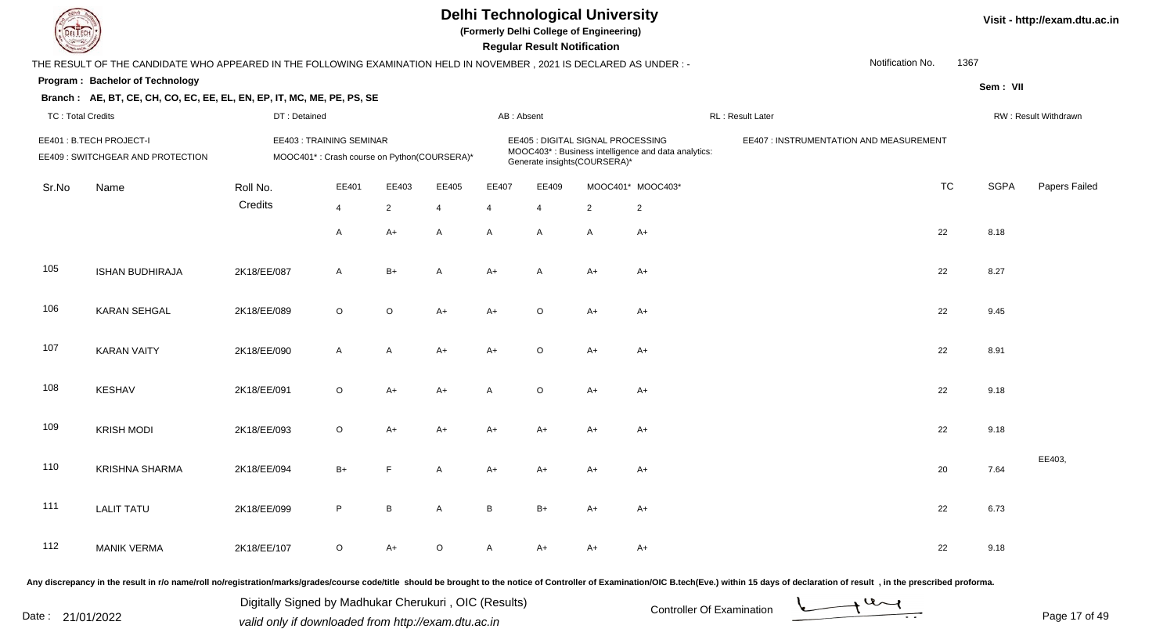

**(Formerly Delhi College of Engineering)**

 **Regular Result Notification**

|                          | THE RESULT OF THE CANDIDATE WHO APPEARED IN THE FOLLOWING EXAMINATION HELD IN NOVEMBER, 2021 IS DECLARED AS UNDER :- |              |                                                                               |                |                |                |                |                                                                   |                                                     | Notification No.                        | 1367      |             |                      |
|--------------------------|----------------------------------------------------------------------------------------------------------------------|--------------|-------------------------------------------------------------------------------|----------------|----------------|----------------|----------------|-------------------------------------------------------------------|-----------------------------------------------------|-----------------------------------------|-----------|-------------|----------------------|
|                          | Program: Bachelor of Technology                                                                                      |              |                                                                               |                |                |                |                |                                                                   |                                                     |                                         |           | Sem: VII    |                      |
|                          | Branch: AE, BT, CE, CH, CO, EC, EE, EL, EN, EP, IT, MC, ME, PE, PS, SE                                               |              |                                                                               |                |                |                |                |                                                                   |                                                     |                                         |           |             |                      |
| <b>TC: Total Credits</b> |                                                                                                                      | DT: Detained |                                                                               |                |                | AB: Absent     |                |                                                                   |                                                     | RL : Result Later                       |           |             | RW: Result Withdrawn |
|                          | EE401 : B.TECH PROJECT-I<br>EE409 : SWITCHGEAR AND PROTECTION                                                        |              | <b>EE403: TRAINING SEMINAR</b><br>MOOC401*: Crash course on Python(COURSERA)* |                |                |                |                | EE405 : DIGITAL SIGNAL PROCESSING<br>Generate insights(COURSERA)* | MOOC403*: Business intelligence and data analytics: | EE407 : INSTRUMENTATION AND MEASUREMENT |           |             |                      |
| Sr.No                    | Name                                                                                                                 | Roll No.     | EE401                                                                         | EE403          | EE405          | EE407          | EE409          |                                                                   | MOOC401* MOOC403*                                   |                                         | <b>TC</b> | <b>SGPA</b> | Papers Failec        |
|                          |                                                                                                                      | Credits      | $\overline{4}$                                                                | $\overline{2}$ | $\overline{4}$ | $\overline{4}$ | $\overline{4}$ | $\overline{2}$                                                    | $\overline{2}$                                      |                                         |           |             |                      |
|                          |                                                                                                                      |              | A                                                                             | $A+$           | A              | $\mathsf{A}$   | A              | A                                                                 | $A+$                                                | 22                                      |           | 8.18        |                      |
| 105                      | <b>ISHAN BUDHIRAJA</b>                                                                                               | 2K18/EE/087  | A                                                                             | $B+$           | A              | $A+$           | A              | $A+$                                                              | $A+$                                                | 22                                      |           | 8.27        |                      |
| 106                      | <b>KARAN SEHGAL</b>                                                                                                  | 2K18/EE/089  | $\circ$                                                                       | $\circ$        | A+             | $A+$           | $\circ$        | $A+$                                                              | A+                                                  | 22                                      |           | 9.45        |                      |
| 107                      | <b>KARAN VAITY</b>                                                                                                   | 2K18/EE/090  | A                                                                             | Α              | $A+$           | $A+$           | $\circ$        | $A+$                                                              | $A+$                                                | 22                                      |           | 8.91        |                      |
| 108                      | KESHAV                                                                                                               | 2K18/EE/091  | $\circ$                                                                       | $A+$           | $A+$           | Α              | $\circ$        | $A+$                                                              | A+                                                  | 22                                      |           | 9.18        |                      |
| 109                      | <b>KRISH MODI</b>                                                                                                    | 2K18/EE/093  | $\mathsf O$                                                                   | $A+$           | $A+$           | $A+$           | $A+$           | $A+$                                                              | $A+$                                                | 22                                      |           | 9.18        |                      |
| 110                      | <b>KRISHNA SHARMA</b>                                                                                                | 2K18/EE/094  | $B+$                                                                          | E              | A              | $A+$           | $A+$           | $A+$                                                              | $A+$                                                | 20                                      |           | 7.64        | EE403,               |
| 111                      | <b>LALIT TATU</b>                                                                                                    | 2K18/EE/099  | $\mathsf P$                                                                   | B              | A              | $\, {\sf B}$   | $B+$           | $A+$                                                              | $A+$                                                | 22                                      |           | 6.73        |                      |
| 112                      | <b>MANIK VERMA</b>                                                                                                   | 2K18/EE/107  | $\circ$                                                                       | $A+$           | $\circ$        | Α              | A+             | A+                                                                | $A+$                                                | 22                                      |           | 9.18        |                      |

Any discrepancy in the result in r/o name/roll no/registration/marks/grades/course code/title should be brought to the notice of Controller of Examination/OIC B.tech(Eve.) within 15 days of declaration of result, in the pr

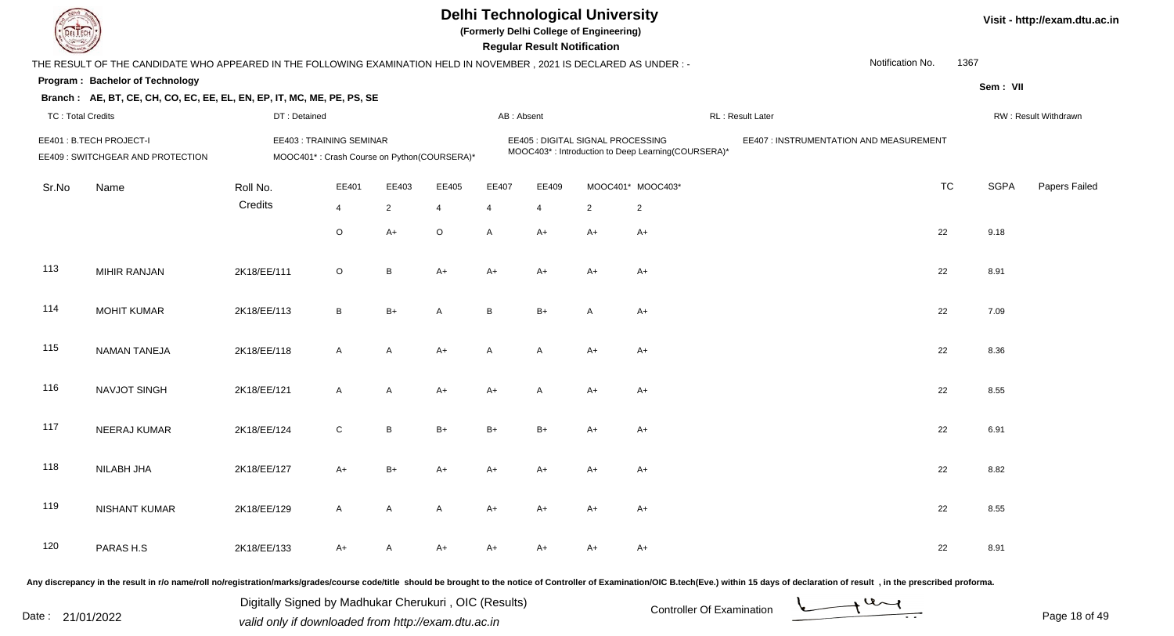**(Formerly Delhi College of Engineering)**

 **Regular Result Notification**

**Visit - http://exam.dtu.ac.in**

| $\sim$                   |                                                                                                                      |              |                                                                        |                |                |                | n <del>c</del> yular n <del>c</del> sult notification |                                   |                                                    |                                         |           |             |                      |
|--------------------------|----------------------------------------------------------------------------------------------------------------------|--------------|------------------------------------------------------------------------|----------------|----------------|----------------|-------------------------------------------------------|-----------------------------------|----------------------------------------------------|-----------------------------------------|-----------|-------------|----------------------|
|                          | THE RESULT OF THE CANDIDATE WHO APPEARED IN THE FOLLOWING EXAMINATION HELD IN NOVEMBER, 2021 IS DECLARED AS UNDER :- |              |                                                                        |                |                |                |                                                       |                                   |                                                    | Notification No.                        | 1367      |             |                      |
|                          | Program: Bachelor of Technology                                                                                      |              |                                                                        |                |                |                |                                                       |                                   |                                                    |                                         |           | Sem: VII    |                      |
|                          | Branch: AE, BT, CE, CH, CO, EC, EE, EL, EN, EP, IT, MC, ME, PE, PS, SE                                               |              |                                                                        |                |                |                |                                                       |                                   |                                                    |                                         |           |             |                      |
| <b>TC: Total Credits</b> |                                                                                                                      | DT: Detained |                                                                        |                |                | AB: Absent     |                                                       |                                   |                                                    | RL: Result Later                        |           |             | RW: Result Withdrawn |
|                          | EE401: B.TECH PROJECT-I<br>EE409: SWITCHGEAR AND PROTECTION                                                          |              | EE403: TRAINING SEMINAR<br>MOOC401*: Crash Course on Python(COURSERA)* |                |                |                |                                                       | EE405 : DIGITAL SIGNAL PROCESSING | MOOC403*: Introduction to Deep Learning(COURSERA)* | EE407 : INSTRUMENTATION AND MEASUREMENT |           |             |                      |
| Sr.No                    | Name                                                                                                                 | Roll No.     | EE401                                                                  | EE403          | EE405          | EE407          | EE409                                                 |                                   | MOOC401* MOOC403*                                  |                                         | <b>TC</b> | <b>SGPA</b> | Papers Failed        |
|                          |                                                                                                                      | Credits      | $\overline{4}$                                                         | $\overline{2}$ | $\overline{4}$ | $\overline{4}$ | $\overline{4}$                                        | $\overline{2}$                    | $\overline{2}$                                     |                                         |           |             |                      |
|                          |                                                                                                                      |              | $\circ$                                                                | $A+$           | $\mathsf O$    | A              | $A+$                                                  | $A+$                              | $A+$                                               |                                         | 22        | 9.18        |                      |
| 113                      | MIHIR RANJAN                                                                                                         | 2K18/EE/111  | $\mathsf O$                                                            | B              | $A+$           | $A+$           | $A+$                                                  | $A+$                              | $A+$                                               |                                         | 22        | 8.91        |                      |
| 114                      | <b>MOHIT KUMAR</b>                                                                                                   | 2K18/EE/113  | $\, {\sf B}$                                                           | $B+$           | $\mathsf{A}$   | B              | $B+$                                                  | $\mathsf{A}$                      | $A+$                                               |                                         | 22        | 7.09        |                      |
| 115                      | NAMAN TANEJA                                                                                                         | 2K18/EE/118  | $\mathsf{A}$                                                           | $\mathsf{A}$   | $A+$           | A              | A                                                     | A+                                | $A+$                                               |                                         | 22        | 8.36        |                      |
| 116                      | NAVJOT SINGH                                                                                                         | 2K18/EE/121  | $\mathsf{A}$                                                           | A              | $A+$           | $A+$           | $\overline{A}$                                        | $A+$                              | $A+$                                               |                                         | 22        | 8.55        |                      |
| 117                      | NEERAJ KUMAR                                                                                                         | 2K18/EE/124  | $\mathsf C$                                                            | $\, {\sf B}$   | $B+$           | $B+$           | $B+$                                                  | A+                                | $A+$                                               |                                         | 22        | 6.91        |                      |
| 118                      | NILABH JHA                                                                                                           | 2K18/EE/127  | $A+$                                                                   | $B+$           | $A+$           | $A+$           | $A+$                                                  | $A+$                              | $A+$                                               |                                         | 22        | 8.82        |                      |
| 119                      | <b>NISHANT KUMAR</b>                                                                                                 | 2K18/EE/129  | $\mathsf{A}$                                                           | A              | $\mathsf{A}$   | $A+$           | $A+$                                                  | $A+$                              | $A+$                                               |                                         | 22        | 8.55        |                      |
| 120                      | PARAS H.S                                                                                                            | 2K18/EE/133  | $A+$                                                                   | A              | $A+$           | $A+$           | $A+$                                                  | $A+$                              | $A+$                                               |                                         | 22        | 8.91        |                      |

Any discrepancy in the result in r/o name/roll no/registration/marks/grades/course code/title should be brought to the notice of Controller of Examination/OIC B.tech(Eve.) within 15 days of declaration of result, in the pr

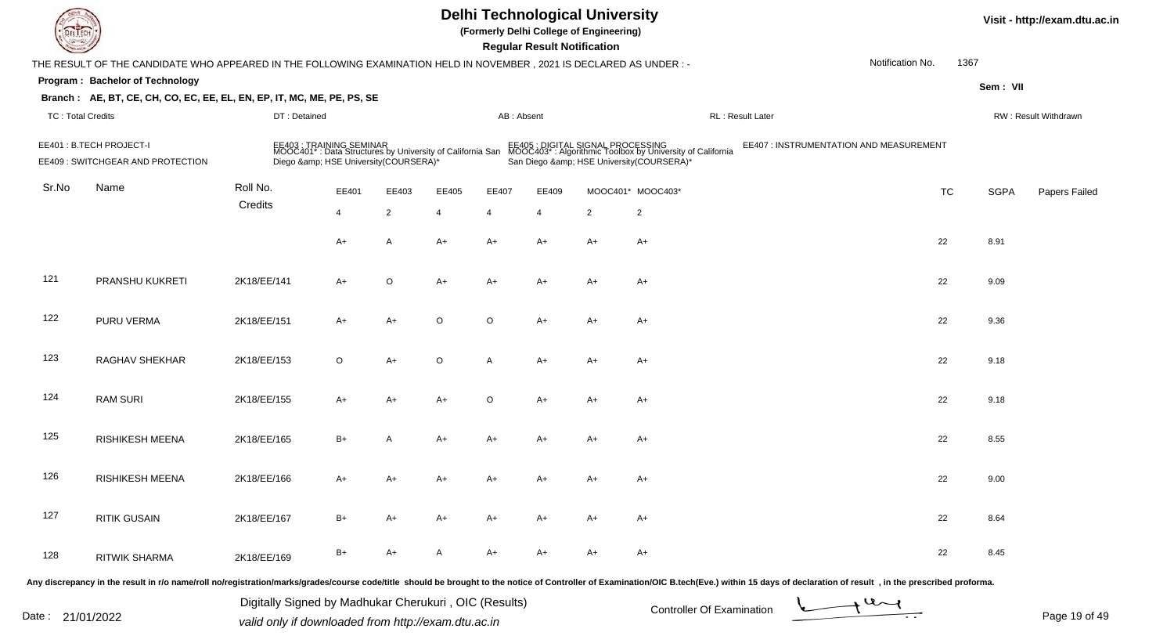| DEL TECH                 |                                                                                                                      |                                                                                                                             |                |                |         |            | <b>Regular Result Notification</b> | <b>Delhi Technological University</b><br>(Formerly Delhi College of Engineering) |                                                                                                                                          |                                                                                                                                                                                                                                |                  |           |             | Visit - http://exam.dtu.ac.in |
|--------------------------|----------------------------------------------------------------------------------------------------------------------|-----------------------------------------------------------------------------------------------------------------------------|----------------|----------------|---------|------------|------------------------------------|----------------------------------------------------------------------------------|------------------------------------------------------------------------------------------------------------------------------------------|--------------------------------------------------------------------------------------------------------------------------------------------------------------------------------------------------------------------------------|------------------|-----------|-------------|-------------------------------|
|                          | THE RESULT OF THE CANDIDATE WHO APPEARED IN THE FOLLOWING EXAMINATION HELD IN NOVEMBER, 2021 IS DECLARED AS UNDER: - |                                                                                                                             |                |                |         |            |                                    |                                                                                  |                                                                                                                                          |                                                                                                                                                                                                                                | Notification No. | 1367      |             |                               |
|                          | Program: Bachelor of Technology                                                                                      |                                                                                                                             |                |                |         |            |                                    |                                                                                  |                                                                                                                                          |                                                                                                                                                                                                                                |                  |           | Sem: VII    |                               |
|                          | Branch: AE, BT, CE, CH, CO, EC, EE, EL, EN, EP, IT, MC, ME, PE, PS, SE                                               |                                                                                                                             |                |                |         |            |                                    |                                                                                  |                                                                                                                                          |                                                                                                                                                                                                                                |                  |           |             |                               |
| <b>TC: Total Credits</b> |                                                                                                                      | DT: Detained                                                                                                                |                |                |         | AB: Absent |                                    |                                                                                  |                                                                                                                                          | RL: Result Later                                                                                                                                                                                                               |                  |           |             | RW: Result Withdrawn          |
|                          | EE401 : B.TECH PROJECT-I<br>EE409: SWITCHGEAR AND PROTECTION                                                         | EE403 : TRAINING SEMINAR<br>MOOC401* : Data Structures by University of California San<br>Diego & HSE University(COURSERA)* |                |                |         |            |                                    |                                                                                  | EE405 : DIGITAL SIGNAL PROCESSING<br>MOOC403* : Algorithmic Toolbox by University of California<br>San Diego & HSE University(COURSERA)* | EE407 : INSTRUMENTATION AND MEASUREMENT                                                                                                                                                                                        |                  |           |             |                               |
| Sr.No                    | Name                                                                                                                 | Roll No.                                                                                                                    | EE401          | EE403          | EE405   | EE407      | EE409                              |                                                                                  | MOOC401* MOOC403*                                                                                                                        |                                                                                                                                                                                                                                |                  | <b>TC</b> | <b>SGPA</b> | Papers Failed                 |
|                          |                                                                                                                      | Credits                                                                                                                     | $\overline{4}$ | $\overline{2}$ | 4       | 4          | $\overline{4}$                     | $\overline{2}$                                                                   | $\overline{2}$                                                                                                                           |                                                                                                                                                                                                                                |                  |           |             |                               |
|                          |                                                                                                                      |                                                                                                                             | $A+$           | A              | $A+$    | A+         | A+                                 | $A+$                                                                             | A+                                                                                                                                       |                                                                                                                                                                                                                                | 22               |           | 8.91        |                               |
| 121                      | PRANSHU KUKRETI                                                                                                      | 2K18/EE/141                                                                                                                 | A+             | $\circ$        | A+      | $A+$       | A+                                 | $A+$                                                                             | A+                                                                                                                                       |                                                                                                                                                                                                                                | 22               |           | 9.09        |                               |
| 122                      | PURU VERMA                                                                                                           | 2K18/EE/151                                                                                                                 | $A+$           | $A+$           | $\circ$ | O          | A+                                 | $A+$                                                                             | A+                                                                                                                                       |                                                                                                                                                                                                                                | 22               |           | 9.36        |                               |
| 123                      | RAGHAV SHEKHAR                                                                                                       | 2K18/EE/153                                                                                                                 | $\circ$        | $A+$           | $\circ$ | A          | A+                                 | $A+$                                                                             | A+                                                                                                                                       |                                                                                                                                                                                                                                | 22               |           | 9.18        |                               |
| 124                      | <b>RAM SURI</b>                                                                                                      | 2K18/EE/155                                                                                                                 | $A+$           | $A+$           | A+      | O          | $A+$                               | A+                                                                               | A+                                                                                                                                       |                                                                                                                                                                                                                                | 22               |           | 9.18        |                               |
| 125                      | RISHIKESH MEENA                                                                                                      | 2K18/EE/165                                                                                                                 | $B+$           | A              | A+      | A+         | A+                                 | A+                                                                               | A+                                                                                                                                       |                                                                                                                                                                                                                                | 22               |           | 8.55        |                               |
| 126                      | RISHIKESH MEENA                                                                                                      | 2K18/EE/166                                                                                                                 | $A+$           | A+             | A+      | A+         | A+                                 | A+                                                                               | A+                                                                                                                                       |                                                                                                                                                                                                                                | 22               |           | 9.00        |                               |
| 127                      | <b>RITIK GUSAIN</b>                                                                                                  | 2K18/EE/167                                                                                                                 | $B+$           | A+             | A+      | A+         | A+                                 | $A+$                                                                             | A+                                                                                                                                       |                                                                                                                                                                                                                                | 22               |           | 8.64        |                               |
| 128                      | <b>RITWIK SHARMA</b>                                                                                                 | 2K18/EE/169                                                                                                                 | B+             | $A+$           | A       | A+         | A+                                 | $A+$                                                                             | A+                                                                                                                                       |                                                                                                                                                                                                                                | 22               |           | 8.45        |                               |
|                          |                                                                                                                      |                                                                                                                             |                |                |         |            |                                    |                                                                                  |                                                                                                                                          | Any discrepancy in the result in r/o name/roll no/registration/marks/grades/course code/title should be brought to the notice of Controller of Examination/OIC B.tech(Eve.) within 15 days of declaration of result , in the p |                  |           |             |                               |

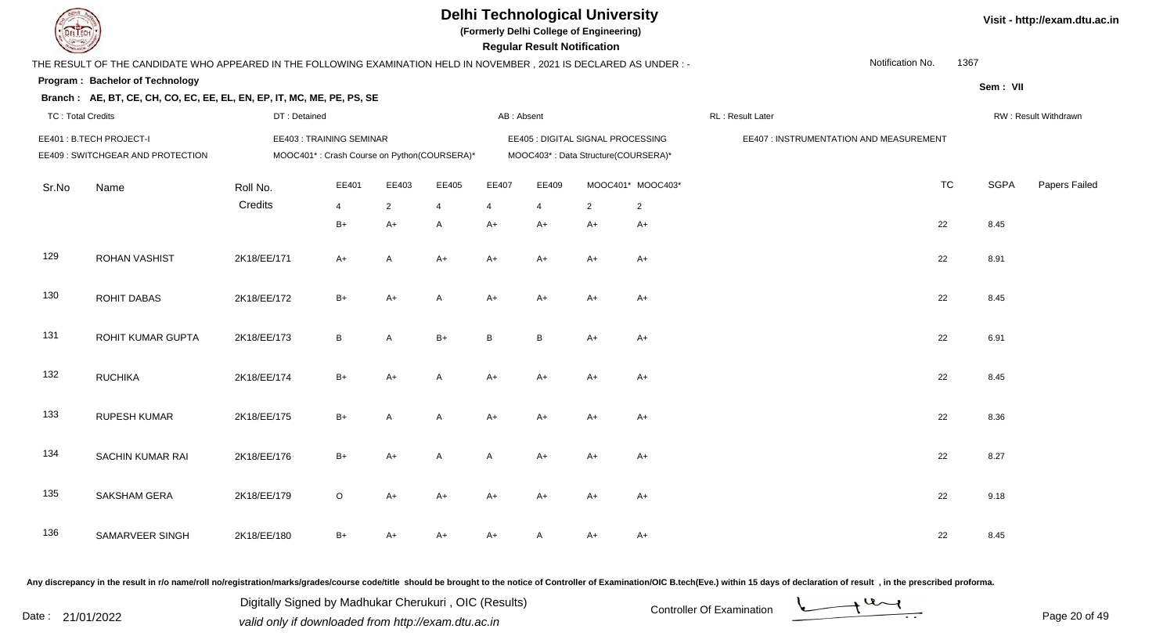

**(Formerly Delhi College of Engineering)**

 **Regular Result Notification**

| <b>Contract of the Contract of the Contract of The Contract of The Contract of The Contract of The Contract of The Contract of The Contract of The Contract of The Contract of The Contract of The Contract of The Contract of T</b> |                                                                                                                     |              |                                             |                |                |            | Regular Result Notification |                                     |                   |                                         |           |             |                      |
|--------------------------------------------------------------------------------------------------------------------------------------------------------------------------------------------------------------------------------------|---------------------------------------------------------------------------------------------------------------------|--------------|---------------------------------------------|----------------|----------------|------------|-----------------------------|-------------------------------------|-------------------|-----------------------------------------|-----------|-------------|----------------------|
|                                                                                                                                                                                                                                      | THE RESULT OF THE CANDIDATE WHO APPEARED IN THE FOLLOWING EXAMINATION HELD IN NOVEMBER, 2021 IS DECLARED AS UNDER:- |              |                                             |                |                |            |                             |                                     |                   | Notification No.                        | 1367      |             |                      |
|                                                                                                                                                                                                                                      | Program: Bachelor of Technology                                                                                     |              |                                             |                |                |            |                             |                                     |                   |                                         |           | Sem: VII    |                      |
|                                                                                                                                                                                                                                      | Branch: AE, BT, CE, CH, CO, EC, EE, EL, EN, EP, IT, MC, ME, PE, PS, SE                                              |              |                                             |                |                |            |                             |                                     |                   |                                         |           |             |                      |
| <b>TC: Total Credits</b>                                                                                                                                                                                                             |                                                                                                                     | DT: Detained |                                             |                |                | AB: Absent |                             |                                     |                   | RL: Result Later                        |           |             | RW: Result Withdrawn |
|                                                                                                                                                                                                                                      | EE401: B.TECH PROJECT-I                                                                                             |              | EE403: TRAINING SEMINAR                     |                |                |            |                             | EE405 : DIGITAL SIGNAL PROCESSING   |                   | EE407 : INSTRUMENTATION AND MEASUREMENT |           |             |                      |
|                                                                                                                                                                                                                                      | EE409 : SWITCHGEAR AND PROTECTION                                                                                   |              | MOOC401*: Crash Course on Python(COURSERA)* |                |                |            |                             | MOOC403*: Data Structure(COURSERA)* |                   |                                         |           |             |                      |
| Sr.No                                                                                                                                                                                                                                | Name                                                                                                                | Roll No.     | EE401                                       | EE403          | EE405          | EE407      | EE409                       |                                     | MOOC401* MOOC403* |                                         | <b>TC</b> | <b>SGPA</b> | <b>Papers Failed</b> |
|                                                                                                                                                                                                                                      |                                                                                                                     | Credits      | $\overline{4}$                              | $\overline{2}$ | $\overline{4}$ | 4          | $\overline{4}$              | $\overline{2}$                      | $\overline{2}$    |                                         |           |             |                      |
|                                                                                                                                                                                                                                      |                                                                                                                     |              | $B+$                                        | A+             | A              | A+         | A+                          | $A+$                                | $A+$              |                                         | 22        | 8.45        |                      |
| 129                                                                                                                                                                                                                                  | <b>ROHAN VASHIST</b>                                                                                                | 2K18/EE/171  | $A+$                                        | A              | $A+$           | $A+$       | $A+$                        | $A+$                                | $A+$              |                                         | 22        | 8.91        |                      |
| 130                                                                                                                                                                                                                                  | ROHIT DABAS                                                                                                         | 2K18/EE/172  | $B+$                                        | $A+$           | A              | $A+$       | $A+$                        | $A+$                                | $A+$              |                                         | 22        | 8.45        |                      |
| 131                                                                                                                                                                                                                                  | ROHIT KUMAR GUPTA                                                                                                   | 2K18/EE/173  | $\, {\sf B}$                                | A              | $B+$           | B          | $\, {\bf B}$                | $A+$                                | $A+$              |                                         | 22        | 6.91        |                      |
| 132                                                                                                                                                                                                                                  | <b>RUCHIKA</b>                                                                                                      | 2K18/EE/174  | $B+$                                        | A+             | A              | $A+$       | A+                          | $A+$                                | $A+$              |                                         | 22        | 8.45        |                      |
| 133                                                                                                                                                                                                                                  | <b>RUPESH KUMAR</b>                                                                                                 | 2K18/EE/175  | $B+$                                        | A              | A              | $A+$       | A+                          | $A+$                                | $A+$              |                                         | 22        | 8.36        |                      |
| 134                                                                                                                                                                                                                                  | SACHIN KUMAR RAI                                                                                                    | 2K18/EE/176  | $B+$                                        | A+             | A              | A          | A+                          | $A+$                                | $A+$              |                                         | 22        | 8.27        |                      |
| 135                                                                                                                                                                                                                                  | SAKSHAM GERA                                                                                                        | 2K18/EE/179  | $\circ$                                     | A+             | $A+$           | A+         | A+                          | $A+$                                | $A+$              |                                         | 22        | 9.18        |                      |
| 136                                                                                                                                                                                                                                  | SAMARVEER SINGH                                                                                                     | 2K18/EE/180  | $B+$                                        | A+             | A+             | A+         | A                           | A+                                  | $A+$              |                                         | 22        | 8.45        |                      |

Any discrepancy in the result in r/o name/roll no/registration/marks/grades/course code/title should be brought to the notice of Controller of Examination/OIC B.tech(Eve.) within 15 days of declaration of result, in the pr

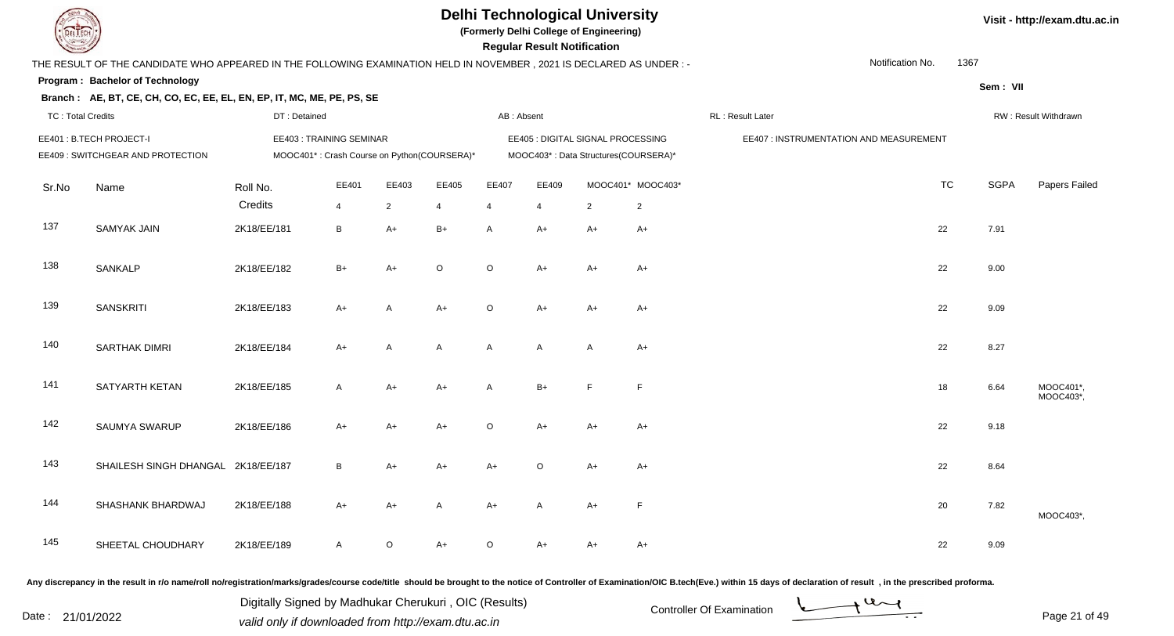

**(Formerly Delhi College of Engineering)**

 **Regular Result Notification**

|                          | THE RESULT OF THE CANDIDATE WHO APPEARED IN THE FOLLOWING EXAMINATION HELD IN NOVEMBER, 2021 IS DECLARED AS UNDER :- |              |                                             |                |                |              |                |                                      |                   |                                         | Notification No. | 1367        |                      |
|--------------------------|----------------------------------------------------------------------------------------------------------------------|--------------|---------------------------------------------|----------------|----------------|--------------|----------------|--------------------------------------|-------------------|-----------------------------------------|------------------|-------------|----------------------|
|                          | Program: Bachelor of Technology                                                                                      |              |                                             |                |                |              |                |                                      |                   |                                         |                  | Sem: VII    |                      |
|                          | Branch: AE, BT, CE, CH, CO, EC, EE, EL, EN, EP, IT, MC, ME, PE, PS, SE                                               |              |                                             |                |                |              |                |                                      |                   |                                         |                  |             |                      |
| <b>TC: Total Credits</b> |                                                                                                                      | DT: Detained |                                             |                |                | AB: Absent   |                |                                      |                   | RL: Result Later                        |                  |             | RW: Result Withdrawn |
|                          | EE401: B.TECH PROJECT-I                                                                                              |              | EE403: TRAINING SEMINAR                     |                |                |              |                | EE405 : DIGITAL SIGNAL PROCESSING    |                   | EE407 : INSTRUMENTATION AND MEASUREMENT |                  |             |                      |
|                          | EE409 : SWITCHGEAR AND PROTECTION                                                                                    |              | MOOC401*: Crash Course on Python(COURSERA)* |                |                |              |                | MOOC403*: Data Structures(COURSERA)* |                   |                                         |                  |             |                      |
|                          |                                                                                                                      |              | EE401                                       | EE403          | EE405          | EE407        | EE409          |                                      | MOOC401* MOOC403* |                                         | <b>TC</b>        | <b>SGPA</b> | Papers Failed        |
| Sr.No                    | Name                                                                                                                 | Roll No.     |                                             |                |                |              |                |                                      |                   |                                         |                  |             |                      |
|                          |                                                                                                                      | Credits      | 4                                           | $\overline{2}$ | $\overline{4}$ | 4            | $\overline{4}$ | $\overline{2}$                       | $\overline{2}$    |                                         |                  |             |                      |
| 137                      | <b>SAMYAK JAIN</b>                                                                                                   | 2K18/EE/181  | B                                           | $A+$           | $B+$           | $\mathsf{A}$ | $A+$           | $A+$                                 | $A+$              |                                         | 22               | 7.91        |                      |
|                          |                                                                                                                      |              |                                             |                |                |              |                |                                      |                   |                                         |                  |             |                      |
| 138                      | SANKALP                                                                                                              | 2K18/EE/182  | $B+$                                        | $A+$           | $\circ$        | $\circ$      | $A+$           | $A+$                                 | $A+$              |                                         | 22               | 9.00        |                      |
|                          |                                                                                                                      |              |                                             |                |                |              |                |                                      |                   |                                         |                  |             |                      |
| 139                      | <b>SANSKRITI</b>                                                                                                     | 2K18/EE/183  | $A+$                                        | A              | $A+$           | $\circ$      | $A+$           | A+                                   | $A+$              |                                         | 22               | 9.09        |                      |
|                          |                                                                                                                      |              |                                             |                |                |              |                |                                      |                   |                                         |                  |             |                      |
| 140                      | <b>SARTHAK DIMRI</b>                                                                                                 | 2K18/EE/184  | $A+$                                        | A              | $\mathsf{A}$   | A            | A              | A                                    | $A+$              |                                         | 22               | 8.27        |                      |
|                          |                                                                                                                      |              |                                             |                |                |              |                |                                      |                   |                                         |                  |             |                      |
| 141                      | SATYARTH KETAN                                                                                                       | 2K18/EE/185  | A                                           | $A+$           | $A+$           | $\mathsf{A}$ | $B+$           | E                                    | F                 |                                         | 18               | 6.64        | MOOC401*,            |
|                          |                                                                                                                      |              |                                             |                |                |              |                |                                      |                   |                                         |                  |             | MOOC403*,            |
| 142                      | <b>SAUMYA SWARUP</b>                                                                                                 | 2K18/EE/186  | $A+$                                        | $A+$           | $A+$           | $\circ$      | $A+$           | $A+$                                 | $A+$              |                                         | 22               | 9.18        |                      |
|                          |                                                                                                                      |              |                                             |                |                |              |                |                                      |                   |                                         |                  |             |                      |
| 143                      | SHAILESH SINGH DHANGAL 2K18/EE/187                                                                                   |              | B                                           | $A+$           | $A+$           | $A+$         | $\circ$        | $A+$                                 | $A+$              |                                         | 22               | 8.64        |                      |
|                          |                                                                                                                      |              |                                             |                |                |              |                |                                      |                   |                                         |                  |             |                      |
| 144                      | SHASHANK BHARDWAJ                                                                                                    | 2K18/EE/188  | $A+$                                        | A+             | $\mathsf{A}$   | $A+$         | A              | $A+$                                 | $\mathsf F$       |                                         | 20               | 7.82        |                      |
|                          |                                                                                                                      |              |                                             |                |                |              |                |                                      |                   |                                         |                  |             | MOOC403*,            |
| 145                      |                                                                                                                      |              |                                             |                |                |              |                |                                      |                   |                                         |                  |             |                      |
|                          | SHEETAL CHOUDHARY                                                                                                    | 2K18/EE/189  | $\mathsf{A}$                                | $\circ$        | $A+$           | $\circ$      | A+             | A+                                   | $A+$              |                                         | 22               | 9.09        |                      |

Any discrepancy in the result in r/o name/roll no/registration/marks/grades/course code/title should be brought to the notice of Controller of Examination/OIC B.tech(Eve.) within 15 days of declaration of result, in the pr

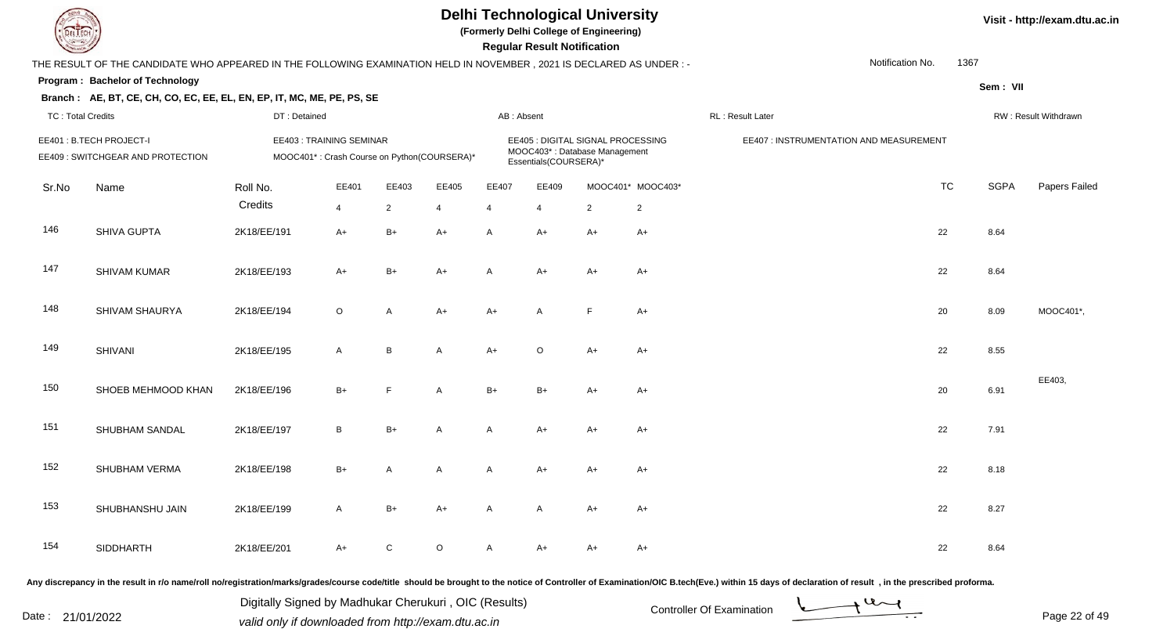

**(Formerly Delhi College of Engineering)**

 **Regular Result Notification**

|                          | THE RESULT OF THE CANDIDATE WHO APPEARED IN THE FOLLOWING EXAMINATION HELD IN NOVEMBER, 2021 IS DECLARED AS UNDER :- |                     |                                                                        |                         |                         |                         |                         |                                                                    |                                     | Notification No.                        | 1367      |             |                      |
|--------------------------|----------------------------------------------------------------------------------------------------------------------|---------------------|------------------------------------------------------------------------|-------------------------|-------------------------|-------------------------|-------------------------|--------------------------------------------------------------------|-------------------------------------|-----------------------------------------|-----------|-------------|----------------------|
|                          | Program: Bachelor of Technology                                                                                      |                     |                                                                        |                         |                         |                         |                         |                                                                    |                                     |                                         |           | Sem: VII    |                      |
| <b>TC: Total Credits</b> | Branch: AE, BT, CE, CH, CO, EC, EE, EL, EN, EP, IT, MC, ME, PE, PS, SE                                               | DT: Detained        |                                                                        |                         |                         | AB: Absent              |                         |                                                                    |                                     | RL: Result Later                        |           |             | RW: Result Withdrawn |
|                          | EE401: B.TECH PROJECT-I<br>EE409 : SWITCHGEAR AND PROTECTION                                                         |                     | EE403: TRAINING SEMINAR<br>MOOC401*: Crash Course on Python(COURSERA)* |                         |                         |                         | Essentials(COURSERA)*   | EE405 : DIGITAL SIGNAL PROCESSING<br>MOOC403*: Database Management |                                     | EE407 : INSTRUMENTATION AND MEASUREMENT |           |             |                      |
| Sr.No                    | Name                                                                                                                 | Roll No.<br>Credits | EE401<br>$\overline{4}$                                                | EE403<br>$\overline{2}$ | EE405<br>$\overline{4}$ | EE407<br>$\overline{4}$ | EE409<br>$\overline{4}$ | $\overline{2}$                                                     | MOOC401* MOOC403*<br>$\overline{2}$ |                                         | <b>TC</b> | <b>SGPA</b> | Papers Failec        |
| 146                      | SHIVA GUPTA                                                                                                          | 2K18/EE/191         | $A+$                                                                   | $B+$                    | $A+$                    | Α                       | $A+$                    | $A+$                                                               | $A+$                                |                                         | 22        | 8.64        |                      |
| 147                      | <b>SHIVAM KUMAR</b>                                                                                                  | 2K18/EE/193         | $A+$                                                                   | $B+$                    | $A+$                    | $\overline{A}$          | $A+$                    | $A+$                                                               | $A+$                                |                                         | 22        | 8.64        |                      |
| 148                      | SHIVAM SHAURYA                                                                                                       | 2K18/EE/194         | $\circ$                                                                | A                       | $A+$                    | $A+$                    | $\overline{A}$          | F                                                                  | $A+$                                |                                         | 20        | 8.09        | MOOC401*,            |
| 149                      | <b>SHIVANI</b>                                                                                                       | 2K18/EE/195         | A                                                                      | B                       | $\mathsf{A}$            | $A+$                    | $\circ$                 | $A+$                                                               | A+                                  |                                         | 22        | 8.55        |                      |
| 150                      | SHOEB MEHMOOD KHAN                                                                                                   | 2K18/EE/196         | $B+$                                                                   | E                       | $\mathsf{A}$            | $B+$                    | $B+$                    | $A+$                                                               | $A+$                                |                                         | 20        | 6.91        | EE403,               |
| 151                      | SHUBHAM SANDAL                                                                                                       | 2K18/EE/197         | $\sf B$                                                                | $B+$                    | $\mathsf{A}$            | $\overline{A}$          | $A+$                    | $A+$                                                               | $A+$                                |                                         | 22        | 7.91        |                      |
| 152                      | SHUBHAM VERMA                                                                                                        | 2K18/EE/198         | $B+$                                                                   | A                       | A                       | Α                       | $A+$                    | $A+$                                                               | $A+$                                |                                         | 22        | 8.18        |                      |
| 153                      | SHUBHANSHU JAIN                                                                                                      | 2K18/EE/199         | $\mathsf{A}$                                                           | $B+$                    | $A+$                    | $\overline{A}$          | $\overline{A}$          | $A+$                                                               | A+                                  |                                         | 22        | 8.27        |                      |
| 154                      | SIDDHARTH                                                                                                            | 2K18/EE/201         | $A+$                                                                   | C                       | $\circ$                 | Α                       | $A+$                    | $A+$                                                               | $A+$                                |                                         | 22        | 8.64        |                      |

Any discrepancy in the result in r/o name/roll no/registration/marks/grades/course code/title should be brought to the notice of Controller of Examination/OIC B.tech(Eve.) within 15 days of declaration of result, in the pr

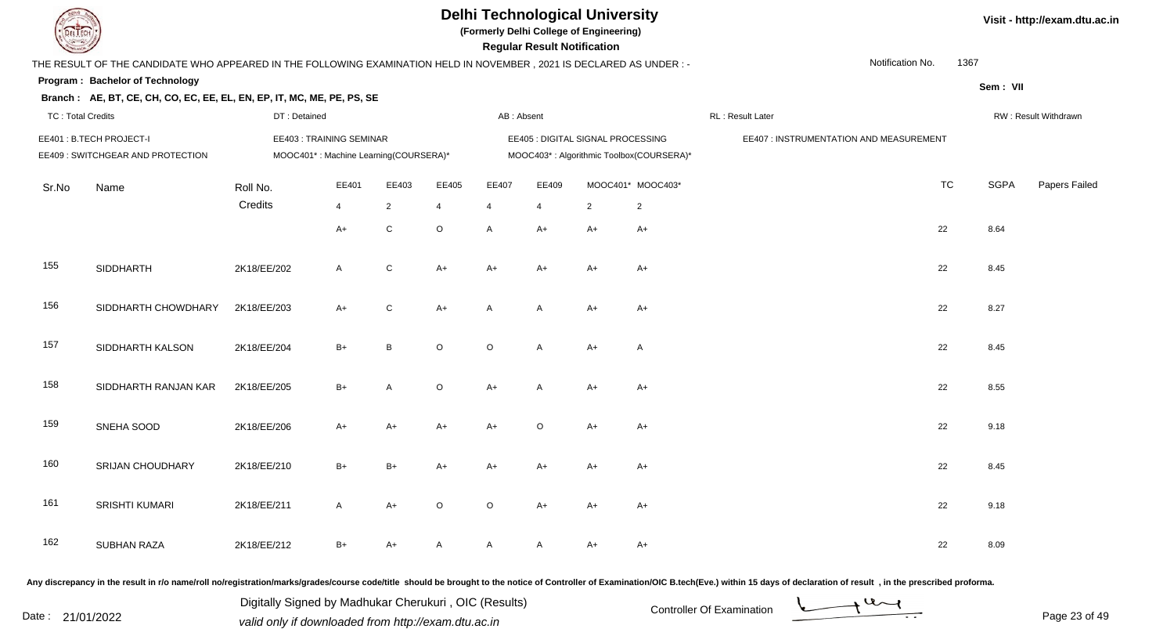

**(Formerly Delhi College of Engineering)**

 **Regular Result Notification**

| $\overline{\phantom{a}}$ |                                                                                                                     |              |                                       |                |                |             | noguiai nosuit notiiloation. |                                   |                                          |                                         |           |             |                      |
|--------------------------|---------------------------------------------------------------------------------------------------------------------|--------------|---------------------------------------|----------------|----------------|-------------|------------------------------|-----------------------------------|------------------------------------------|-----------------------------------------|-----------|-------------|----------------------|
|                          | THE RESULT OF THE CANDIDATE WHO APPEARED IN THE FOLLOWING EXAMINATION HELD IN NOVEMBER, 2021 IS DECLARED AS UNDER:- |              |                                       |                |                |             |                              |                                   |                                          | Notification No.                        | 1367      |             |                      |
|                          | Program: Bachelor of Technology                                                                                     |              |                                       |                |                |             |                              |                                   |                                          |                                         |           | Sem: VII    |                      |
|                          | Branch: AE, BT, CE, CH, CO, EC, EE, EL, EN, EP, IT, MC, ME, PE, PS, SE                                              |              |                                       |                |                |             |                              |                                   |                                          |                                         |           |             |                      |
| <b>TC: Total Credits</b> |                                                                                                                     | DT: Detained |                                       |                |                | AB: Absent  |                              |                                   |                                          | RL: Result Later                        |           |             | RW: Result Withdrawn |
|                          | EE401: B.TECH PROJECT-I                                                                                             |              | EE403: TRAINING SEMINAR               |                |                |             |                              | EE405 : DIGITAL SIGNAL PROCESSING |                                          | EE407 : INSTRUMENTATION AND MEASUREMENT |           |             |                      |
|                          | EE409 : SWITCHGEAR AND PROTECTION                                                                                   |              | MOOC401*: Machine Learning(COURSERA)* |                |                |             |                              |                                   | MOOC403*: Algorithmic Toolbox(COURSERA)* |                                         |           |             |                      |
|                          |                                                                                                                     |              |                                       |                |                |             |                              |                                   |                                          |                                         |           |             |                      |
| Sr.No                    | Name                                                                                                                | Roll No.     | EE401                                 | EE403          | EE405          | EE407       | EE409                        |                                   | MOOC401* MOOC403*                        |                                         | <b>TC</b> | <b>SGPA</b> | Papers Failed        |
|                          |                                                                                                                     | Credits      | 4                                     | $\overline{2}$ | $\overline{4}$ | 4           | 4                            | $\overline{2}$                    | $\overline{2}$                           |                                         |           |             |                      |
|                          |                                                                                                                     |              | $A+$                                  | C              | $\circ$        | A           |                              | $A+$                              | $A+$                                     |                                         | 22        | 8.64        |                      |
|                          |                                                                                                                     |              |                                       |                |                |             | $A+$                         |                                   |                                          |                                         |           |             |                      |
|                          |                                                                                                                     |              |                                       |                |                |             |                              |                                   |                                          |                                         |           |             |                      |
| 155                      | SIDDHARTH                                                                                                           | 2K18/EE/202  | $\mathsf{A}$                          | C              | $A+$           | $A+$        | $A+$                         | $A+$                              | $A+$                                     |                                         | 22        | 8.45        |                      |
|                          |                                                                                                                     |              |                                       |                |                |             |                              |                                   |                                          |                                         |           |             |                      |
| 156                      | SIDDHARTH CHOWDHARY                                                                                                 | 2K18/EE/203  | $A+$                                  | C              | $A+$           | Α           | A                            | $A+$                              | A+                                       |                                         | 22        | 8.27        |                      |
|                          |                                                                                                                     |              |                                       |                |                |             |                              |                                   |                                          |                                         |           |             |                      |
| 157                      | SIDDHARTH KALSON                                                                                                    | 2K18/EE/204  | $B+$                                  | В              | $\mathsf O$    | $\mathsf O$ | A                            | $A+$                              | A                                        |                                         | 22        | 8.45        |                      |
|                          |                                                                                                                     |              |                                       |                |                |             |                              |                                   |                                          |                                         |           |             |                      |
| 158                      | SIDDHARTH RANJAN KAR                                                                                                | 2K18/EE/205  | $B+$                                  | A              | $\mathsf O$    | $A+$        | A                            | $A+$                              | $A+$                                     |                                         | 22        | 8.55        |                      |
|                          |                                                                                                                     |              |                                       |                |                |             |                              |                                   |                                          |                                         |           |             |                      |
| 159                      | SNEHA SOOD                                                                                                          | 2K18/EE/206  |                                       |                |                |             | $\circ$                      |                                   |                                          |                                         | 22        | 9.18        |                      |
|                          |                                                                                                                     |              | $A+$                                  | A+             | $A+$           | $A+$        |                              | $A+$                              | $A+$                                     |                                         |           |             |                      |
|                          |                                                                                                                     |              |                                       |                |                |             |                              |                                   |                                          |                                         |           |             |                      |
| 160                      | SRIJAN CHOUDHARY                                                                                                    | 2K18/EE/210  | $B+$                                  | $B+$           | $A+$           | $A+$        | A+                           | $A+$                              | $A+$                                     |                                         | 22        | 8.45        |                      |
|                          |                                                                                                                     |              |                                       |                |                |             |                              |                                   |                                          |                                         |           |             |                      |
| 161                      | SRISHTI KUMARI                                                                                                      | 2K18/EE/211  | $\mathsf{A}$                          | $A+$           | $\circ$        | $\circ$     | $A+$                         | $A+$                              | $A+$                                     |                                         | 22        | 9.18        |                      |
|                          |                                                                                                                     |              |                                       |                |                |             |                              |                                   |                                          |                                         |           |             |                      |
| 162                      | <b>SUBHAN RAZA</b>                                                                                                  | 2K18/EE/212  | $B+$                                  | A+             | A              | A           | A                            | $A+$                              | A+                                       |                                         | 22        | 8.09        |                      |
|                          |                                                                                                                     |              |                                       |                |                |             |                              |                                   |                                          |                                         |           |             |                      |

Any discrepancy in the result in r/o name/roll no/registration/marks/grades/course code/title should be brought to the notice of Controller of Examination/OIC B.tech(Eve.) within 15 days of declaration of result, in the pr

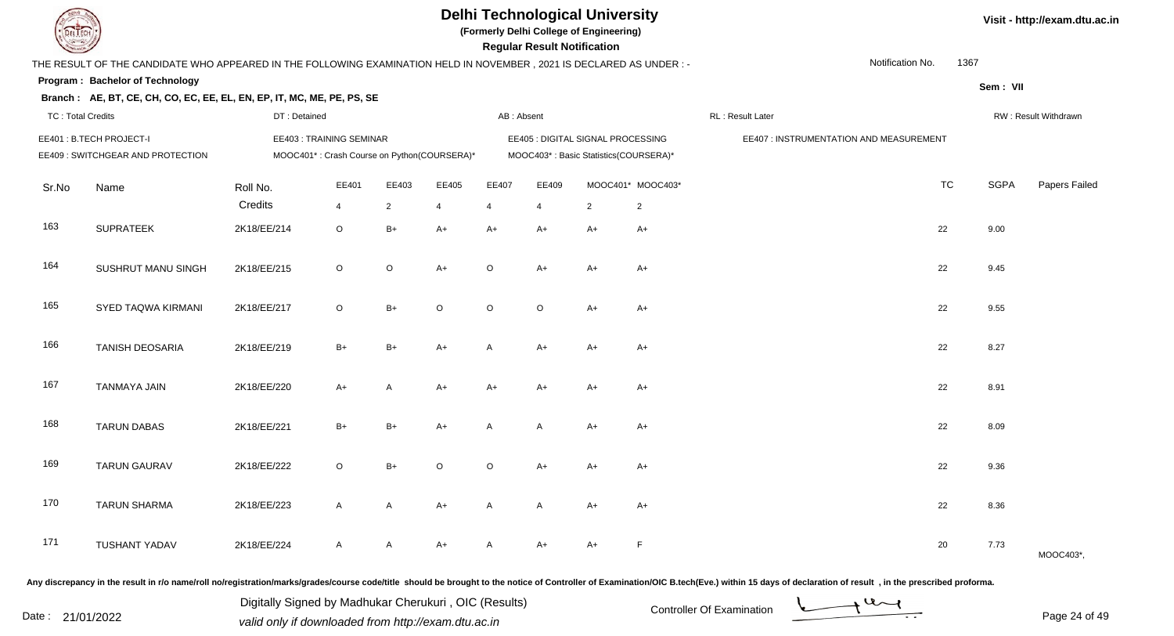

**(Formerly Delhi College of Engineering)**

 **Regular Result Notification**

|                          | THE RESULT OF THE CANDIDATE WHO APPEARED IN THE FOLLOWING EXAMINATION HELD IN NOVEMBER, 2021 IS DECLARED AS UNDER:- |              |                                                                         |                |                |            |                |                                                                            |                   | Notification No.                        | 1367      |             |                      |
|--------------------------|---------------------------------------------------------------------------------------------------------------------|--------------|-------------------------------------------------------------------------|----------------|----------------|------------|----------------|----------------------------------------------------------------------------|-------------------|-----------------------------------------|-----------|-------------|----------------------|
|                          | Program: Bachelor of Technology<br>Branch: AE, BT, CE, CH, CO, EC, EE, EL, EN, EP, IT, MC, ME, PE, PS, SE           |              |                                                                         |                |                |            |                |                                                                            |                   |                                         |           | Sem: VII    |                      |
| <b>TC: Total Credits</b> |                                                                                                                     | DT: Detained |                                                                         |                |                | AB: Absent |                |                                                                            |                   | RL : Result Later                       |           |             | RW: Result Withdrawn |
|                          | EE401: B.TECH PROJECT-I<br>EE409 : SWITCHGEAR AND PROTECTION                                                        |              | EE403 : TRAINING SEMINAR<br>MOOC401*: Crash Course on Python(COURSERA)* |                |                |            |                | EE405 : DIGITAL SIGNAL PROCESSING<br>MOOC403*: Basic Statistics(COURSERA)* |                   | EE407 : INSTRUMENTATION AND MEASUREMENT |           |             |                      |
| Sr.No                    | Name                                                                                                                | Roll No.     | EE401                                                                   | EE403          | EE405          | EE407      | EE409          |                                                                            | MOOC401* MOOC403* |                                         | <b>TC</b> | <b>SGPA</b> | Papers Failed        |
|                          |                                                                                                                     | Credits      | $\overline{4}$                                                          | $\overline{2}$ | $\overline{4}$ | 4          | $\overline{4}$ | $\overline{2}$                                                             | $\overline{2}$    |                                         |           |             |                      |
| 163                      | <b>SUPRATEEK</b>                                                                                                    | 2K18/EE/214  | $\circ$                                                                 | $B+$           | $A+$           | $A+$       | $A+$           | $A+$                                                                       | $A+$              |                                         | 22        | 9.00        |                      |
| 164                      | SUSHRUT MANU SINGH                                                                                                  | 2K18/EE/215  | $\circ$                                                                 | $\circ$        | $A+$           | $\circ$    | $A+$           | $A+$                                                                       | $A+$              |                                         | 22        | 9.45        |                      |
| 165                      | SYED TAQWA KIRMANI                                                                                                  | 2K18/EE/217  | $\circ$                                                                 | $B+$           | $\circ$        | $\circ$    | $\circ$        | $A+$                                                                       | $A+$              |                                         | 22        | 9.55        |                      |
| 166                      | <b>TANISH DEOSARIA</b>                                                                                              | 2K18/EE/219  | $B+$                                                                    | $B+$           | $A+$           | A          | $A+$           | $A+$                                                                       | $A+$              |                                         | 22        | 8.27        |                      |
| 167                      | <b>TANMAYA JAIN</b>                                                                                                 | 2K18/EE/220  | $A+$                                                                    | A              | $A+$           | $A+$       | $A+$           | $A+$                                                                       | $A+$              |                                         | 22        | 8.91        |                      |
| 168                      | <b>TARUN DABAS</b>                                                                                                  | 2K18/EE/221  | $B+$                                                                    | $B+$           | $A+$           | Α          | A              | $A+$                                                                       | $A+$              |                                         | 22        | 8.09        |                      |
| 169                      | <b>TARUN GAURAV</b>                                                                                                 | 2K18/EE/222  | $\circ$                                                                 | $B+$           | $\circ$        | $\circ$    | $A+$           | $A+$                                                                       | $A+$              |                                         | 22        | 9.36        |                      |
| 170                      | <b>TARUN SHARMA</b>                                                                                                 | 2K18/EE/223  | A                                                                       | A              | $A+$           | A          | A              | $A+$                                                                       | $A+$              |                                         | 22        | 8.36        |                      |
| 171                      | <b>TUSHANT YADAV</b>                                                                                                | 2K18/EE/224  | A                                                                       |                | $A+$           |            | A+             | A+                                                                         | F                 |                                         | 20        | 7.73        | MOOC403*,            |
|                          |                                                                                                                     |              |                                                                         |                |                |            |                |                                                                            |                   |                                         |           |             |                      |

Any discrepancy in the result in r/o name/roll no/registration/marks/grades/course code/title should be brought to the notice of Controller of Examination/OIC B.tech(Eve.) within 15 days of declaration of result, in the pr

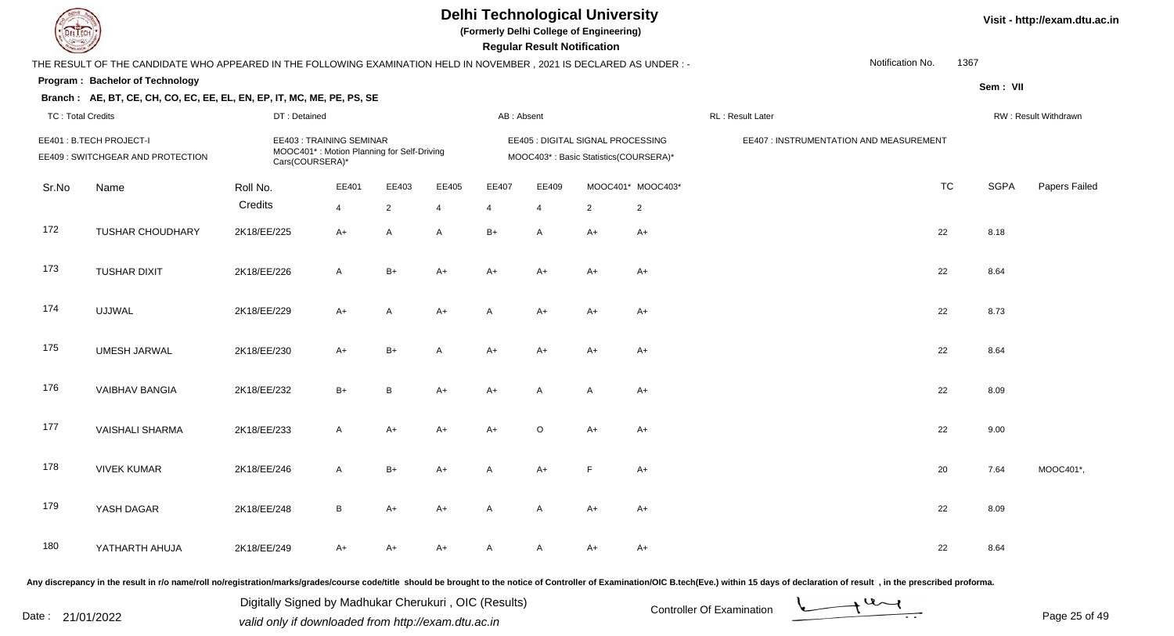

**(Formerly Delhi College of Engineering)**

 **Regular Result Notification**

|                          | THE RESULT OF THE CANDIDATE WHO APPEARED IN THE FOLLOWING EXAMINATION HELD IN NOVEMBER, 2021 IS DECLARED AS UNDER :- |                 |                                                                              |                |                |              |                |                                                                            |                   | Notification No.                        | 1367      |             |                      |
|--------------------------|----------------------------------------------------------------------------------------------------------------------|-----------------|------------------------------------------------------------------------------|----------------|----------------|--------------|----------------|----------------------------------------------------------------------------|-------------------|-----------------------------------------|-----------|-------------|----------------------|
|                          | Program: Bachelor of Technology                                                                                      |                 |                                                                              |                |                |              |                |                                                                            |                   |                                         |           | Sem: VII    |                      |
|                          | Branch: AE, BT, CE, CH, CO, EC, EE, EL, EN, EP, IT, MC, ME, PE, PS, SE                                               |                 |                                                                              |                |                |              |                |                                                                            |                   |                                         |           |             |                      |
| <b>TC: Total Credits</b> |                                                                                                                      | DT: Detained    |                                                                              |                |                | AB: Absent   |                |                                                                            |                   | RL : Result Later                       |           |             | RW: Result Withdrawn |
|                          | EE401: B.TECH PROJECT-I<br>EE409 : SWITCHGEAR AND PROTECTION                                                         | Cars(COURSERA)* | <b>EE403: TRAINING SEMINAR</b><br>MOOC401*: Motion Planning for Self-Driving |                |                |              |                | EE405 : DIGITAL SIGNAL PROCESSING<br>MOOC403*: Basic Statistics(COURSERA)* |                   | EE407 : INSTRUMENTATION AND MEASUREMENT |           |             |                      |
| Sr.No                    | Name                                                                                                                 | Roll No.        | EE401                                                                        | EE403          | EE405          | EE407        | EE409          |                                                                            | MOOC401* MOOC403* |                                         | <b>TC</b> | <b>SGPA</b> | Papers Failed        |
|                          |                                                                                                                      | Credits         | $\overline{4}$                                                               | $\overline{2}$ | $\overline{4}$ | 4            | $\overline{4}$ | $\overline{2}$                                                             | $\overline{2}$    |                                         |           |             |                      |
| 172                      | TUSHAR CHOUDHARY                                                                                                     | 2K18/EE/225     | $A+$                                                                         | A              | A              | $B+$         | A              | $A+$                                                                       | $A+$              |                                         | 22        | 8.18        |                      |
| 173                      | <b>TUSHAR DIXIT</b>                                                                                                  | 2K18/EE/226     | $\mathsf{A}$                                                                 | $B+$           | $A+$           | A+           | A+             | A+                                                                         | A+                |                                         | 22        | 8.64        |                      |
| 174                      | <b>UJJWAL</b>                                                                                                        | 2K18/EE/229     | $A+$                                                                         | $\mathsf{A}$   | $A+$           | $\mathsf{A}$ | $A+$           | $A+$                                                                       | $A+$              |                                         | 22        | 8.73        |                      |
| 175                      | <b>UMESH JARWAL</b>                                                                                                  | 2K18/EE/230     | $A+$                                                                         | $B+$           | $\mathsf{A}$   | $A+$         | $A+$           | $A+$                                                                       | $A+$              |                                         | 22        | 8.64        |                      |
| 176                      | <b>VAIBHAV BANGIA</b>                                                                                                | 2K18/EE/232     | $B+$                                                                         | B              | $A+$           | A+           | A              | A                                                                          | $A+$              |                                         | 22        | 8.09        |                      |
| 177                      | <b>VAISHALI SHARMA</b>                                                                                               | 2K18/EE/233     | $\mathsf{A}$                                                                 | $A+$           | $A+$           | A+           | O              | $A+$                                                                       | A+                |                                         | 22        | 9.00        |                      |
| 178                      | <b>VIVEK KUMAR</b>                                                                                                   | 2K18/EE/246     | $\mathsf{A}$                                                                 | $B+$           | $A+$           | A            | A+             | F                                                                          | $A+$              |                                         | 20        | 7.64        | MOOC401*,            |
| 179                      | YASH DAGAR                                                                                                           | 2K18/EE/248     | $\, {\bf B} \,$                                                              | $A+$           | $A+$           | $\mathsf{A}$ | A              | $A+$                                                                       | $A+$              |                                         | 22        | 8.09        |                      |
| 180                      | YATHARTH AHUJA                                                                                                       | 2K18/EE/249     | $A+$                                                                         | $A+$           | $A+$           | A            | A              | $A+$                                                                       | $A+$              |                                         | 22        | 8.64        |                      |

Any discrepancy in the result in r/o name/roll no/registration/marks/grades/course code/title should be brought to the notice of Controller of Examination/OIC B.tech(Eve.) within 15 days of declaration of result, in the pr

Date : 21/01/2022 Valid only if downloaded from http://exam.dtu.ac.in<br>Valid only if downloaded from http://exam.dtu.ac.in

Digitally Signed by Madhukar Cherukuri , OIC (Results)

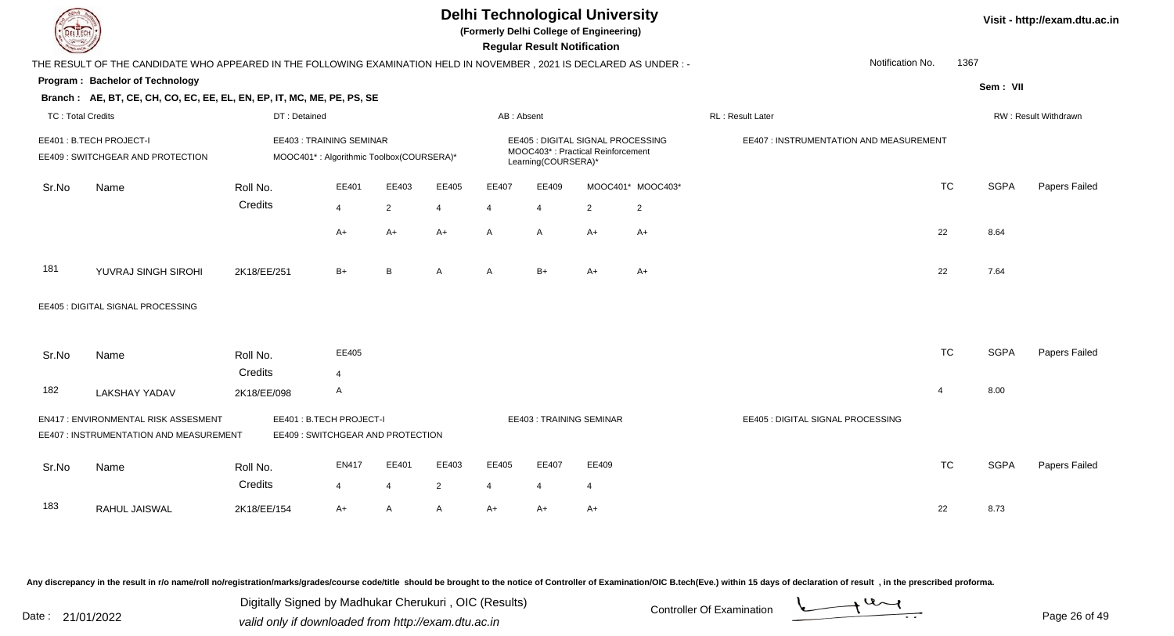|                          |                                                                                                                      |              |                                                                            |                |                |              | <b>Regular Result Notification</b> | <b>Delhi Technological University</b><br>(Formerly Delhi College of Engineering) |                   |                                         |                |             | Visit - http://exam.dtu.ac.in |
|--------------------------|----------------------------------------------------------------------------------------------------------------------|--------------|----------------------------------------------------------------------------|----------------|----------------|--------------|------------------------------------|----------------------------------------------------------------------------------|-------------------|-----------------------------------------|----------------|-------------|-------------------------------|
|                          | THE RESULT OF THE CANDIDATE WHO APPEARED IN THE FOLLOWING EXAMINATION HELD IN NOVEMBER, 2021 IS DECLARED AS UNDER :- |              |                                                                            |                |                |              |                                    |                                                                                  |                   | Notification No.                        | 1367           |             |                               |
|                          | <b>Program: Bachelor of Technology</b>                                                                               |              |                                                                            |                |                |              |                                    |                                                                                  |                   |                                         |                |             |                               |
|                          | Branch: AE, BT, CE, CH, CO, EC, EE, EL, EN, EP, IT, MC, ME, PE, PS, SE                                               |              |                                                                            |                |                |              |                                    |                                                                                  |                   |                                         |                | Sem: VII    |                               |
| <b>TC: Total Credits</b> |                                                                                                                      | DT: Detained |                                                                            |                |                | AB: Absent   |                                    |                                                                                  |                   | <b>RL: Result Later</b>                 |                |             | RW: Result Withdrawn          |
|                          | EE401: B.TECH PROJECT-I<br>EE409: SWITCHGEAR AND PROTECTION                                                          |              | <b>EE403: TRAINING SEMINAR</b><br>MOOC401*: Algorithmic Toolbox(COURSERA)* |                |                |              | Learning(COURSERA)*                | EE405 : DIGITAL SIGNAL PROCESSING<br>MOOC403*: Practical Reinforcement           |                   | EE407 : INSTRUMENTATION AND MEASUREMENT |                |             |                               |
| Sr.No                    | Name                                                                                                                 | Roll No.     | EE401                                                                      | EE403          | EE405          | EE407        | EE409                              |                                                                                  | MOOC401* MOOC403* |                                         | <b>TC</b>      | <b>SGPA</b> | Papers Failed                 |
|                          |                                                                                                                      | Credits      | 4                                                                          | $\overline{2}$ | $\overline{4}$ | 4            | 4                                  | $\overline{2}$                                                                   | $\overline{c}$    |                                         |                |             |                               |
|                          |                                                                                                                      |              | $A+$                                                                       | $A+$           | A+             | $\mathsf{A}$ | A                                  | A+                                                                               | A+                |                                         | 22             | 8.64        |                               |
| 181                      | YUVRAJ SINGH SIROHI                                                                                                  | 2K18/EE/251  | $B+$                                                                       | B              | A              | A            | $B+$                               | $A+$                                                                             | A+                |                                         | 22             | 7.64        |                               |
|                          | EE405 : DIGITAL SIGNAL PROCESSING                                                                                    |              |                                                                            |                |                |              |                                    |                                                                                  |                   |                                         |                |             |                               |
| Sr.No                    | Name                                                                                                                 | Roll No.     | EE405                                                                      |                |                |              |                                    |                                                                                  |                   |                                         | <b>TC</b>      | <b>SGPA</b> | Papers Failed                 |
|                          |                                                                                                                      | Credits      | 4                                                                          |                |                |              |                                    |                                                                                  |                   |                                         |                |             |                               |
| 182                      | <b>LAKSHAY YADAV</b>                                                                                                 | 2K18/EE/098  | A                                                                          |                |                |              |                                    |                                                                                  |                   |                                         | $\overline{4}$ | 8.00        |                               |
|                          | EN417: ENVIRONMENTAL RISK ASSESMENT<br>EE407 : INSTRUMENTATION AND MEASUREMENT                                       |              | EE401: B.TECH PROJECT-I<br>EE409: SWITCHGEAR AND PROTECTION                |                |                |              |                                    | <b>EE403: TRAINING SEMINAR</b>                                                   |                   | EE405 : DIGITAL SIGNAL PROCESSING       |                |             |                               |
| Sr.No                    | Name                                                                                                                 | Roll No.     | <b>EN417</b>                                                               | EE401          | EE403          | EE405        | EE407                              | EE409                                                                            |                   |                                         | <b>TC</b>      | <b>SGPA</b> | Papers Failed                 |
|                          |                                                                                                                      | Credits      | 4                                                                          | $\overline{4}$ | $\overline{2}$ | 4            | 4                                  | $\overline{4}$                                                                   |                   |                                         |                |             |                               |
| 183                      | RAHUL JAISWAL                                                                                                        | 2K18/EE/154  | $A+$                                                                       | A              | A              | $A+$         | A+                                 | A+                                                                               |                   |                                         | 22             | 8.73        |                               |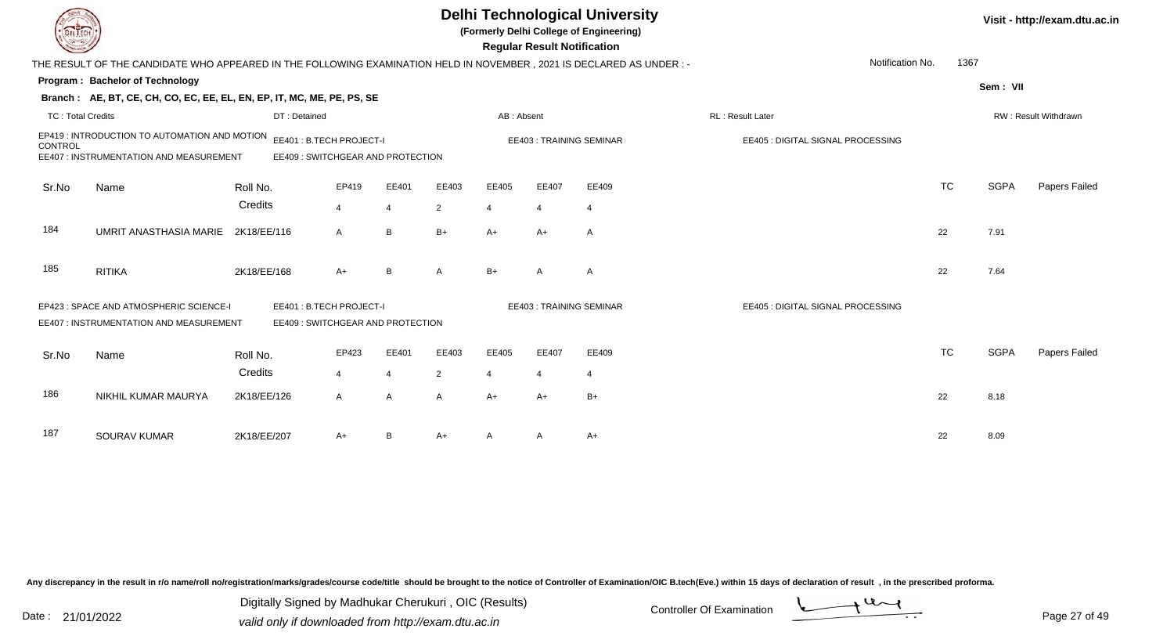| <b>DELTECH</b>                         |             |                                                                                                                                                                                |                |                                                                                                                              |                                                                      |                |                |                                                                                                                                                                                                                                                                                                             |           |                                                                                            | Visit - http://exam.dtu.ac.in |
|----------------------------------------|-------------|--------------------------------------------------------------------------------------------------------------------------------------------------------------------------------|----------------|------------------------------------------------------------------------------------------------------------------------------|----------------------------------------------------------------------|----------------|----------------|-------------------------------------------------------------------------------------------------------------------------------------------------------------------------------------------------------------------------------------------------------------------------------------------------------------|-----------|--------------------------------------------------------------------------------------------|-------------------------------|
|                                        |             |                                                                                                                                                                                |                |                                                                                                                              |                                                                      |                |                |                                                                                                                                                                                                                                                                                                             |           |                                                                                            |                               |
| <b>Program: Bachelor of Technology</b> |             |                                                                                                                                                                                |                |                                                                                                                              |                                                                      |                |                |                                                                                                                                                                                                                                                                                                             |           |                                                                                            |                               |
|                                        |             |                                                                                                                                                                                |                |                                                                                                                              |                                                                      |                |                |                                                                                                                                                                                                                                                                                                             |           |                                                                                            |                               |
| <b>TC: Total Credits</b>               |             |                                                                                                                                                                                |                |                                                                                                                              |                                                                      |                |                | RL: Result Later                                                                                                                                                                                                                                                                                            |           |                                                                                            | RW: Result Withdrawn          |
|                                        |             |                                                                                                                                                                                |                |                                                                                                                              |                                                                      |                |                |                                                                                                                                                                                                                                                                                                             |           |                                                                                            |                               |
|                                        |             |                                                                                                                                                                                |                |                                                                                                                              |                                                                      |                |                |                                                                                                                                                                                                                                                                                                             |           |                                                                                            |                               |
|                                        | Roll No.    | EP419                                                                                                                                                                          | EE401          | EE403                                                                                                                        | EE405                                                                | EE407          | EE409          |                                                                                                                                                                                                                                                                                                             | <b>TC</b> | <b>SGPA</b>                                                                                | Papers Failed                 |
|                                        | Credits     | $\overline{4}$                                                                                                                                                                 | $\overline{4}$ | $\overline{2}$                                                                                                               | 4                                                                    | $\overline{4}$ | $\overline{4}$ |                                                                                                                                                                                                                                                                                                             |           |                                                                                            |                               |
| UMRIT ANASTHASIA MARIE                 | 2K18/EE/116 | A                                                                                                                                                                              | $\, {\sf B}$   | $B+$                                                                                                                         | $A+$                                                                 | A+             | A              |                                                                                                                                                                                                                                                                                                             | 22        | 7.91                                                                                       |                               |
| <b>RITIKA</b>                          | 2K18/EE/168 | $A+$                                                                                                                                                                           | B              | A                                                                                                                            | $B+$                                                                 | A              | $\overline{A}$ |                                                                                                                                                                                                                                                                                                             | 22        | 7.64                                                                                       |                               |
|                                        |             |                                                                                                                                                                                |                |                                                                                                                              |                                                                      |                |                |                                                                                                                                                                                                                                                                                                             |           |                                                                                            |                               |
|                                        |             |                                                                                                                                                                                |                |                                                                                                                              |                                                                      |                |                |                                                                                                                                                                                                                                                                                                             |           |                                                                                            |                               |
| Name                                   | Roll No.    | EP423                                                                                                                                                                          | EE401          | EE403                                                                                                                        | EE405                                                                | EE407          | EE409          |                                                                                                                                                                                                                                                                                                             | <b>TC</b> | <b>SGPA</b>                                                                                | Papers Failed                 |
|                                        | Credits     | 4                                                                                                                                                                              | 4              | $\overline{2}$                                                                                                               | 4                                                                    | $\overline{4}$ | $\overline{4}$ |                                                                                                                                                                                                                                                                                                             |           |                                                                                            |                               |
| NIKHIL KUMAR MAURYA                    | 2K18/EE/126 | A                                                                                                                                                                              | $\overline{A}$ | A                                                                                                                            | $A+$                                                                 | A+             | $B+$           |                                                                                                                                                                                                                                                                                                             | 22        | 8.18                                                                                       |                               |
| <b>SOURAV KUMAR</b>                    | 2K18/EE/207 | $A+$                                                                                                                                                                           | $\overline{B}$ | $A+$                                                                                                                         |                                                                      |                | $A+$           |                                                                                                                                                                                                                                                                                                             | 22        | 8.09                                                                                       |                               |
|                                        | Name        | EP419 : INTRODUCTION TO AUTOMATION AND MOTION<br>EE407 : INSTRUMENTATION AND MEASUREMENT<br>EP423 : SPACE AND ATMOSPHERIC SCIENCE-I<br>EE407 : INSTRUMENTATION AND MEASUREMENT | DT: Detained   | Branch: AE, BT, CE, CH, CO, EC, EE, EL, EN, EP, IT, MC, ME, PE, PS, SE<br>EE401: B.TECH PROJECT-I<br>EE401: B.TECH PROJECT-I | EE409: SWITCHGEAR AND PROTECTION<br>EE409: SWITCHGEAR AND PROTECTION |                | AB: Absent     | <b>Delhi Technological University</b><br>(Formerly Delhi College of Engineering)<br><b>Regular Result Notification</b><br>THE RESULT OF THE CANDIDATE WHO APPEARED IN THE FOLLOWING EXAMINATION HELD IN NOVEMBER, 2021 IS DECLARED AS UNDER :-<br><b>EE403: TRAINING SEMINAR</b><br>EE403: TRAINING SEMINAR |           | Notification No.<br>EE405 : DIGITAL SIGNAL PROCESSING<br>EE405 : DIGITAL SIGNAL PROCESSING | 1367<br>Sem: VII              |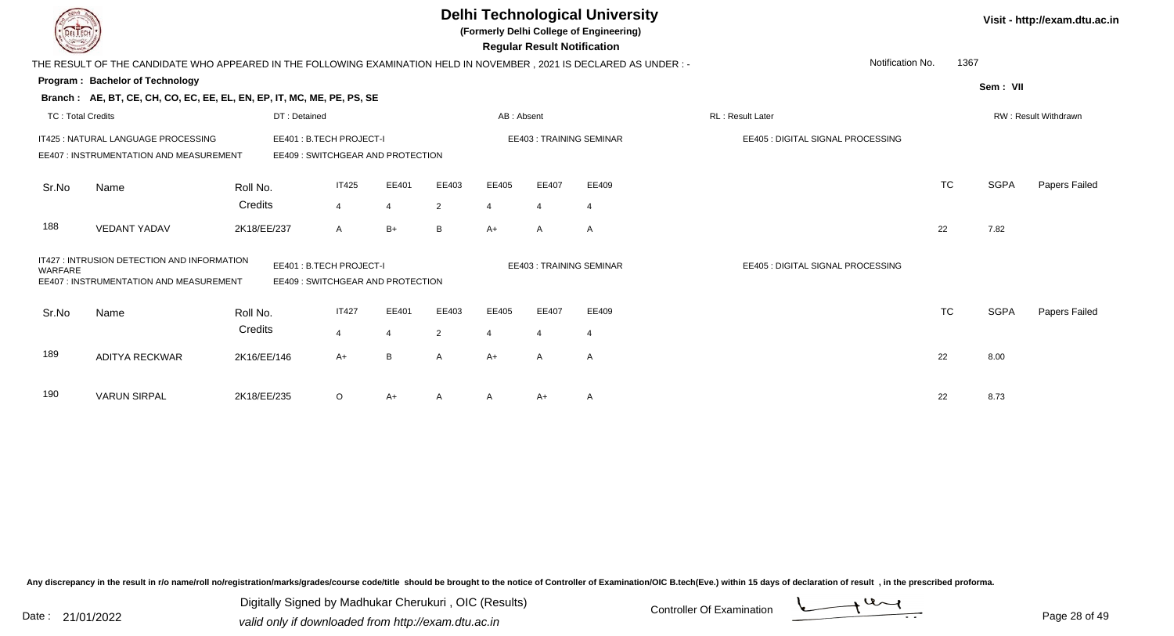|                          |                                                                                                                        |             |                         |                |                                  |                |                       | <b>Regular Result Notification</b> | <b>Delhi Technological University</b><br>(Formerly Delhi College of Engineering) |                                   |           |             | Visit - http://exam.dtu.ac.in |
|--------------------------|------------------------------------------------------------------------------------------------------------------------|-------------|-------------------------|----------------|----------------------------------|----------------|-----------------------|------------------------------------|----------------------------------------------------------------------------------|-----------------------------------|-----------|-------------|-------------------------------|
|                          | THE RESULT OF THE CANDIDATE WHO APPEARED IN THE FOLLOWING EXAMINATION HELD IN NOVEMBER , 2021 IS DECLARED AS UNDER : - |             |                         |                |                                  |                |                       |                                    |                                                                                  | Notification No.                  | 1367      |             |                               |
|                          | Program: Bachelor of Technology                                                                                        |             |                         |                |                                  |                |                       |                                    |                                                                                  |                                   |           | Sem: VII    |                               |
|                          | Branch: AE, BT, CE, CH, CO, EC, EE, EL, EN, EP, IT, MC, ME, PE, PS, SE                                                 |             |                         |                |                                  |                |                       |                                    |                                                                                  |                                   |           |             |                               |
| <b>TC: Total Credits</b> |                                                                                                                        |             | DT: Detained            |                |                                  |                | AB: Absent            |                                    |                                                                                  | <b>RL: Result Later</b>           |           |             | RW: Result Withdrawn          |
|                          | IT425 : NATURAL LANGUAGE PROCESSING                                                                                    |             | EE401: B.TECH PROJECT-I |                |                                  |                |                       |                                    | EE403: TRAINING SEMINAR                                                          | EE405 : DIGITAL SIGNAL PROCESSING |           |             |                               |
|                          | EE407 : INSTRUMENTATION AND MEASUREMENT                                                                                |             |                         |                | EE409: SWITCHGEAR AND PROTECTION |                |                       |                                    |                                                                                  |                                   |           |             |                               |
| Sr.No                    | Name                                                                                                                   | Roll No.    |                         | <b>IT425</b>   | EE401                            | EE403          | EE405                 | EE407                              | EE409                                                                            |                                   | <b>TC</b> | <b>SGPA</b> | Papers Failed                 |
|                          |                                                                                                                        | Credits     |                         | 4              | $\overline{4}$                   | 2              | $\boldsymbol{\Delta}$ | $\overline{4}$                     | $\overline{4}$                                                                   |                                   |           |             |                               |
| 188                      | <b>VEDANT YADAV</b>                                                                                                    | 2K18/EE/237 |                         | A              | $B+$                             | B              | $A+$                  | A                                  | A                                                                                |                                   | 22        | 7.82        |                               |
| WARFARE                  | IT427 : INTRUSION DETECTION AND INFORMATION<br>EE407 : INSTRUMENTATION AND MEASUREMENT                                 |             | EE401: B.TECH PROJECT-I |                | EE409: SWITCHGEAR AND PROTECTION |                |                       |                                    | <b>EE403: TRAINING SEMINAR</b>                                                   | EE405 : DIGITAL SIGNAL PROCESSING |           |             |                               |
| Sr.No                    | Name                                                                                                                   | Roll No.    |                         | <b>IT427</b>   | EE401                            | EE403          | EE405                 | EE407                              | EE409                                                                            |                                   | <b>TC</b> | <b>SGPA</b> | Papers Failed                 |
|                          |                                                                                                                        | Credits     |                         | $\overline{4}$ | 4                                | $\overline{2}$ | $\overline{4}$        | $\overline{4}$                     | $\overline{4}$                                                                   |                                   |           |             |                               |
| 189                      | <b>ADITYA RECKWAR</b>                                                                                                  | 2K16/EE/146 |                         | $A+$           | B                                | A              | $A+$                  | A                                  | A                                                                                |                                   | 22        | 8.00        |                               |
| 190                      | <b>VARUN SIRPAL</b>                                                                                                    | 2K18/EE/235 |                         | $\circ$        | A+                               |                |                       | $A+$                               | $\mathsf{A}$                                                                     |                                   | 22        | 8.73        |                               |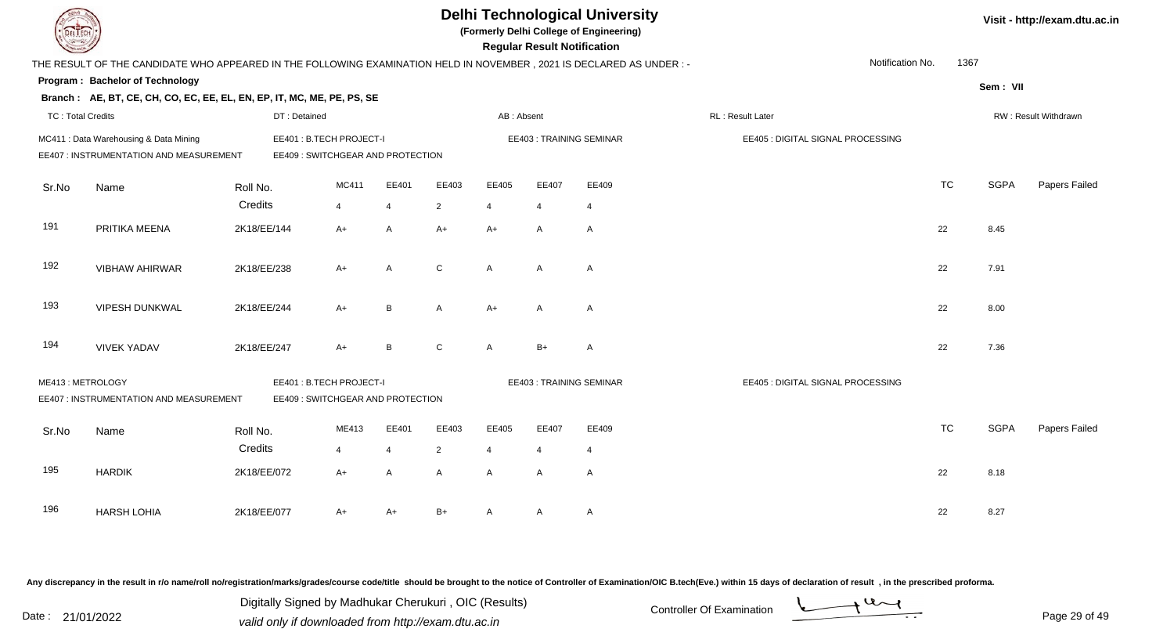| <b>LIECH</b>             |                                                                                                                      |                        |                                                              |                     |                        |                        | <b>Regular Result Notification</b> | <b>Delhi Technological University</b><br>(Formerly Delhi College of Engineering) |                                   |           |             | Visit - http://exam.dtu.ac.in |
|--------------------------|----------------------------------------------------------------------------------------------------------------------|------------------------|--------------------------------------------------------------|---------------------|------------------------|------------------------|------------------------------------|----------------------------------------------------------------------------------|-----------------------------------|-----------|-------------|-------------------------------|
|                          | THE RESULT OF THE CANDIDATE WHO APPEARED IN THE FOLLOWING EXAMINATION HELD IN NOVEMBER, 2021 IS DECLARED AS UNDER :- |                        |                                                              |                     |                        |                        |                                    |                                                                                  | Notification No.                  | 1367      |             |                               |
|                          | Program: Bachelor of Technology                                                                                      |                        |                                                              |                     |                        |                        |                                    |                                                                                  |                                   |           | Sem: VII    |                               |
|                          | Branch: AE, BT, CE, CH, CO, EC, EE, EL, EN, EP, IT, MC, ME, PE, PS, SE                                               |                        |                                                              |                     |                        |                        |                                    |                                                                                  |                                   |           |             |                               |
| <b>TC: Total Credits</b> |                                                                                                                      | DT: Detained           |                                                              |                     |                        | AB: Absent             |                                    |                                                                                  | RL: Result Later                  |           |             | RW: Result Withdrawn          |
|                          | MC411 : Data Warehousing & Data Mining<br>EE407 : INSTRUMENTATION AND MEASUREMENT                                    |                        | EE401: B.TECH PROJECT-I<br>EE409 : SWITCHGEAR AND PROTECTION |                     |                        |                        |                                    | <b>EE403: TRAINING SEMINAR</b>                                                   | EE405 : DIGITAL SIGNAL PROCESSING |           |             |                               |
| Sr.No                    | Name                                                                                                                 | Roll No.               | MC411                                                        | EE401               | EE403                  | EE405                  | EE407                              | EE409                                                                            |                                   | <b>TC</b> | <b>SGPA</b> | Papers Failed                 |
| 191                      | PRITIKA MEENA                                                                                                        | Credits<br>2K18/EE/144 | $\overline{4}$<br>$A+$                                       | $\overline{4}$<br>A | $\overline{2}$<br>$A+$ | $\overline{4}$<br>$A+$ | $\overline{4}$<br>A                | $\overline{4}$<br>$\mathsf{A}$                                                   |                                   | 22        | 8.45        |                               |
| 192                      | <b>VIBHAW AHIRWAR</b>                                                                                                | 2K18/EE/238            | $A+$                                                         | A                   | $\mathsf{C}$           | $\overline{A}$         | $\overline{A}$                     | $\mathsf{A}$                                                                     |                                   | 22        | 7.91        |                               |
| 193                      | VIPESH DUNKWAL                                                                                                       | 2K18/EE/244            | $A+$                                                         | В                   | A                      | $A+$                   | $\overline{A}$                     | A                                                                                |                                   | 22        | 8.00        |                               |
| 194                      | <b>VIVEK YADAV</b>                                                                                                   | 2K18/EE/247            | A+                                                           | B                   | $\mathsf{C}$           | $\mathsf{A}$           | $B+$                               | A                                                                                |                                   | 22        | 7.36        |                               |
| ME413: METROLOGY         | EE407 : INSTRUMENTATION AND MEASUREMENT                                                                              |                        | EE401: B.TECH PROJECT-I<br>EE409: SWITCHGEAR AND PROTECTION  |                     |                        |                        |                                    | <b>EE403: TRAINING SEMINAR</b>                                                   | EE405 : DIGITAL SIGNAL PROCESSING |           |             |                               |
| Sr.No                    | Name                                                                                                                 | Roll No.               | ME413                                                        | EE401               | EE403                  | EE405                  | EE407                              | EE409                                                                            |                                   | <b>TC</b> | <b>SGPA</b> | Papers Failed                 |
|                          |                                                                                                                      | Credits                | $\overline{4}$                                               | $\overline{4}$      | $\overline{2}$         | $\overline{4}$         | $\overline{4}$                     | 4                                                                                |                                   |           |             |                               |
| 195                      | <b>HARDIK</b>                                                                                                        | 2K18/EE/072            | $A+$                                                         | A                   | A                      | $\mathsf{A}$           | A                                  | $\mathsf{A}$                                                                     |                                   | 22        | 8.18        |                               |
| 196                      | <b>HARSH LOHIA</b>                                                                                                   | 2K18/EE/077            | A+                                                           | A+                  | B+                     | A                      | A                                  | A                                                                                |                                   | 22        | 8.27        |                               |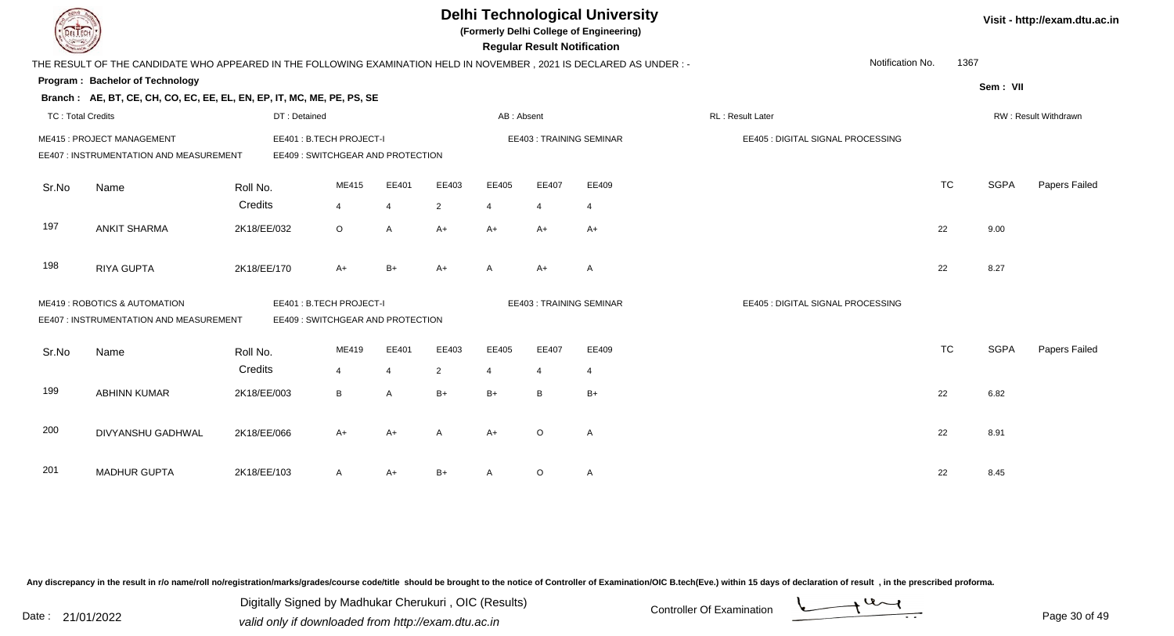| DEL TECH                 |                                                                                                                      |              |                                                               |                |                |              | <b>Regular Result Notification</b> | <b>Delhi Technological University</b><br>(Formerly Delhi College of Engineering) |                                   |           |             | Visit - http://exam.dtu.ac.in |
|--------------------------|----------------------------------------------------------------------------------------------------------------------|--------------|---------------------------------------------------------------|----------------|----------------|--------------|------------------------------------|----------------------------------------------------------------------------------|-----------------------------------|-----------|-------------|-------------------------------|
|                          | THE RESULT OF THE CANDIDATE WHO APPEARED IN THE FOLLOWING EXAMINATION HELD IN NOVEMBER, 2021 IS DECLARED AS UNDER :- |              |                                                               |                |                |              |                                    |                                                                                  | Notification No.                  | 1367      |             |                               |
|                          | Program: Bachelor of Technology                                                                                      |              |                                                               |                |                |              |                                    |                                                                                  |                                   |           | Sem: VII    |                               |
|                          | Branch: AE, BT, CE, CH, CO, EC, EE, EL, EN, EP, IT, MC, ME, PE, PS, SE                                               |              |                                                               |                |                |              |                                    |                                                                                  |                                   |           |             |                               |
| <b>TC: Total Credits</b> |                                                                                                                      | DT: Detained |                                                               |                |                | AB: Absent   |                                    |                                                                                  | RL: Result Later                  |           |             | RW: Result Withdrawn          |
|                          | ME415: PROJECT MANAGEMENT<br>EE407 : INSTRUMENTATION AND MEASUREMENT                                                 |              | EE401 : B.TECH PROJECT-I<br>EE409 : SWITCHGEAR AND PROTECTION |                |                |              |                                    | <b>EE403: TRAINING SEMINAR</b>                                                   | EE405 : DIGITAL SIGNAL PROCESSING |           |             |                               |
|                          |                                                                                                                      |              |                                                               |                |                |              |                                    |                                                                                  |                                   |           |             |                               |
| Sr.No                    | Name                                                                                                                 | Roll No.     | ME415                                                         | EE401          | EE403          | EE405        | EE407                              | EE409                                                                            |                                   | <b>TC</b> | <b>SGPA</b> | Papers Failed                 |
|                          |                                                                                                                      | Credits      | 4                                                             | $\overline{4}$ | $\overline{2}$ | 4            | 4                                  | $\overline{4}$                                                                   |                                   |           |             |                               |
| 197                      | <b>ANKIT SHARMA</b>                                                                                                  | 2K18/EE/032  | $\circ$                                                       | A              | $A+$           | $A+$         | $A+$                               | $A+$                                                                             |                                   | 22        | 9.00        |                               |
| 198                      | <b>RIYA GUPTA</b>                                                                                                    | 2K18/EE/170  | $A+$                                                          | $B+$           | $A+$           | $\mathsf{A}$ | $A+$                               | Α                                                                                |                                   | 22        | 8.27        |                               |
|                          | ME419: ROBOTICS & AUTOMATION                                                                                         |              | EE401: B.TECH PROJECT-I                                       |                |                |              |                                    | <b>EE403: TRAINING SEMINAR</b>                                                   | EE405 : DIGITAL SIGNAL PROCESSING |           |             |                               |
|                          | EE407 : INSTRUMENTATION AND MEASUREMENT                                                                              |              | EE409 : SWITCHGEAR AND PROTECTION                             |                |                |              |                                    |                                                                                  |                                   |           |             |                               |
| Sr.No                    | Name                                                                                                                 | Roll No.     | ME419                                                         | EE401          | EE403          | EE405        | EE407                              | EE409                                                                            |                                   | <b>TC</b> | <b>SGPA</b> | Papers Failed                 |
|                          |                                                                                                                      | Credits      | $\overline{4}$                                                | $\overline{4}$ | $\overline{2}$ | 4            | $\overline{4}$                     | $\overline{4}$                                                                   |                                   |           |             |                               |
| 199                      | <b>ABHINN KUMAR</b>                                                                                                  | 2K18/EE/003  | B                                                             | A              | $B+$           | $B+$         | B                                  | $B+$                                                                             |                                   | 22        | 6.82        |                               |
| 200                      | DIVYANSHU GADHWAL                                                                                                    | 2K18/EE/066  | $A+$                                                          | $A+$           | A              | A+           | $\circ$                            | A                                                                                |                                   | 22        | 8.91        |                               |
|                          |                                                                                                                      |              |                                                               |                |                |              |                                    |                                                                                  |                                   |           |             |                               |
| 201                      | <b>MADHUR GUPTA</b>                                                                                                  | 2K18/EE/103  | A                                                             | $A+$           | B+             |              | $\circ$                            | $\mathsf{A}$                                                                     |                                   | 22        | 8.45        |                               |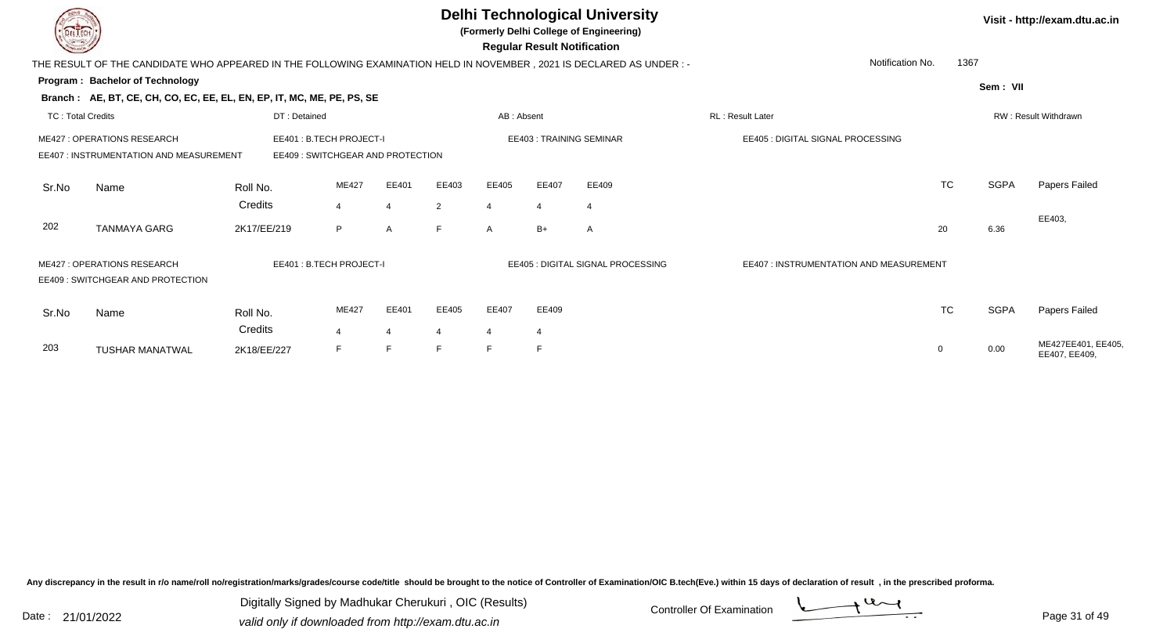|                          |                                                                                                                                             |              |       |                |                |                       |                                   | <b>Delhi Technological University</b><br>(Formerly Delhi College of Engineering)<br><b>Regular Result Notification</b> |                                   |                          |             | Visit - http://exam.dtu.ac.in       |
|--------------------------|---------------------------------------------------------------------------------------------------------------------------------------------|--------------|-------|----------------|----------------|-----------------------|-----------------------------------|------------------------------------------------------------------------------------------------------------------------|-----------------------------------|--------------------------|-------------|-------------------------------------|
|                          | THE RESULT OF THE CANDIDATE WHO APPEARED IN THE FOLLOWING EXAMINATION HELD IN NOVEMBER, 2021 IS DECLARED AS UNDER:-                         |              |       |                |                |                       |                                   |                                                                                                                        |                                   | 1367<br>Notification No. |             |                                     |
|                          | Program: Bachelor of Technology                                                                                                             |              |       |                |                |                       |                                   |                                                                                                                        |                                   |                          | Sem: VII    |                                     |
|                          | Branch: AE, BT, CE, CH, CO, EC, EE, EL, EN, EP, IT, MC, ME, PE, PS, SE                                                                      |              |       |                |                |                       |                                   |                                                                                                                        |                                   |                          |             |                                     |
| <b>TC: Total Credits</b> |                                                                                                                                             | DT: Detained |       |                |                | AB: Absent            |                                   |                                                                                                                        | RL: Result Later                  |                          |             | RW: Result Withdrawn                |
|                          | <b>ME427: OPERATIONS RESEARCH</b><br>EE401: B.TECH PROJECT-I<br>EE407 : INSTRUMENTATION AND MEASUREMENT<br>EE409: SWITCHGEAR AND PROTECTION |              |       |                |                |                       |                                   | EE403: TRAINING SEMINAR                                                                                                | EE405 : DIGITAL SIGNAL PROCESSING |                          |             |                                     |
| Sr.No                    | Name                                                                                                                                        | Roll No.     | ME427 | EE401          | EE403          | EE405                 | EE407                             | EE409                                                                                                                  |                                   | <b>TC</b>                | <b>SGPA</b> | Papers Failed                       |
|                          |                                                                                                                                             | Credits      | 4     | $\overline{4}$ | $\overline{2}$ | $\boldsymbol{\Delta}$ | $\overline{4}$                    | $\overline{4}$                                                                                                         |                                   |                          |             |                                     |
| 202                      | <b>TANMAYA GARG</b>                                                                                                                         | 2K17/EE/219  | P     | A              | F.             | A                     | $B+$                              | A                                                                                                                      |                                   | 20                       | 6.36        | EE403,                              |
|                          | <b>ME427: OPERATIONS RESEARCH</b><br>EE401 : B.TECH PROJECT-I<br>EE409: SWITCHGEAR AND PROTECTION                                           |              |       |                |                |                       | EE405 : DIGITAL SIGNAL PROCESSING | EE407 : INSTRUMENTATION AND MEASUREMENT                                                                                |                                   |                          |             |                                     |
| Sr.No                    | Name                                                                                                                                        | Roll No.     | ME427 | EE401          | EE405          | EE407                 | EE409                             |                                                                                                                        |                                   | <b>TC</b>                | <b>SGPA</b> | Papers Failed                       |
|                          |                                                                                                                                             | Credits      | 4     | 4              | $\overline{4}$ | $\overline{4}$        | 4                                 |                                                                                                                        |                                   |                          |             |                                     |
| 203                      | <b>TUSHAR MANATWAL</b>                                                                                                                      | 2K18/EE/227  | E     |                | E              | E                     | F                                 |                                                                                                                        |                                   | 0                        | 0.00        | ME427EE401, EE405,<br>EE407, EE409. |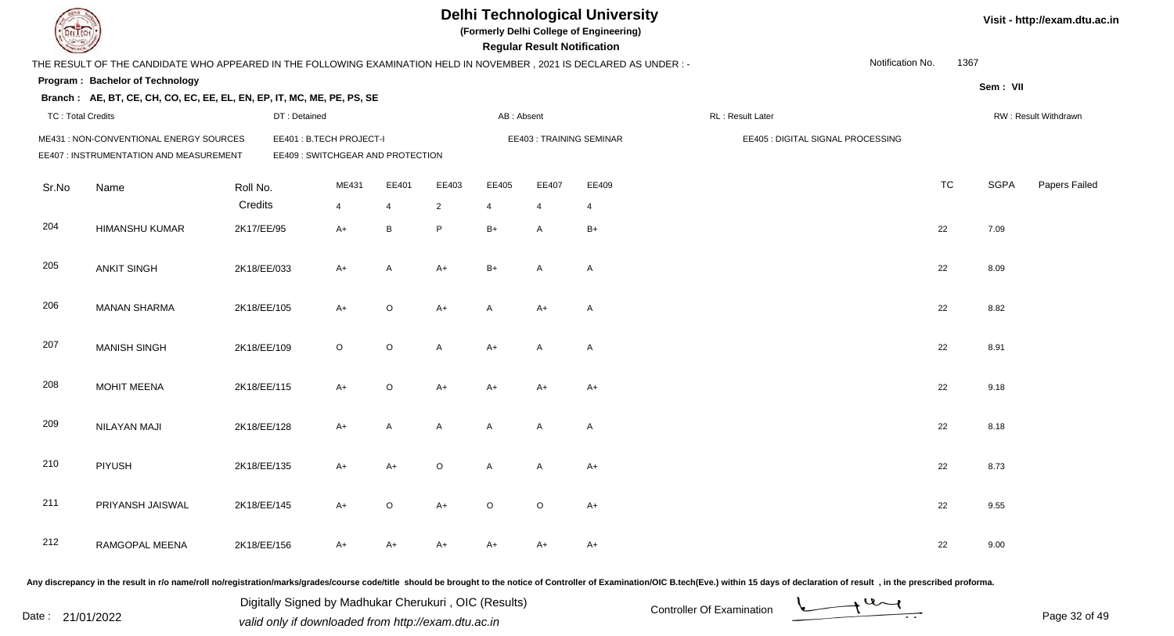|                          |                                                                                                                       |             |                                                              |         |              |                |                | <b>Regular Result Notification</b> | <b>Delhi Technological University</b><br>(Formerly Delhi College of Engineering) |                                   |                  |           |             | Visit - http://exam.dtu.ac.in |
|--------------------------|-----------------------------------------------------------------------------------------------------------------------|-------------|--------------------------------------------------------------|---------|--------------|----------------|----------------|------------------------------------|----------------------------------------------------------------------------------|-----------------------------------|------------------|-----------|-------------|-------------------------------|
|                          | THE RESULT OF THE CANDIDATE WHO APPEARED IN THE FOLLOWING EXAMINATION HELD IN NOVEMBER , 2021 IS DECLARED AS UNDER :- |             |                                                              |         |              |                |                |                                    |                                                                                  |                                   | Notification No. | 1367      |             |                               |
|                          | Program: Bachelor of Technology                                                                                       |             |                                                              |         |              |                |                |                                    |                                                                                  |                                   |                  |           | Sem: VII    |                               |
|                          | Branch: AE, BT, CE, CH, CO, EC, EE, EL, EN, EP, IT, MC, ME, PE, PS, SE                                                |             |                                                              |         |              |                |                |                                    |                                                                                  |                                   |                  |           |             |                               |
| <b>TC: Total Credits</b> |                                                                                                                       |             | DT: Detained                                                 |         |              |                | AB: Absent     |                                    |                                                                                  | RL : Result Later                 |                  |           |             | RW: Result Withdrawn          |
|                          | ME431 : NON-CONVENTIONAL ENERGY SOURCES<br>EE407 : INSTRUMENTATION AND MEASUREMENT                                    |             | EE401: B.TECH PROJECT-I<br>EE409 : SWITCHGEAR AND PROTECTION |         |              |                |                |                                    | EE403: TRAINING SEMINAR                                                          | EE405 : DIGITAL SIGNAL PROCESSING |                  |           |             |                               |
| Sr.No                    | Name                                                                                                                  | Roll No.    |                                                              | ME431   | EE401        | EE403          | EE405          | EE407                              | EE409                                                                            |                                   |                  | <b>TC</b> | <b>SGPA</b> | Papers Failed                 |
|                          |                                                                                                                       | Credits     |                                                              | 4       | 4            | $\overline{2}$ | $\overline{4}$ | $\overline{4}$                     | $\overline{4}$                                                                   |                                   |                  |           |             |                               |
| 204                      | <b>HIMANSHU KUMAR</b>                                                                                                 | 2K17/EE/95  |                                                              | $A+$    | B            | P              | $B+$           | A                                  | $B+$                                                                             |                                   |                  | 22        | 7.09        |                               |
| 205                      | <b>ANKIT SINGH</b>                                                                                                    | 2K18/EE/033 |                                                              | $A+$    | A            | $A+$           | $B+$           | A                                  | $\overline{A}$                                                                   |                                   |                  | 22        | 8.09        |                               |
| 206                      | <b>MANAN SHARMA</b>                                                                                                   | 2K18/EE/105 |                                                              | $A+$    | $\circ$      | $A+$           | $\mathsf{A}$   | A+                                 | $\overline{A}$                                                                   |                                   |                  | 22        | 8.82        |                               |
| 207                      | <b>MANISH SINGH</b>                                                                                                   | 2K18/EE/109 |                                                              | $\circ$ | $\circ$      | $\mathsf{A}$   | $A+$           | A                                  | $\overline{A}$                                                                   |                                   |                  | 22        | 8.91        |                               |
| 208                      | <b>MOHIT MEENA</b>                                                                                                    | 2K18/EE/115 |                                                              | $A+$    | $\mathsf O$  | $A+$           | $A+$           | $A+$                               | $A+$                                                                             |                                   |                  | 22        | 9.18        |                               |
| 209                      | NILAYAN MAJI                                                                                                          | 2K18/EE/128 |                                                              | $A+$    | $\mathsf{A}$ | A              | A              | A                                  | $\overline{A}$                                                                   |                                   |                  | 22        | 8.18        |                               |
| 210                      | <b>PIYUSH</b>                                                                                                         | 2K18/EE/135 |                                                              | A+      | $A+$         | $\circ$        | A              | A                                  | $A+$                                                                             |                                   |                  | 22        | 8.73        |                               |
| 211                      | PRIYANSH JAISWAL                                                                                                      | 2K18/EE/145 |                                                              | A+      | $\circ$      | $A+$           | $\circ$        | $\circ$                            | $A+$                                                                             |                                   |                  | 22        | 9.55        |                               |
| 212                      | RAMGOPAL MEENA                                                                                                        | 2K18/EE/156 |                                                              | A+      | $A+$         | A+             | A+             | A+                                 | $A+$                                                                             |                                   |                  | 22        | 9.00        |                               |

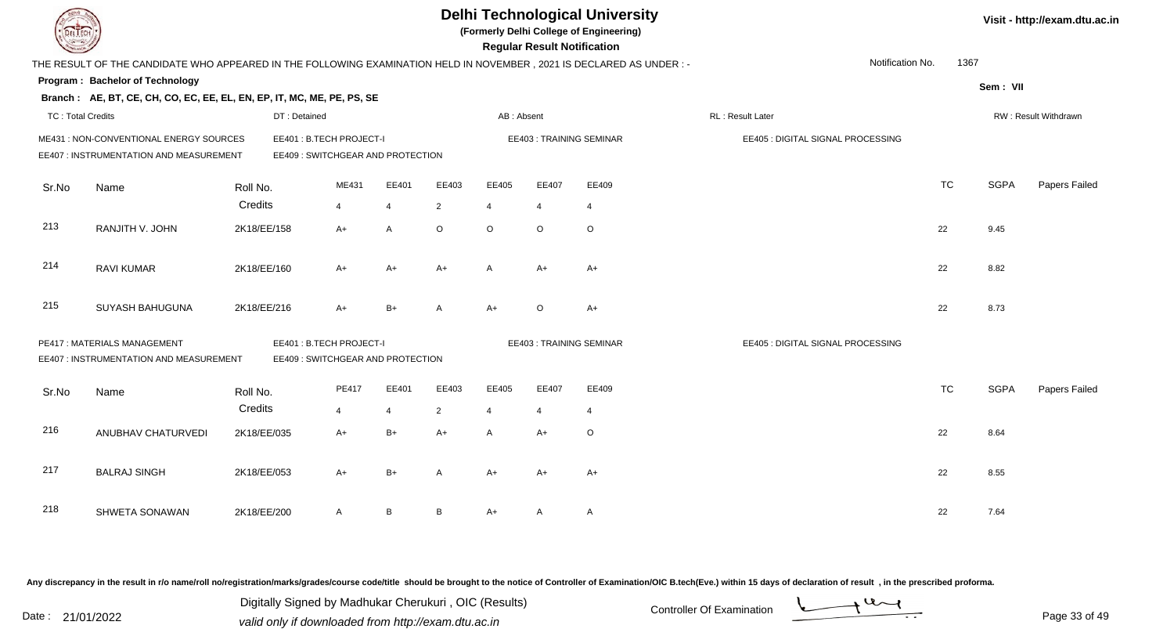|                          |                                                                                                                      |             |                                                              |                |                |                | <b>Delhi Technological University</b><br>(Formerly Delhi College of Engineering)<br><b>Regular Result Notification</b> |                | Visit - http://exam.dtu.ac.in  |                                   |                  |           |             |                      |
|--------------------------|----------------------------------------------------------------------------------------------------------------------|-------------|--------------------------------------------------------------|----------------|----------------|----------------|------------------------------------------------------------------------------------------------------------------------|----------------|--------------------------------|-----------------------------------|------------------|-----------|-------------|----------------------|
|                          | THE RESULT OF THE CANDIDATE WHO APPEARED IN THE FOLLOWING EXAMINATION HELD IN NOVEMBER, 2021 IS DECLARED AS UNDER :- |             |                                                              |                |                |                |                                                                                                                        |                |                                |                                   | Notification No. | 1367      |             |                      |
|                          | Program: Bachelor of Technology                                                                                      |             |                                                              |                |                |                |                                                                                                                        |                |                                |                                   |                  |           | Sem: VII    |                      |
|                          | Branch: AE, BT, CE, CH, CO, EC, EE, EL, EN, EP, IT, MC, ME, PE, PS, SE                                               |             |                                                              |                |                |                |                                                                                                                        |                |                                |                                   |                  |           |             |                      |
| <b>TC: Total Credits</b> |                                                                                                                      |             | DT: Detained                                                 |                |                |                | AB: Absent                                                                                                             |                |                                | RL: Result Later                  |                  |           |             | RW: Result Withdrawn |
|                          | ME431 : NON-CONVENTIONAL ENERGY SOURCES<br>EE407 : INSTRUMENTATION AND MEASUREMENT                                   |             | EE401: B.TECH PROJECT-I<br>EE409 : SWITCHGEAR AND PROTECTION |                |                |                |                                                                                                                        |                | <b>EE403: TRAINING SEMINAR</b> | EE405 : DIGITAL SIGNAL PROCESSING |                  |           |             |                      |
| Sr.No                    | Name                                                                                                                 | Roll No.    |                                                              | ME431          | EE401          | EE403          | EE405                                                                                                                  | EE407          | EE409                          |                                   |                  | <b>TC</b> | <b>SGPA</b> | Papers Failed        |
|                          |                                                                                                                      | Credits     |                                                              | 4              | $\overline{4}$ | $\overline{2}$ | 4                                                                                                                      | $\overline{4}$ | $\overline{4}$                 |                                   |                  |           |             |                      |
| 213                      | RANJITH V. JOHN                                                                                                      | 2K18/EE/158 |                                                              | $A+$           | A              | $\circ$        | $\circ$                                                                                                                | $\circ$        | $\circ$                        |                                   |                  | 22        | 9.45        |                      |
| 214                      | <b>RAVI KUMAR</b>                                                                                                    | 2K18/EE/160 |                                                              | $A+$           | $A+$           | $A+$           | $\mathsf{A}$                                                                                                           | $A+$           | $A+$                           |                                   |                  | 22        | 8.82        |                      |
| 215                      | SUYASH BAHUGUNA                                                                                                      | 2K18/EE/216 |                                                              | $A+$           | $B+$           |                | $A+$                                                                                                                   | O              | $A+$                           |                                   |                  | 22        | 8.73        |                      |
|                          | PE417: MATERIALS MANAGEMENT<br>EE407 : INSTRUMENTATION AND MEASUREMENT                                               |             | EE401: B.TECH PROJECT-I<br>EE409: SWITCHGEAR AND PROTECTION  |                |                |                |                                                                                                                        |                | EE403: TRAINING SEMINAR        | EE405 : DIGITAL SIGNAL PROCESSING |                  |           |             |                      |
| Sr.No                    | Name                                                                                                                 | Roll No.    |                                                              | PE417          | EE401          | EE403          | EE405                                                                                                                  | EE407          | EE409                          |                                   |                  | <b>TC</b> | <b>SGPA</b> | Papers Failed        |
|                          |                                                                                                                      | Credits     |                                                              | $\overline{4}$ | 4              | $\overline{2}$ | $\overline{4}$                                                                                                         | $\overline{4}$ | $\overline{4}$                 |                                   |                  |           |             |                      |
| 216                      | ANUBHAV CHATURVEDI                                                                                                   | 2K18/EE/035 |                                                              | $A+$           | $B+$           | $A+$           | $\mathsf{A}$                                                                                                           | $A+$           | $\circ$                        |                                   |                  | 22        | 8.64        |                      |
| 217                      | <b>BALRAJ SINGH</b>                                                                                                  | 2K18/EE/053 |                                                              | $A+$           | $B+$           | A              | $A+$                                                                                                                   | $A+$           | $A+$                           |                                   |                  | 22        | 8.55        |                      |
| 218                      | SHWETA SONAWAN                                                                                                       | 2K18/EE/200 |                                                              | A              | B              | B              | A+                                                                                                                     | A              | $\mathsf{A}$                   |                                   |                  | 22        | 7.64        |                      |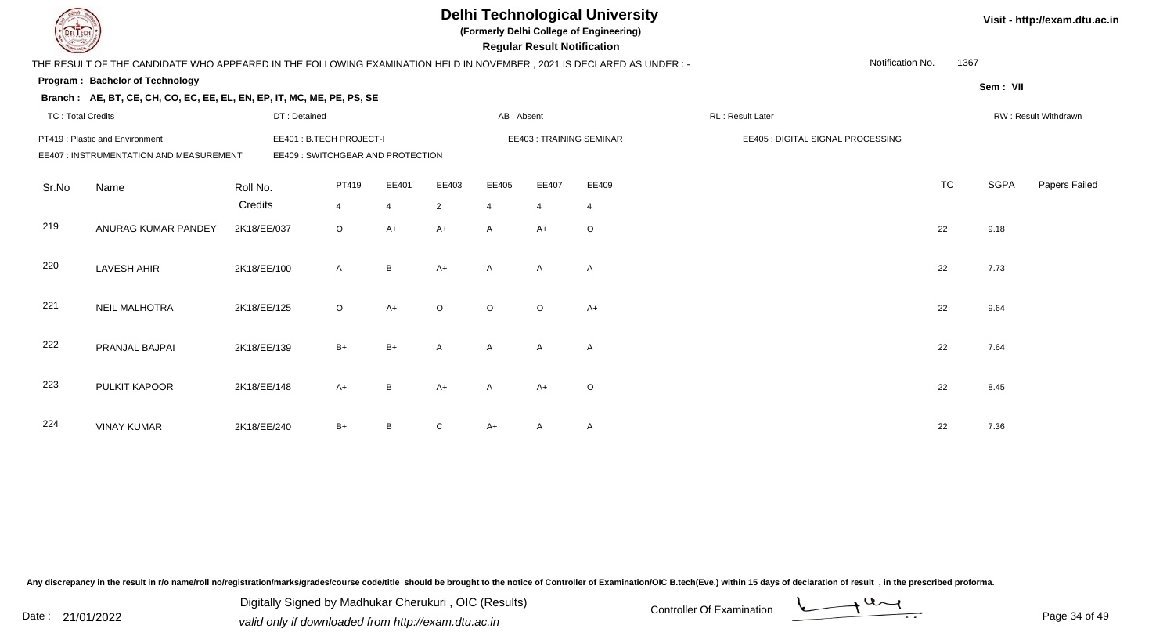|                          |                                                                                                                      |             |                         |                |                                  |                | <b>Regular Result Notification</b> | <b>Delhi Technological University</b><br>(Formerly Delhi College of Engineering) |                         | Visit - http://exam.dtu.ac.in |                                   |           |             |                      |
|--------------------------|----------------------------------------------------------------------------------------------------------------------|-------------|-------------------------|----------------|----------------------------------|----------------|------------------------------------|----------------------------------------------------------------------------------|-------------------------|-------------------------------|-----------------------------------|-----------|-------------|----------------------|
|                          | THE RESULT OF THE CANDIDATE WHO APPEARED IN THE FOLLOWING EXAMINATION HELD IN NOVEMBER, 2021 IS DECLARED AS UNDER :- |             |                         |                |                                  |                |                                    |                                                                                  |                         |                               | Notification No.                  | 1367      |             |                      |
|                          | Program: Bachelor of Technology                                                                                      |             |                         |                |                                  |                |                                    |                                                                                  |                         |                               |                                   |           | Sem: VII    |                      |
|                          | Branch: AE, BT, CE, CH, CO, EC, EE, EL, EN, EP, IT, MC, ME, PE, PS, SE                                               |             |                         |                |                                  |                |                                    |                                                                                  |                         |                               |                                   |           |             |                      |
| <b>TC: Total Credits</b> |                                                                                                                      |             | DT: Detained            |                |                                  |                | AB: Absent                         |                                                                                  |                         | RL: Result Later              |                                   |           |             | RW: Result Withdrawn |
|                          | PT419 : Plastic and Environment                                                                                      |             | EE401: B.TECH PROJECT-I |                |                                  |                |                                    |                                                                                  | EE403: TRAINING SEMINAR |                               | EE405 : DIGITAL SIGNAL PROCESSING |           |             |                      |
|                          | EE407 : INSTRUMENTATION AND MEASUREMENT                                                                              |             |                         |                | EE409: SWITCHGEAR AND PROTECTION |                |                                    |                                                                                  |                         |                               |                                   |           |             |                      |
| Sr.No                    | Name                                                                                                                 | Roll No.    |                         | PT419          | EE401                            | EE403          | EE405                              | EE407                                                                            | EE409                   |                               |                                   | <b>TC</b> | <b>SGPA</b> | Papers Failed        |
|                          |                                                                                                                      | Credits     |                         | $\overline{4}$ | $\overline{4}$                   | $\overline{2}$ | $\overline{4}$                     | $\overline{4}$                                                                   | $\overline{4}$          |                               |                                   |           |             |                      |
| 219                      | ANURAG KUMAR PANDEY                                                                                                  | 2K18/EE/037 |                         | $\circ$        | $A+$                             | $A+$           | $\mathsf{A}$                       | $A+$                                                                             | $\circ$                 |                               |                                   | 22        | 9.18        |                      |
| 220                      | <b>LAVESH AHIR</b>                                                                                                   | 2K18/EE/100 |                         | $\mathsf{A}$   | $\, {\bf B}$                     | $A+$           | A                                  | A                                                                                | $\mathsf{A}$            |                               |                                   | 22        | 7.73        |                      |
| 221                      | <b>NEIL MALHOTRA</b>                                                                                                 | 2K18/EE/125 |                         | $\circ$        | $A+$                             | $\circ$        | $\Omega$                           | $\Omega$                                                                         | $A+$                    |                               |                                   | 22        | 9.64        |                      |
| 222                      | PRANJAL BAJPAI                                                                                                       | 2K18/EE/139 |                         | B+             | $B+$                             | A              | $\mathsf{A}$                       | A                                                                                | $\mathsf{A}$            |                               |                                   | 22        | 7.64        |                      |
| 223                      | PULKIT KAPOOR                                                                                                        | 2K18/EE/148 |                         | $A+$           | $\, {\bf B}$                     | $A+$           | A                                  | $A+$                                                                             | $\circ$                 |                               |                                   | 22        | 8.45        |                      |
| 224                      | <b>VINAY KUMAR</b>                                                                                                   | 2K18/EE/240 |                         | $B+$           | B                                | C              | $A+$                               | A                                                                                | $\mathsf{A}$            |                               |                                   | 22        | 7.36        |                      |

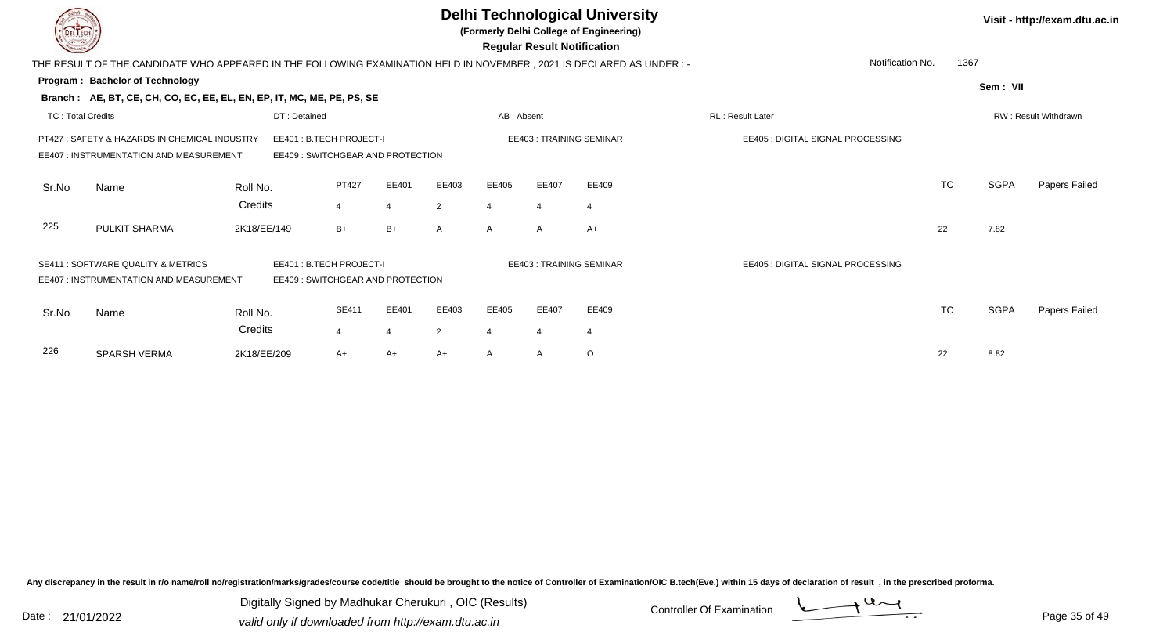|                          |                                                                                                                       |                                                              |                |                |                |              | <b>Regular Result Notification</b> | <b>Delhi Technological University</b><br>(Formerly Delhi College of Engineering) |                                   |           |             | Visit - http://exam.dtu.ac.in |
|--------------------------|-----------------------------------------------------------------------------------------------------------------------|--------------------------------------------------------------|----------------|----------------|----------------|--------------|------------------------------------|----------------------------------------------------------------------------------|-----------------------------------|-----------|-------------|-------------------------------|
|                          | THE RESULT OF THE CANDIDATE WHO APPEARED IN THE FOLLOWING EXAMINATION HELD IN NOVEMBER , 2021 IS DECLARED AS UNDER :- |                                                              |                |                |                |              |                                    |                                                                                  | Notification No.                  | 1367      |             |                               |
|                          | Program: Bachelor of Technology                                                                                       |                                                              |                |                |                |              |                                    |                                                                                  |                                   |           | Sem: VII    |                               |
|                          | Branch: AE, BT, CE, CH, CO, EC, EE, EL, EN, EP, IT, MC, ME, PE, PS, SE                                                |                                                              |                |                |                |              |                                    |                                                                                  |                                   |           |             |                               |
| <b>TC: Total Credits</b> |                                                                                                                       | DT: Detained                                                 |                |                |                | AB: Absent   |                                    |                                                                                  | RL: Result Later                  |           |             | RW: Result Withdrawn          |
|                          | PT427: SAFETY & HAZARDS IN CHEMICAL INDUSTRY<br>EE407 : INSTRUMENTATION AND MEASUREMENT                               | EE401: B.TECH PROJECT-I<br>EE409 : SWITCHGEAR AND PROTECTION |                |                |                |              |                                    | <b>EE403: TRAINING SEMINAR</b>                                                   | EE405 : DIGITAL SIGNAL PROCESSING |           |             |                               |
| Sr.No                    | Name                                                                                                                  | Roll No.                                                     | PT427          | EE401          | EE403          | EE405        | EE407                              | EE409                                                                            |                                   | <b>TC</b> | <b>SGPA</b> | Papers Failed                 |
|                          |                                                                                                                       | Credits                                                      | $\overline{4}$ | $\overline{4}$ | 2              | 4            |                                    | 4                                                                                |                                   |           |             |                               |
| 225                      | PULKIT SHARMA                                                                                                         | 2K18/EE/149                                                  | $B+$           | $B+$           | A              | $\mathsf{A}$ | A                                  | $A+$                                                                             |                                   | 22        | 7.82        |                               |
|                          | SE411 : SOFTWARE QUALITY & METRICS<br>EE407 : INSTRUMENTATION AND MEASUREMENT                                         | EE401: B.TECH PROJECT-I<br>EE409: SWITCHGEAR AND PROTECTION  |                |                |                |              | <b>EE403: TRAINING SEMINAR</b>     |                                                                                  | EE405 : DIGITAL SIGNAL PROCESSING |           |             |                               |
| Sr.No                    | Name                                                                                                                  | Roll No.                                                     | SE411          | EE401          | EE403          | EE405        | EE407                              | EE409                                                                            |                                   | TC        | <b>SGPA</b> | Papers Failed                 |
|                          |                                                                                                                       | Credits                                                      | $\overline{4}$ | $\overline{4}$ | $\overline{2}$ | 4            | 4                                  | 4                                                                                |                                   |           |             |                               |
| 226                      | <b>SPARSH VERMA</b>                                                                                                   | 2K18/EE/209                                                  | A+             | A+             | A+             | $\mathsf{A}$ | A                                  | O                                                                                |                                   | 22        | 8.82        |                               |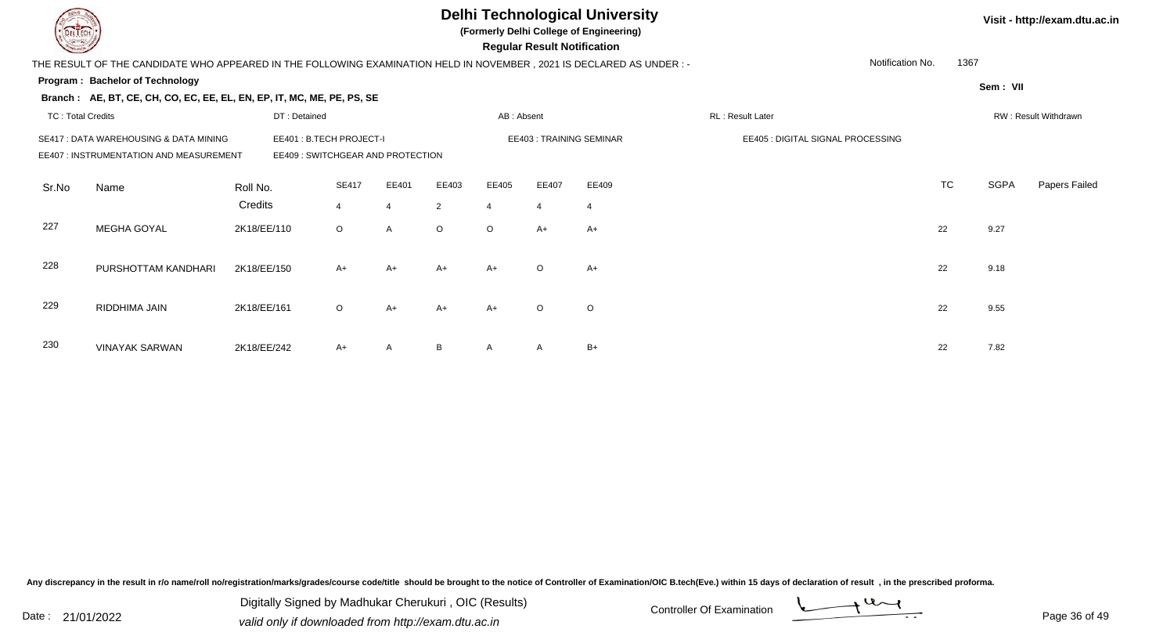|                          |                                                                                                                                                        |              |                |                |         |                | <b>Regular Result Notification</b> | <b>Delhi Technological University</b><br>(Formerly Delhi College of Engineering) |                                   |                  |           |             | Visit - http://exam.dtu.ac.in |
|--------------------------|--------------------------------------------------------------------------------------------------------------------------------------------------------|--------------|----------------|----------------|---------|----------------|------------------------------------|----------------------------------------------------------------------------------|-----------------------------------|------------------|-----------|-------------|-------------------------------|
|                          | THE RESULT OF THE CANDIDATE WHO APPEARED IN THE FOLLOWING EXAMINATION HELD IN NOVEMBER , 2021 IS DECLARED AS UNDER : -                                 |              |                |                |         |                |                                    |                                                                                  |                                   | Notification No. | 1367      |             |                               |
|                          | Program: Bachelor of Technology                                                                                                                        |              |                |                |         |                |                                    |                                                                                  |                                   |                  |           | Sem: VII    |                               |
|                          | Branch: AE, BT, CE, CH, CO, EC, EE, EL, EN, EP, IT, MC, ME, PE, PS, SE                                                                                 |              |                |                |         |                |                                    |                                                                                  |                                   |                  |           |             |                               |
| <b>TC: Total Credits</b> |                                                                                                                                                        | DT: Detained |                |                |         | AB: Absent     |                                    |                                                                                  | <b>RL: Result Later</b>           |                  |           |             | RW: Result Withdrawn          |
|                          | EE401: B.TECH PROJECT-I<br>SE417 : DATA WAREHOUSING & DATA MINING<br><b>EE407: INSTRUMENTATION AND MEASUREMENT</b><br>EE409: SWITCHGEAR AND PROTECTION |              |                |                |         |                |                                    | <b>EE403: TRAINING SEMINAR</b>                                                   | EE405 : DIGITAL SIGNAL PROCESSING |                  |           |             |                               |
| Sr.No                    | Name                                                                                                                                                   | Roll No.     | <b>SE417</b>   | EE401          | EE403   | EE405          | EE407                              | EE409                                                                            |                                   |                  | <b>TC</b> | <b>SGPA</b> | Papers Failed                 |
|                          |                                                                                                                                                        | Credits      | $\overline{4}$ | $\overline{4}$ | 2       | $\overline{4}$ | $\overline{4}$                     | $\overline{4}$                                                                   |                                   |                  |           |             |                               |
| 227                      | MEGHA GOYAL                                                                                                                                            | 2K18/EE/110  | $\circ$        | A              | $\circ$ | $\circ$        | $A+$                               | $A+$                                                                             |                                   |                  | 22        | 9.27        |                               |
| 228                      | PURSHOTTAM KANDHARI                                                                                                                                    | 2K18/EE/150  | $A+$           | $A+$           | A+      | $A+$           | $\circ$                            | $A+$                                                                             |                                   |                  | 22        | 9.18        |                               |
| 229                      | RIDDHIMA JAIN                                                                                                                                          | 2K18/EE/161  | $\circ$        | $A+$           | A+      | $A+$           | $\Omega$                           | $\circ$                                                                          |                                   |                  | 22        | 9.55        |                               |
| 230                      | <b>VINAYAK SARWAN</b>                                                                                                                                  | 2K18/EE/242  | $A+$           | $\mathsf{A}$   | B.      | A              | A                                  | $B+$                                                                             |                                   |                  | 22        | 7.82        |                               |

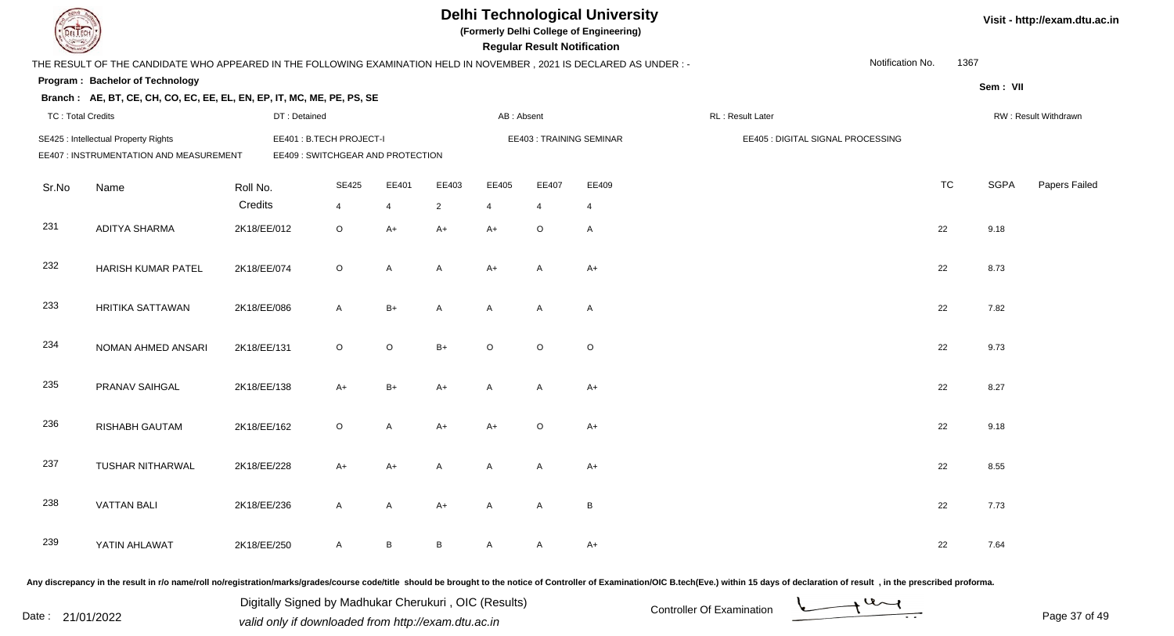|                          |                                                                                                                      |              |                                                              |              |                | <b>Delhi Technological University</b><br>(Formerly Delhi College of Engineering)<br><b>Regular Result Notification</b> |                | Visit - http://exam.dtu.ac.in |                                   |                  |           |             |                      |
|--------------------------|----------------------------------------------------------------------------------------------------------------------|--------------|--------------------------------------------------------------|--------------|----------------|------------------------------------------------------------------------------------------------------------------------|----------------|-------------------------------|-----------------------------------|------------------|-----------|-------------|----------------------|
|                          | THE RESULT OF THE CANDIDATE WHO APPEARED IN THE FOLLOWING EXAMINATION HELD IN NOVEMBER, 2021 IS DECLARED AS UNDER :- |              |                                                              |              |                |                                                                                                                        |                |                               |                                   | Notification No. | 1367      |             |                      |
|                          | Program: Bachelor of Technology                                                                                      |              |                                                              |              |                |                                                                                                                        |                |                               |                                   |                  |           | Sem: VII    |                      |
|                          | Branch: AE, BT, CE, CH, CO, EC, EE, EL, EN, EP, IT, MC, ME, PE, PS, SE                                               |              |                                                              |              |                |                                                                                                                        |                |                               |                                   |                  |           |             |                      |
| <b>TC: Total Credits</b> |                                                                                                                      | DT: Detained |                                                              |              |                | AB: Absent                                                                                                             |                |                               | RL: Result Later                  |                  |           |             | RW: Result Withdrawn |
|                          | SE425 : Intellectual Property Rights<br>EE407 : INSTRUMENTATION AND MEASUREMENT                                      |              | EE401: B.TECH PROJECT-I<br>EE409 : SWITCHGEAR AND PROTECTION |              |                |                                                                                                                        |                | EE403: TRAINING SEMINAR       | EE405 : DIGITAL SIGNAL PROCESSING |                  |           |             |                      |
| Sr.No                    | Name                                                                                                                 | Roll No.     | <b>SE425</b>                                                 | EE401        | EE403          | EE405                                                                                                                  | EE407          | EE409                         |                                   |                  | <b>TC</b> | <b>SGPA</b> | Papers Failed        |
|                          |                                                                                                                      | Credits      | $\overline{4}$                                               | 4            | $\overline{2}$ | $\overline{4}$                                                                                                         | $\overline{4}$ | $\overline{4}$                |                                   |                  |           |             |                      |
| 231                      | <b>ADITYA SHARMA</b>                                                                                                 | 2K18/EE/012  | $\circ$                                                      | $A+$         | $A+$           | $A+$                                                                                                                   | $\circ$        | A                             |                                   |                  | 22        | 9.18        |                      |
| 232                      | HARISH KUMAR PATEL                                                                                                   | 2K18/EE/074  | $\circ$                                                      | $\mathsf{A}$ | A              | $A+$                                                                                                                   | A              | $A+$                          |                                   |                  | 22        | 8.73        |                      |
| 233                      | HRITIKA SATTAWAN                                                                                                     | 2K18/EE/086  | A                                                            | $B+$         | A              | A                                                                                                                      | A              | $\overline{A}$                |                                   |                  | 22        | 7.82        |                      |
| 234                      | NOMAN AHMED ANSARI                                                                                                   | 2K18/EE/131  | $\circ$                                                      | $\mathsf O$  | $B+$           | $\circ$                                                                                                                | $\circ$        | $\circ$                       |                                   |                  | 22        | 9.73        |                      |
| 235                      | PRANAV SAIHGAL                                                                                                       | 2K18/EE/138  | $A+$                                                         | $B+$         | $A+$           | A                                                                                                                      | A              | $A+$                          |                                   |                  | 22        | 8.27        |                      |
| 236                      | <b>RISHABH GAUTAM</b>                                                                                                | 2K18/EE/162  | $\circ$                                                      | $\mathsf{A}$ | $A+$           | $A+$                                                                                                                   | $\circ$        | $A+$                          |                                   |                  | 22        | 9.18        |                      |
| 237                      | TUSHAR NITHARWAL                                                                                                     | 2K18/EE/228  | A+                                                           | A+           | A              | A                                                                                                                      | A              | $A+$                          |                                   |                  | 22        | 8.55        |                      |
| 238                      | <b>VATTAN BALI</b>                                                                                                   | 2K18/EE/236  | A                                                            | A            | A+             | A                                                                                                                      | A              | B                             |                                   |                  | 22        | 7.73        |                      |
| 239                      | YATIN AHLAWAT                                                                                                        | 2K18/EE/250  | A                                                            | $\mathsf B$  | $\mathsf{B}$   | $\mathsf{A}$                                                                                                           | A              | $A+$                          |                                   |                  | 22        | 7.64        |                      |
|                          |                                                                                                                      |              |                                                              |              |                |                                                                                                                        |                |                               |                                   |                  |           |             |                      |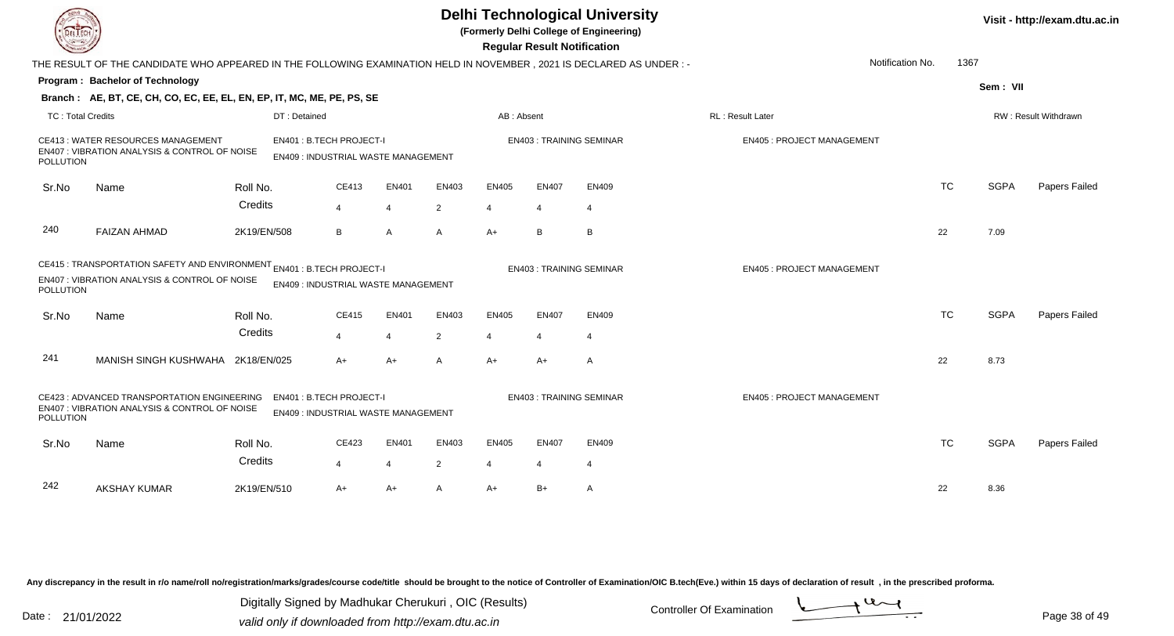|                          |                                                                                                                                                                                   |              |                                                               |                |                |                | <b>Regular Result Notification</b> | <b>Delhi Technological University</b><br>(Formerly Delhi College of Engineering) |                                  |                          |             | Visit - http://exam.dtu.ac.in |
|--------------------------|-----------------------------------------------------------------------------------------------------------------------------------------------------------------------------------|--------------|---------------------------------------------------------------|----------------|----------------|----------------|------------------------------------|----------------------------------------------------------------------------------|----------------------------------|--------------------------|-------------|-------------------------------|
|                          | THE RESULT OF THE CANDIDATE WHO APPEARED IN THE FOLLOWING EXAMINATION HELD IN NOVEMBER, 2021 IS DECLARED AS UNDER:-                                                               |              |                                                               |                |                |                |                                    |                                                                                  |                                  | Notification No.<br>1367 |             |                               |
|                          | Program: Bachelor of Technology                                                                                                                                                   |              |                                                               |                |                |                |                                    |                                                                                  |                                  |                          | Sem: VII    |                               |
|                          | Branch: AE, BT, CE, CH, CO, EC, EE, EL, EN, EP, IT, MC, ME, PE, PS, SE                                                                                                            |              |                                                               |                |                |                |                                    |                                                                                  |                                  |                          |             |                               |
| <b>TC: Total Credits</b> |                                                                                                                                                                                   | DT: Detained |                                                               |                |                | AB: Absent     |                                    |                                                                                  | RL: Result Later                 |                          |             | RW: Result Withdrawn          |
| <b>POLLUTION</b>         | <b>CE413: WATER RESOURCES MANAGEMENT</b><br>EN407 : VIBRATION ANALYSIS & CONTROL OF NOISE                                                                                         |              | EN401: B.TECH PROJECT-I<br>EN409: INDUSTRIAL WASTE MANAGEMENT |                |                |                |                                    | <b>EN403: TRAINING SEMINAR</b>                                                   | <b>EN405: PROJECT MANAGEMENT</b> |                          |             |                               |
| Sr.No                    | Name                                                                                                                                                                              | Roll No.     | CE413                                                         | EN401          | EN403          | EN405          | <b>EN407</b>                       | EN409                                                                            |                                  | <b>TC</b>                | <b>SGPA</b> | Papers Failed                 |
|                          |                                                                                                                                                                                   | Credits      | $\overline{4}$                                                | $\overline{4}$ | 2              | $\overline{4}$ | $\overline{4}$                     | $\overline{4}$                                                                   |                                  |                          |             |                               |
| 240                      | <b>FAIZAN AHMAD</b>                                                                                                                                                               | 2K19/EN/508  | B                                                             | A              | A              | $A+$           | B                                  | B                                                                                |                                  | 22                       | 7.09        |                               |
| POLLUTION                | CE415 : TRANSPORTATION SAFETY AND ENVIRONMENT EN401 : B.TECH PROJECT-I<br>EN407 : VIBRATION ANALYSIS & CONTROL OF NOISE<br>EN409 : INDUSTRIAL WASTE MANAGEMENT                    |              |                                                               |                |                |                |                                    | <b>EN403: TRAINING SEMINAR</b>                                                   | <b>EN405: PROJECT MANAGEMENT</b> |                          |             |                               |
| Sr.No                    | Name                                                                                                                                                                              | Roll No.     | CE415                                                         | <b>EN401</b>   | EN403          | EN405          | <b>EN407</b>                       | EN409                                                                            |                                  | <b>TC</b>                | <b>SGPA</b> | Papers Failed                 |
|                          |                                                                                                                                                                                   | Credits      | 4                                                             | $\overline{4}$ | 2              |                | $\overline{4}$                     | $\overline{4}$                                                                   |                                  |                          |             |                               |
| 241                      | MANISH SINGH KUSHWAHA 2K18/EN/025                                                                                                                                                 |              | $A+$                                                          | $A+$           | A              | $A+$           | $A+$                               | A                                                                                |                                  | 22                       | 8.73        |                               |
|                          | CE423 : ADVANCED TRANSPORTATION ENGINEERING<br>EN401: B.TECH PROJECT-I<br>EN407 : VIBRATION ANALYSIS & CONTROL OF NOISE<br><b>EN409: INDUSTRIAL WASTE MANAGEMENT</b><br>POLLUTION |              |                                                               |                |                |                |                                    | <b>EN403: TRAINING SEMINAR</b>                                                   | <b>EN405: PROJECT MANAGEMENT</b> |                          |             |                               |
| Sr.No                    | Name                                                                                                                                                                              | Roll No.     | CE423                                                         | EN401          | EN403          | <b>EN405</b>   | EN407                              | EN409                                                                            |                                  | <b>TC</b>                | <b>SGPA</b> | Papers Failed                 |
|                          |                                                                                                                                                                                   | Credits      | $\overline{4}$                                                | $\overline{4}$ | $\overline{2}$ | $\overline{4}$ | $\overline{4}$                     | $\overline{4}$                                                                   |                                  |                          |             |                               |
| 242                      | <b>AKSHAY KUMAR</b>                                                                                                                                                               | 2K19/EN/510  | $A+$                                                          | $A+$           | A              | $A+$           | $B+$                               | A                                                                                |                                  | 22                       | 8.36        |                               |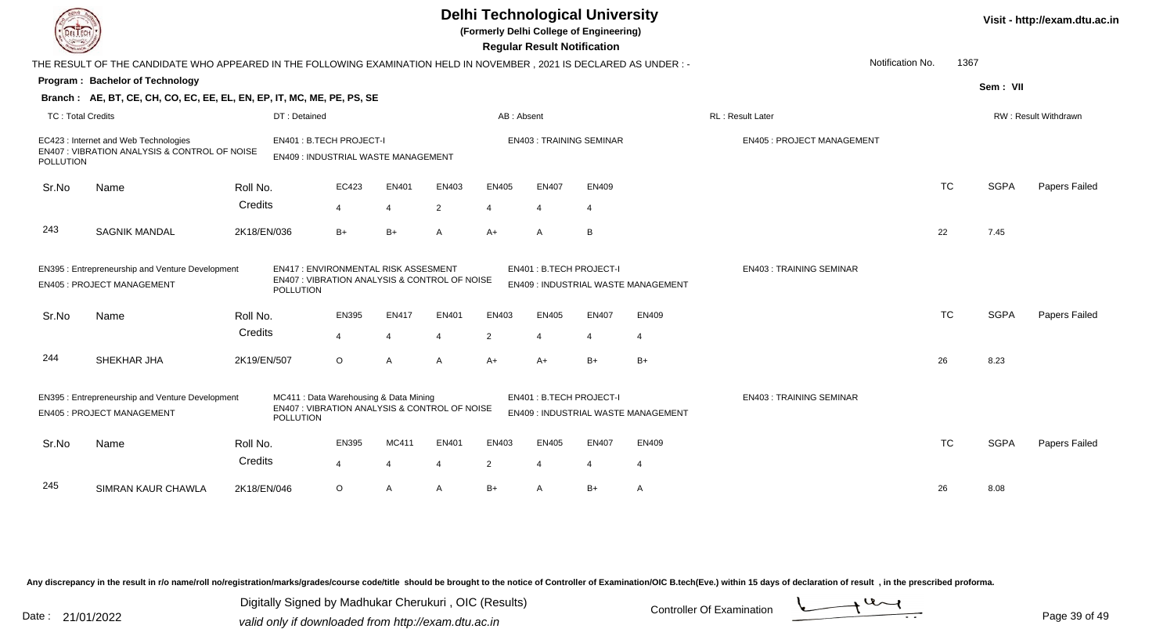|                          | <b>Delhi Technological University</b><br>(Formerly Delhi College of Engineering)<br>del I ech<br><b>Regular Result Notification</b>                                                       |                             |                                                                                        |                |                |                |                          |                                |                                     |                                  |                  |           |             | Visit - http://exam.dtu.ac.in |  |  |
|--------------------------|-------------------------------------------------------------------------------------------------------------------------------------------------------------------------------------------|-----------------------------|----------------------------------------------------------------------------------------|----------------|----------------|----------------|--------------------------|--------------------------------|-------------------------------------|----------------------------------|------------------|-----------|-------------|-------------------------------|--|--|
|                          | THE RESULT OF THE CANDIDATE WHO APPEARED IN THE FOLLOWING EXAMINATION HELD IN NOVEMBER, 2021 IS DECLARED AS UNDER:-                                                                       |                             |                                                                                        |                |                |                |                          |                                |                                     |                                  | Notification No. | 1367      |             |                               |  |  |
|                          | Program: Bachelor of Technology                                                                                                                                                           |                             |                                                                                        |                |                |                |                          |                                |                                     |                                  |                  |           | Sem: VII    |                               |  |  |
|                          | Branch: AE, BT, CE, CH, CO, EC, EE, EL, EN, EP, IT, MC, ME, PE, PS, SE                                                                                                                    |                             |                                                                                        |                |                |                |                          |                                |                                     |                                  |                  |           |             |                               |  |  |
| <b>TC: Total Credits</b> |                                                                                                                                                                                           | DT: Detained                |                                                                                        |                |                | AB: Absent     |                          |                                |                                     | RL: Result Later                 |                  |           |             | RW: Result Withdrawn          |  |  |
| POLLUTION                | EC423 : Internet and Web Technologies<br>EN407 : VIBRATION ANALYSIS & CONTROL OF NOISE                                                                                                    |                             | EN401: B.TECH PROJECT-I<br>EN409 : INDUSTRIAL WASTE MANAGEMENT                         |                |                |                |                          | <b>EN403: TRAINING SEMINAR</b> |                                     | <b>EN405: PROJECT MANAGEMENT</b> |                  |           |             |                               |  |  |
| Sr.No                    | Name                                                                                                                                                                                      | Roll No.                    | EC423                                                                                  | EN401          | EN403          | <b>EN405</b>   | EN407                    | <b>EN409</b>                   |                                     |                                  |                  | <b>TC</b> | <b>SGPA</b> | Papers Failed                 |  |  |
|                          |                                                                                                                                                                                           | Credits                     | 4                                                                                      | 4              | 2              | $\overline{4}$ | $\overline{\mathcal{A}}$ | $\overline{4}$                 |                                     |                                  |                  |           |             |                               |  |  |
| 243                      | <b>SAGNIK MANDAL</b>                                                                                                                                                                      | 2K18/EN/036                 | $B+$                                                                                   | $B+$           | A              | $A+$           | A                        | В                              |                                     |                                  |                  | 22        | 7.45        |                               |  |  |
|                          | EN395 : Entrepreneurship and Venture Development<br>EN417: ENVIRONMENTAL RISK ASSESMENT<br>EN407 : VIBRATION ANALYSIS & CONTROL OF NOISE<br><b>EN405: PROJECT MANAGEMENT</b><br>POLLUTION |                             |                                                                                        |                |                |                | EN401: B.TECH PROJECT-I  |                                | EN409 : INDUSTRIAL WASTE MANAGEMENT | <b>EN403: TRAINING SEMINAR</b>   |                  |           |             |                               |  |  |
| Sr.No                    | Name                                                                                                                                                                                      | Roll No.                    | EN395                                                                                  | <b>EN417</b>   | EN401          | EN403          | <b>EN405</b>             | <b>EN407</b>                   | <b>EN409</b>                        |                                  |                  | <b>TC</b> | <b>SGPA</b> | Papers Failed                 |  |  |
|                          |                                                                                                                                                                                           | Credits                     | 4                                                                                      | $\overline{4}$ | $\overline{4}$ | $\overline{2}$ | $\overline{4}$           | $\overline{4}$                 | $\overline{4}$                      |                                  |                  |           |             |                               |  |  |
| 244                      | SHEKHAR JHA                                                                                                                                                                               | 2K19/EN/507                 | O                                                                                      | A              | A              | $A+$           | A+                       | $B+$                           | $B+$                                |                                  |                  | 26        | 8.23        |                               |  |  |
|                          | EN395 : Entrepreneurship and Venture Development<br><b>EN405 : PROJECT MANAGEMENT</b>                                                                                                     | POLLUTION                   | MC411: Data Warehousing & Data Mining<br>EN407 : VIBRATION ANALYSIS & CONTROL OF NOISE |                |                |                | EN401: B.TECH PROJECT-I  |                                | EN409 : INDUSTRIAL WASTE MANAGEMENT | <b>EN403: TRAINING SEMINAR</b>   |                  |           |             |                               |  |  |
| Sr.No                    | Name                                                                                                                                                                                      | Roll No.                    | <b>EN395</b>                                                                           | MC411          | EN401          | EN403          | <b>EN405</b>             | <b>EN407</b>                   | EN409                               |                                  |                  | <b>TC</b> | <b>SGPA</b> | Papers Failed                 |  |  |
|                          |                                                                                                                                                                                           | Credits                     | $\Delta$                                                                               | 4              |                | $\overline{2}$ | 4                        | $\overline{4}$                 | $\overline{4}$                      |                                  |                  |           |             |                               |  |  |
| 245                      | SIMRAN KAUR CHAWLA                                                                                                                                                                        | 2K18/EN/046<br>$\circ$<br>A |                                                                                        |                | $\mathsf{A}$   | $B+$           | A                        | $B+$                           | $\overline{A}$                      |                                  |                  | 26        | 8.08        |                               |  |  |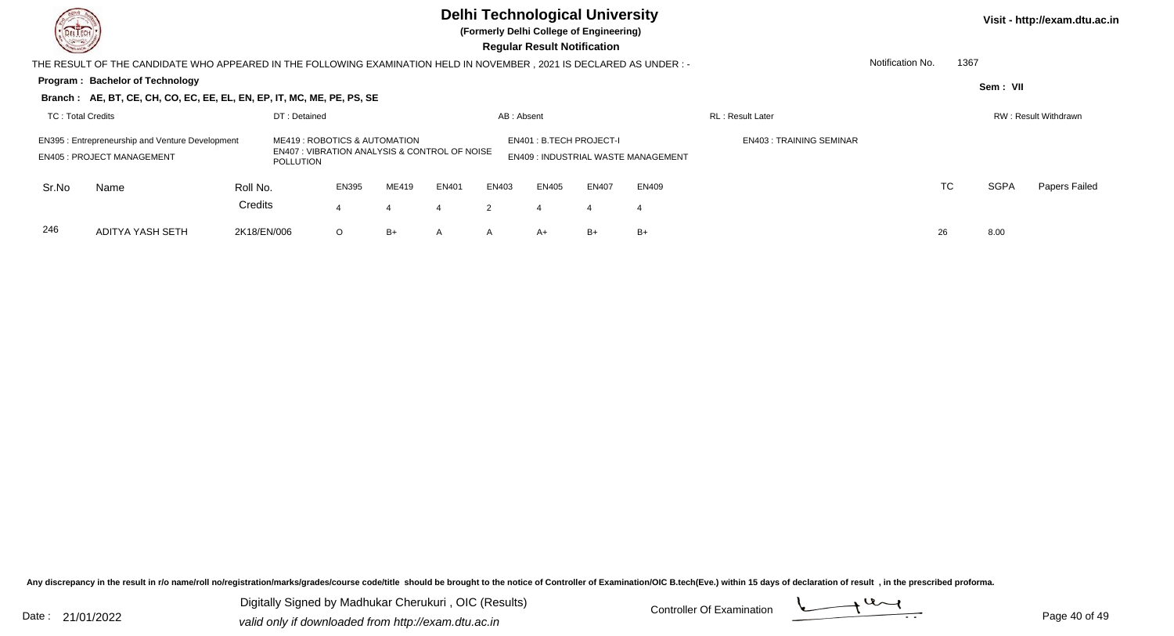**(Formerly Delhi College of Engineering)**

**Visit - http://exam.dtu.ac.in**

 **Regular Result Notification**

|                                                                                                                                                                                                                                                                                                               | THE RESULT OF THE CANDIDATE WHO APPEARED IN THE FOLLOWING EXAMINATION HELD IN NOVEMBER, 2021 IS DECLARED AS UNDER:- |                     | Notification No.<br>1367 |       |       |       |       |              |              |  |    |    |             |                      |
|---------------------------------------------------------------------------------------------------------------------------------------------------------------------------------------------------------------------------------------------------------------------------------------------------------------|---------------------------------------------------------------------------------------------------------------------|---------------------|--------------------------|-------|-------|-------|-------|--------------|--------------|--|----|----|-------------|----------------------|
|                                                                                                                                                                                                                                                                                                               | Program: Bachelor of Technology                                                                                     |                     |                          |       |       |       |       |              |              |  |    |    | Sem: VII    |                      |
|                                                                                                                                                                                                                                                                                                               | Branch: AE, BT, CE, CH, CO, EC, EE, EL, EN, EP, IT, MC, ME, PE, PS, SE                                              |                     |                          |       |       |       |       |              |              |  |    |    |             |                      |
|                                                                                                                                                                                                                                                                                                               | TC: Total Credits<br>DT: Detained<br><b>RL</b> : Result Later<br>AB: Absent                                         |                     |                          |       |       |       |       |              |              |  |    |    |             | RW: Result Withdrawn |
| EN401 : B.TECH PROJECT-I<br><b>EN403: TRAINING SEMINAR</b><br>ME419: ROBOTICS & AUTOMATION<br><b>EN395: Entrepreneurship and Venture Development</b><br><b>EN407: VIBRATION ANALYSIS &amp; CONTROL OF NOISE</b><br><b>EN409: INDUSTRIAL WASTE MANAGEMENT</b><br><b>EN405: PROJECT MANAGEMENT</b><br>POLLUTION |                                                                                                                     |                     |                          |       |       |       |       |              |              |  |    |    |             |                      |
| Sr.No                                                                                                                                                                                                                                                                                                         | Name                                                                                                                | Roll No.<br>Credits | <b>EN395</b>             | ME419 | EN401 | EN403 | EN405 | <b>EN407</b> | <b>EN409</b> |  |    | TC | <b>SGPA</b> | Papers Failed        |
|                                                                                                                                                                                                                                                                                                               |                                                                                                                     |                     |                          |       |       |       |       |              | -4           |  |    |    |             |                      |
| 246                                                                                                                                                                                                                                                                                                           | ADITYA YASH SETH                                                                                                    | 2K18/EN/006         | $\circ$                  | $B+$  | A     | А     | $A+$  | $B+$         | $B+$         |  | 26 |    | 8.00        |                      |

Any discrepancy in the result in r/o name/roll no/registration/marks/grades/course code/title should be brought to the notice of Controller of Examination/OIC B.tech(Eve.) within 15 days of declaration of result, in the pr

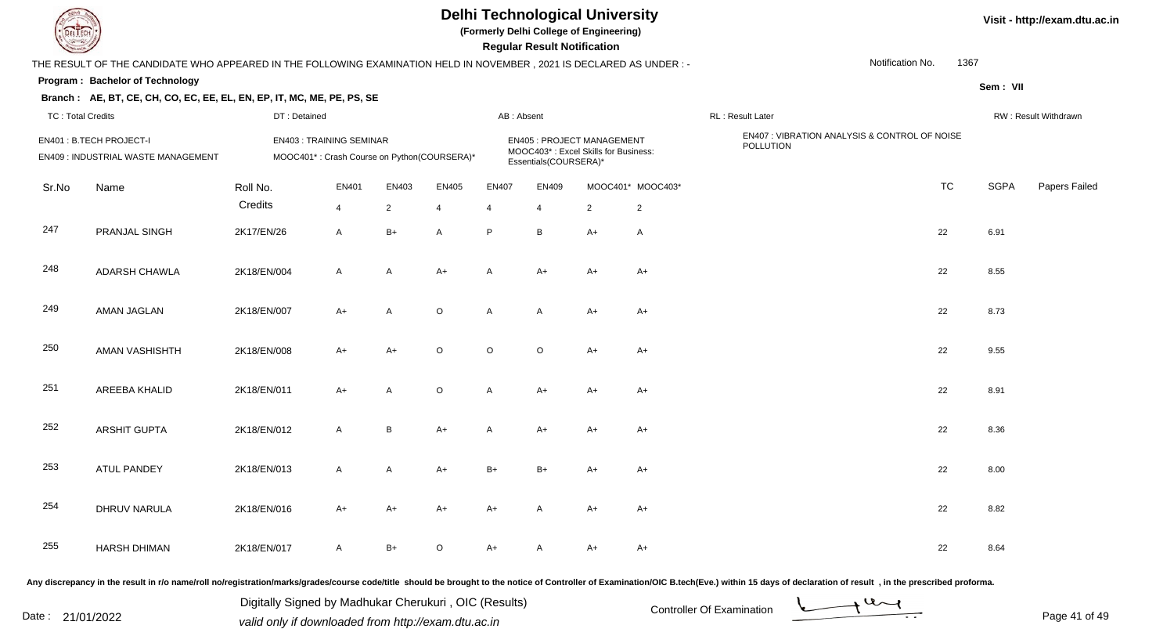

**(Formerly Delhi College of Engineering)**

 **Regular Result Notification**

#### **Program : Bachelor of TechnologySem : VII Branch : AE, BT, CE, CH, CO, EC, EE, EL, EN, EP, IT, MC, ME, PE, PS, SE**THE RESULT OF THE CANDIDATE WHO APPEARED IN THE FOLLOWING EXAMINATION HELD IN NOVEMBER , 2021 IS DECLARED AS UNDER : -TC : Total Credits DT : Detainedd AB : Absent RL : Result Later RW : Result Withdrawn Notification No. 1367Sr.NoName Roll No. **Credits** EN401 : B.TECH PROJECT-I EN403 : TRAINING SEMINAREN405 : PROJECT MANAGEMENT EN407 : VIBRATION ANALYSIS & CONTROL OF NOISE<br>MOOC403\* : Excel Skills for Business: FOLLUTION EN409 : INDUSTRIAL WASTE MANAGEMENTMOOC401\* : Crash Course on Python(COURSERA)\* MOOC403 : Excel Skills for Business: Essentials(COURSERA)\* EN401 EN403 EN405 EN407 EN409 MOOC401\* MOOC403\* TCTC SGPA Papers Failed 44 2 4 4 4 2 2 247 PRANJAL SINGH 2K17/EN/26 <sup>A</sup> B+ <sup>A</sup> <sup>P</sup> <sup>B</sup> A+ <sup>A</sup> <sup>22</sup> 6.91 248 ADARSH CHAWLAA 2K18/EN/004 A A A+ A A+ A+ A+ A+ A+ C+ A+ 22 8.55 249 AMAN JAGLANN 2K18/EN/007 A+ A O A A A+ A+ C A+ 22 8.73 250 AMAN VASHISHTH 2K18/EN/008 A+ A+ <sup>O</sup> <sup>O</sup> <sup>O</sup> A+ A+ <sup>22</sup> 9.55 251 AREEBA KHALID2K18/EN/011 A+ <sup>A</sup> <sup>O</sup> <sup>A</sup> A+ A+ A+ <sup>22</sup> 8.91

| 252 | ARSHIT GUPTA | 2K18/EN/012 | A  | B    | $A+$    | A    | $A+$         | $A+$ | $A+$ | 22 | 8.36 |
|-----|--------------|-------------|----|------|---------|------|--------------|------|------|----|------|
| 253 | ATUL PANDEY  | 2K18/EN/013 | A  | A    | A+      | $B+$ | $B+$         | $A+$ | $A+$ | 22 | 8.00 |
| 254 | DHRUV NARULA | 2K18/EN/016 | A+ | A+   | $A+$    | A+   | $\mathsf{A}$ | $A+$ | $A+$ | 22 | 8.82 |
| 255 | HARSH DHIMAN | 2K18/EN/017 | A  | $B+$ | $\circ$ | A+   | A            | $A+$ | $A+$ | 22 | 8.64 |

Any discrepancy in the result in r/o name/roll no/registration/marks/grades/course code/title should be brought to the notice of Controller of Examination/OIC B.tech(Eve.) within 15 days of declaration of result , in the p

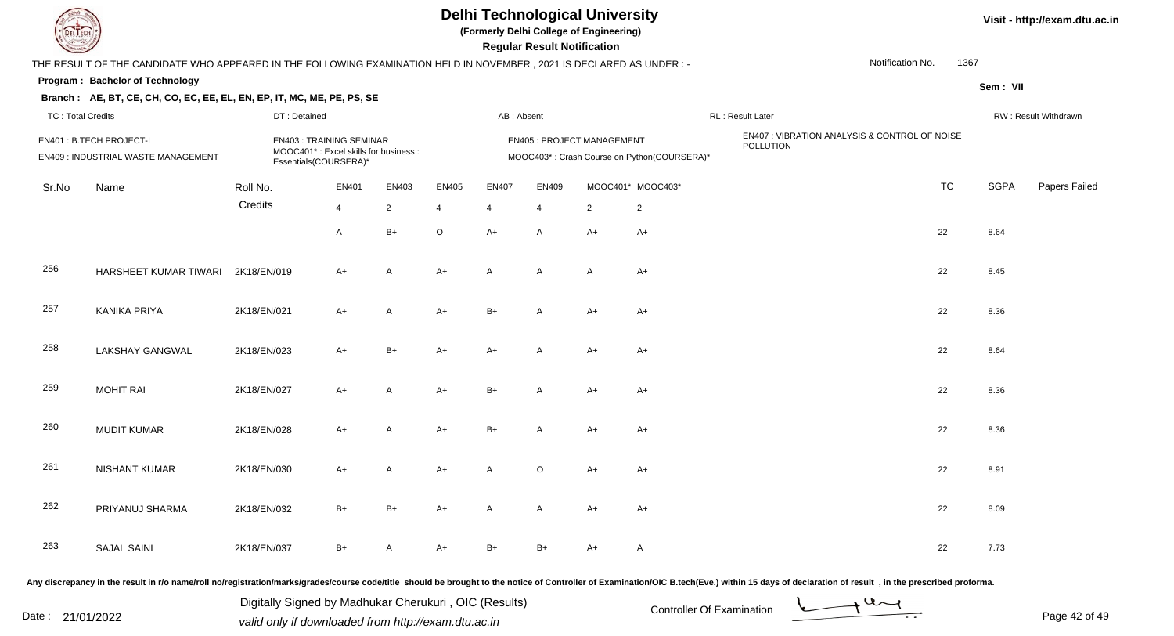**(Formerly Delhi College of Engineering)**

 **Regular Result Notification**

| $\sim$                 |                                                                                                                                |                       |                                       |                                                                                                                                                  |                |                |                |                                                       |                                                                                                                                                                               |                                                                 |                                                                   |                      |
|------------------------|--------------------------------------------------------------------------------------------------------------------------------|-----------------------|---------------------------------------|--------------------------------------------------------------------------------------------------------------------------------------------------|----------------|----------------|----------------|-------------------------------------------------------|-------------------------------------------------------------------------------------------------------------------------------------------------------------------------------|-----------------------------------------------------------------|-------------------------------------------------------------------|----------------------|
|                        |                                                                                                                                |                       |                                       |                                                                                                                                                  |                |                |                |                                                       |                                                                                                                                                                               |                                                                 |                                                                   |                      |
|                        |                                                                                                                                |                       |                                       |                                                                                                                                                  |                |                |                |                                                       |                                                                                                                                                                               |                                                                 | Sem: VII                                                          |                      |
|                        |                                                                                                                                |                       |                                       |                                                                                                                                                  |                |                |                |                                                       |                                                                                                                                                                               |                                                                 |                                                                   |                      |
|                        |                                                                                                                                |                       |                                       |                                                                                                                                                  |                |                |                |                                                       |                                                                                                                                                                               |                                                                 |                                                                   | RW: Result Withdrawn |
|                        |                                                                                                                                |                       |                                       |                                                                                                                                                  |                |                |                |                                                       | POLLUTION                                                                                                                                                                     |                                                                 |                                                                   |                      |
| Name                   | Roll No.                                                                                                                       | EN401                 | EN403                                 | <b>EN405</b>                                                                                                                                     | <b>EN407</b>   | EN409          |                |                                                       |                                                                                                                                                                               | <b>TC</b>                                                       | <b>SGPA</b>                                                       | Papers Failec        |
|                        | Credits                                                                                                                        | $\overline{4}$        | $\overline{2}$                        | $\overline{4}$                                                                                                                                   | $\overline{4}$ | $\overline{4}$ | $\overline{2}$ | $\overline{2}$                                        |                                                                                                                                                                               |                                                                 |                                                                   |                      |
|                        |                                                                                                                                | A                     | $B+$                                  | $\circ$                                                                                                                                          | $A+$           | $\mathsf{A}$   | $A+$           | $A+$                                                  |                                                                                                                                                                               | 22                                                              | 8.64                                                              |                      |
|                        | 2K18/EN/019                                                                                                                    | $A+$                  | A                                     | $A+$                                                                                                                                             | A              | $\mathsf{A}$   | A              | $A+$                                                  |                                                                                                                                                                               | 22                                                              | 8.45                                                              |                      |
| <b>KANIKA PRIYA</b>    | 2K18/EN/021                                                                                                                    | $A+$                  | A                                     | $A+$                                                                                                                                             | $B+$           | $\mathsf{A}$   | $A+$           | $A+$                                                  |                                                                                                                                                                               | 22                                                              | 8.36                                                              |                      |
| <b>LAKSHAY GANGWAL</b> | 2K18/EN/023                                                                                                                    | $A+$                  | $B+$                                  | $A+$                                                                                                                                             | $A+$           | $\overline{A}$ | $A+$           | $A+$                                                  |                                                                                                                                                                               | 22                                                              | 8.64                                                              |                      |
| <b>MOHIT RAI</b>       | 2K18/EN/027                                                                                                                    | A+                    | A                                     | $A+$                                                                                                                                             | $B+$           | $\mathsf{A}$   | $A+$           | A+                                                    |                                                                                                                                                                               | 22                                                              | 8.36                                                              |                      |
| <b>MUDIT KUMAR</b>     | 2K18/EN/028                                                                                                                    | $A+$                  | A                                     | $A+$                                                                                                                                             | $B+$           | Α              | $A+$           | $A+$                                                  |                                                                                                                                                                               | 22                                                              | 8.36                                                              |                      |
| <b>NISHANT KUMAR</b>   | 2K18/EN/030                                                                                                                    | $A+$                  | A                                     | $A+$                                                                                                                                             | A              | $\circ$        | $A+$           | $A+$                                                  |                                                                                                                                                                               | 22                                                              | 8.91                                                              |                      |
| PRIYANUJ SHARMA        | 2K18/EN/032                                                                                                                    | $B+$                  | $B+$                                  | A+                                                                                                                                               | A              | Α              | $A+$           | $A+$                                                  |                                                                                                                                                                               | 22                                                              | 8.09                                                              |                      |
| <b>SAJAL SAINI</b>     | 2K18/EN/037                                                                                                                    | $B+$                  | Α                                     | A+                                                                                                                                               | $B+$           | $B+$           | $A+$           | $\overline{A}$                                        |                                                                                                                                                                               | 22                                                              | 7.73                                                              |                      |
|                        | Program: Bachelor of Technology<br><b>TC: Total Credits</b><br>EN401 : B.TECH PROJECT-I<br>EN409 : INDUSTRIAL WASTE MANAGEMENT | HARSHEET KUMAR TIWARI | DT: Detained<br>Essentials(COURSERA)* | Branch: AE, BT, CE, CH, CO, EC, EE, EL, EN, EP, IT, MC, ME, PE, PS, SE<br><b>EN403: TRAINING SEMINAR</b><br>MOOC401*: Excel skills for business: |                |                | AB: Absent     | n <del>c</del> yular n <del>c</del> sult notification | THE RESULT OF THE CANDIDATE WHO APPEARED IN THE FOLLOWING EXAMINATION HELD IN NOVEMBER, 2021 IS DECLARED AS UNDER:-<br><b>EN405 : PROJECT MANAGEMENT</b><br>MOOC401* MOOC403* | RL: Result Later<br>MOOC403*: Crash Course on Python(COURSERA)* | Notification No.<br>EN407 : VIBRATION ANALYSIS & CONTROL OF NOISE | 1367                 |

Any discrepancy in the result in r/o name/roll no/registration/marks/grades/course code/title should be brought to the notice of Controller of Examination/OIC B.tech(Eve.) within 15 days of declaration of result, in the pr

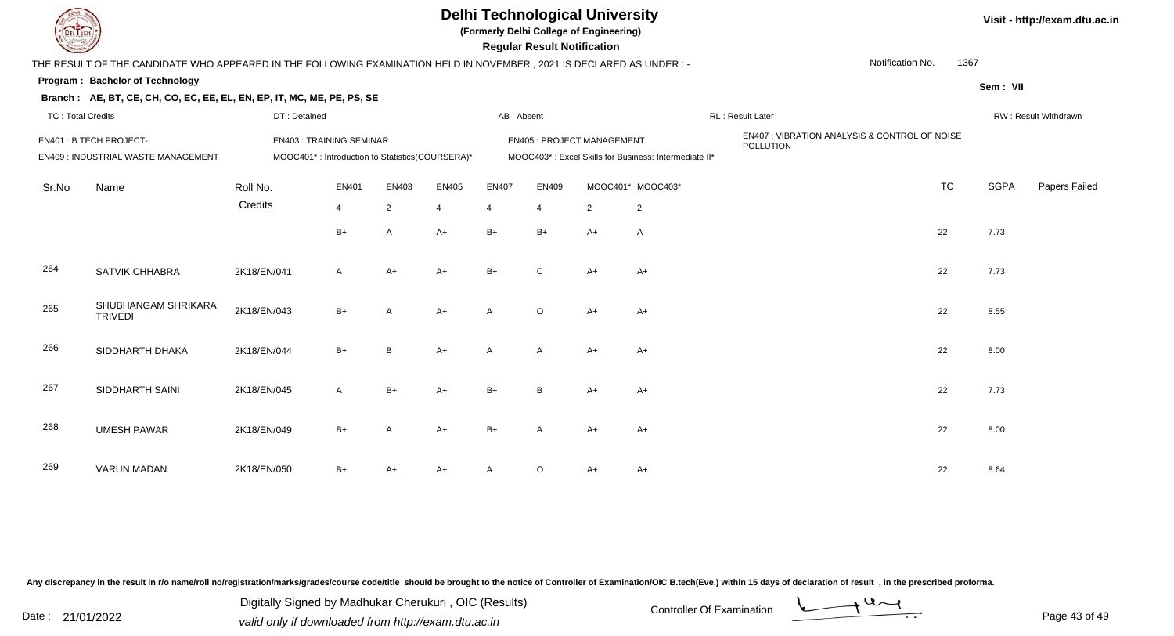**(Formerly Delhi College of Engineering)**

 **Regular Result Notification**

|                          | THE RESULT OF THE CANDIDATE WHO APPEARED IN THE FOLLOWING EXAMINATION HELD IN NOVEMBER, 2021 IS DECLARED AS UNDER:- |                                                                                   |                |                |                |                |                |                                   |                                                       |                                                            | Notification No.<br>1367 |             |                      |
|--------------------------|---------------------------------------------------------------------------------------------------------------------|-----------------------------------------------------------------------------------|----------------|----------------|----------------|----------------|----------------|-----------------------------------|-------------------------------------------------------|------------------------------------------------------------|--------------------------|-------------|----------------------|
|                          | Program: Bachelor of Technology                                                                                     |                                                                                   |                |                |                |                |                |                                   |                                                       |                                                            |                          | Sem: VII    |                      |
|                          | Branch: AE, BT, CE, CH, CO, EC, EE, EL, EN, EP, IT, MC, ME, PE, PS, SE                                              |                                                                                   |                |                |                |                |                |                                   |                                                       |                                                            |                          |             |                      |
| <b>TC: Total Credits</b> |                                                                                                                     | DT: Detained                                                                      |                |                |                | AB: Absent     |                |                                   |                                                       | RL : Result Later                                          |                          |             | RW: Result Withdrawn |
|                          | EN401 : B.TECH PROJECT-I<br>EN409 : INDUSTRIAL WASTE MANAGEMENT                                                     | <b>EN403: TRAINING SEMINAR</b><br>MOOC401*: Introduction to Statistics(COURSERA)* |                |                |                |                |                | <b>EN405 : PROJECT MANAGEMENT</b> | MOOC403*: Excel Skills for Business: Intermediate II* | EN407 : VIBRATION ANALYSIS & CONTROL OF NOISE<br>POLLUTION |                          |             |                      |
| Sr.No                    | Name                                                                                                                | Roll No.                                                                          | EN401          | EN403          | EN405          | <b>EN407</b>   | EN409          |                                   | MOOC401* MOOC403*                                     |                                                            | <b>TC</b>                | <b>SGPA</b> | Papers Failec        |
|                          |                                                                                                                     | Credits                                                                           | $\overline{4}$ | $\overline{2}$ | $\overline{4}$ | $\overline{4}$ | $\overline{4}$ | $\overline{2}$                    | $\overline{c}$                                        |                                                            |                          |             |                      |
|                          |                                                                                                                     |                                                                                   | $B+$           | A              | $A+$           | $B+$           | $B+$           | $A+$                              | $\overline{A}$                                        |                                                            | 22                       | 7.73        |                      |
| 264                      | SATVIK CHHABRA                                                                                                      | 2K18/EN/041                                                                       | A              | A+             | A+             | $B+$           | $\mathsf{C}$   | $A+$                              | $A+$                                                  |                                                            | 22                       | 7.73        |                      |
| 265                      | SHUBHANGAM SHRIKARA<br><b>TRIVEDI</b>                                                                               | 2K18/EN/043                                                                       | $B+$           | А              | $A+$           | A              | $\circ$        | $A+$                              | $A+$                                                  |                                                            | 22                       | 8.55        |                      |
| 266                      | SIDDHARTH DHAKA                                                                                                     | 2K18/EN/044                                                                       | $B+$           | B.             | $A+$           | A              | Α              | $A+$                              | $A+$                                                  |                                                            | 22                       | 8.00        |                      |
| 267                      | SIDDHARTH SAINI                                                                                                     | 2K18/EN/045                                                                       | A              | $B+$           | A+             | $B+$           | B              | $A+$                              | A+                                                    |                                                            | 22                       | 7.73        |                      |
| 268                      | <b>UMESH PAWAR</b>                                                                                                  | 2K18/EN/049                                                                       | $B+$           | А              | $A+$           | $B+$           | A              | $A+$                              | $A+$                                                  |                                                            | 22                       | 8.00        |                      |
| 269                      | <b>VARUN MADAN</b>                                                                                                  | 2K18/EN/050                                                                       | $B+$           |                | A+             |                | $\circ$        | A+                                | A+                                                    |                                                            | 22                       | 8.64        |                      |
|                          |                                                                                                                     |                                                                                   |                |                |                |                |                |                                   |                                                       |                                                            |                          |             |                      |

Any discrepancy in the result in r/o name/roll no/registration/marks/grades/course code/title should be brought to the notice of Controller of Examination/OIC B.tech(Eve.) within 15 days of declaration of result, in the pr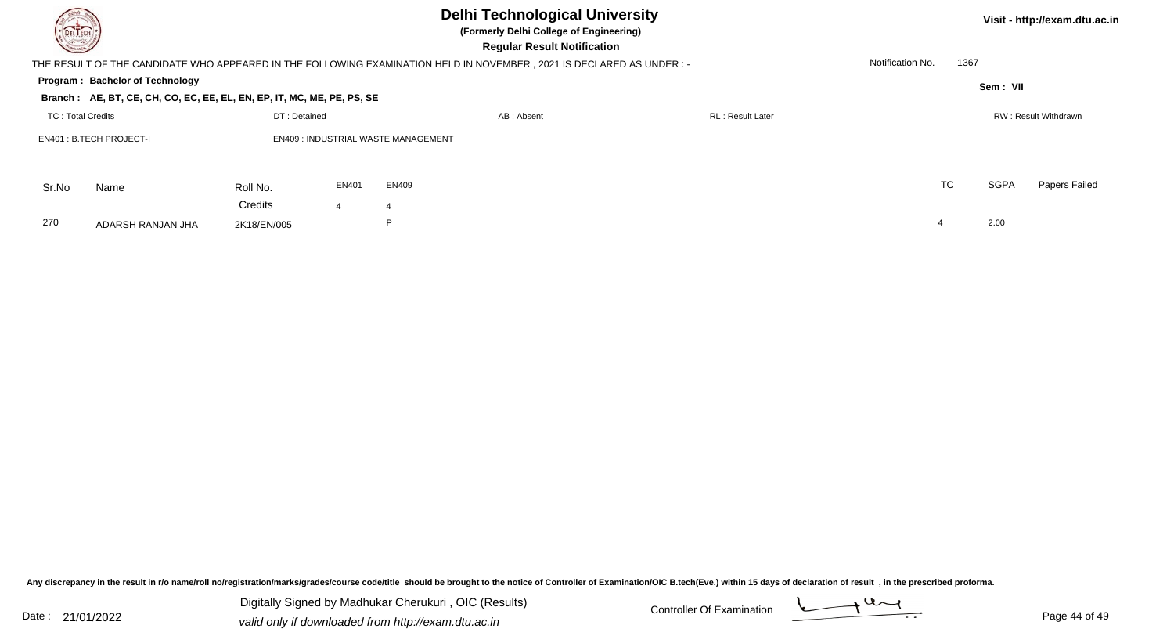| DELTECH                  |                                                                        |              |       | <b>Delhi Technological University</b><br>(Formerly Delhi College of Engineering)<br><b>Regular Result Notification</b> |                          |                          |             | Visit - http://exam.dtu.ac.in |
|--------------------------|------------------------------------------------------------------------|--------------|-------|------------------------------------------------------------------------------------------------------------------------|--------------------------|--------------------------|-------------|-------------------------------|
|                          |                                                                        |              |       | THE RESULT OF THE CANDIDATE WHO APPEARED IN THE FOLLOWING EXAMINATION HELD IN NOVEMBER , 2021 IS DECLARED AS UNDER :-  |                          | Notification No.<br>1367 |             |                               |
|                          | Program: Bachelor of Technology                                        |              |       |                                                                                                                        |                          |                          | Sem: VII    |                               |
|                          | Branch: AE, BT, CE, CH, CO, EC, EE, EL, EN, EP, IT, MC, ME, PE, PS, SE |              |       |                                                                                                                        |                          |                          |             |                               |
| <b>TC: Total Credits</b> |                                                                        | DT: Detained |       | AB: Absent                                                                                                             | <b>RL</b> : Result Later |                          |             | RW: Result Withdrawn          |
|                          | EN401: B.TECH PROJECT-I                                                |              |       | <b>EN409: INDUSTRIAL WASTE MANAGEMENT</b>                                                                              |                          |                          |             |                               |
| Sr.No                    | Name                                                                   | Roll No.     | EN401 | <b>EN409</b>                                                                                                           |                          | <b>TC</b>                | <b>SGPA</b> | Papers Failed                 |
|                          |                                                                        | Credits      |       | $\overline{\bf 4}$                                                                                                     |                          |                          |             |                               |
| 270                      | ADARSH RANJAN JHA                                                      | 2K18/EN/005  |       | P                                                                                                                      |                          |                          | 2.00        |                               |
|                          |                                                                        |              |       |                                                                                                                        |                          |                          |             |                               |

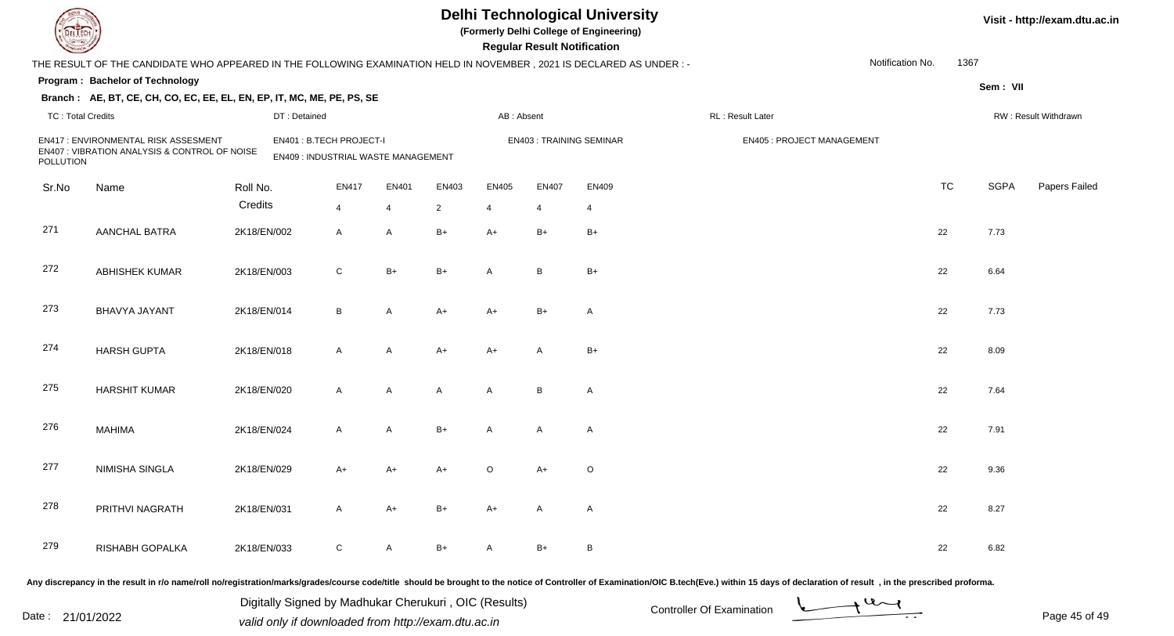| DEL TECI                 |                                                                                                                                                                                                                                |              |                                                                |       |                |            | <b>Regular Result Notification</b> | <b>Delhi Technological University</b><br>(Formerly Delhi College of Engineering) |                                  |                  |           |             | Visit - http://exam.dtu.ac.in |
|--------------------------|--------------------------------------------------------------------------------------------------------------------------------------------------------------------------------------------------------------------------------|--------------|----------------------------------------------------------------|-------|----------------|------------|------------------------------------|----------------------------------------------------------------------------------|----------------------------------|------------------|-----------|-------------|-------------------------------|
|                          | THE RESULT OF THE CANDIDATE WHO APPEARED IN THE FOLLOWING EXAMINATION HELD IN NOVEMBER, 2021 IS DECLARED AS UNDER:-                                                                                                            |              |                                                                |       |                |            |                                    |                                                                                  |                                  | Notification No. | 1367      |             |                               |
|                          | Program: Bachelor of Technology                                                                                                                                                                                                |              |                                                                |       |                |            |                                    |                                                                                  |                                  |                  |           | Sem: VII    |                               |
|                          | Branch: AE, BT, CE, CH, CO, EC, EE, EL, EN, EP, IT, MC, ME, PE, PS, SE                                                                                                                                                         |              |                                                                |       |                |            |                                    |                                                                                  |                                  |                  |           |             |                               |
| <b>TC: Total Credits</b> |                                                                                                                                                                                                                                | DT: Detained |                                                                |       |                | AB: Absent |                                    |                                                                                  | RL : Result Later                |                  |           |             | RW: Result Withdrawn          |
| POLLUTION                | EN417: ENVIRONMENTAL RISK ASSESMENT<br>EN407 : VIBRATION ANALYSIS & CONTROL OF NOISE                                                                                                                                           |              | EN401: B.TECH PROJECT-I<br>EN409 : INDUSTRIAL WASTE MANAGEMENT |       |                |            |                                    | <b>EN403: TRAINING SEMINAR</b>                                                   | <b>EN405: PROJECT MANAGEMENT</b> |                  |           |             |                               |
| Sr.No                    | Name                                                                                                                                                                                                                           | Roll No.     | EN417                                                          | EN401 | EN403          | EN405      | <b>EN407</b>                       | EN409                                                                            |                                  |                  | <b>TC</b> | <b>SGPA</b> | Papers Failed                 |
|                          |                                                                                                                                                                                                                                | Credits      | $\overline{4}$                                                 | 4     | $\overline{2}$ | 4          | 4                                  | 4                                                                                |                                  |                  |           |             |                               |
| 271                      | AANCHAL BATRA                                                                                                                                                                                                                  | 2K18/EN/002  | $\mathsf{A}$                                                   | A     | $B+$           | $A+$       | $B+$                               | $B+$                                                                             |                                  |                  | 22        | 7.73        |                               |
| 272                      | <b>ABHISHEK KUMAR</b>                                                                                                                                                                                                          | 2K18/EN/003  | $\mathsf{C}$                                                   | $B+$  | $B+$           | A          | B                                  | $B+$                                                                             |                                  |                  | 22        | 6.64        |                               |
| 273                      | <b>BHAVYA JAYANT</b>                                                                                                                                                                                                           | 2K18/EN/014  | B                                                              | A     | $A+$           | $A+$       | $B+$                               | $\mathsf{A}$                                                                     |                                  |                  | 22        | 7.73        |                               |
| 274                      | <b>HARSH GUPTA</b>                                                                                                                                                                                                             | 2K18/EN/018  | $\mathsf{A}$                                                   | A     | $A+$           | A+         | A                                  | $B+$                                                                             |                                  |                  | 22        | 8.09        |                               |
| 275                      | <b>HARSHIT KUMAR</b>                                                                                                                                                                                                           | 2K18/EN/020  | $\mathsf{A}$                                                   | A     | $\mathsf{A}$   | A          | B                                  | $\mathsf{A}$                                                                     |                                  |                  | 22        | 7.64        |                               |
| 276                      | <b>MAHIMA</b>                                                                                                                                                                                                                  | 2K18/EN/024  | $\mathsf{A}$                                                   | A     | $B+$           | A          | $\overline{A}$                     | $\mathsf{A}$                                                                     |                                  |                  | 22        | 7.91        |                               |
| 277                      | <b>NIMISHA SINGLA</b>                                                                                                                                                                                                          | 2K18/EN/029  | A+                                                             | A+    | A+             | O          | $A+$                               | $\circ$                                                                          |                                  |                  | 22        | 9.36        |                               |
| 278                      | PRITHVI NAGRATH                                                                                                                                                                                                                | 2K18/EN/031  | A                                                              | $A+$  | $B+$           | A+         | A                                  | A                                                                                |                                  |                  | 22        | 8.27        |                               |
| 279                      | RISHABH GOPALKA                                                                                                                                                                                                                | 2K18/EN/033  | ${\rm C}$                                                      | A     | B+             | A          | B+                                 | B                                                                                |                                  |                  | 22        | 6.82        |                               |
|                          | Any discrepancy in the result in r/o name/roll no/registration/marks/grades/course code/title should be brought to the notice of Controller of Examination/OIC B.tech(Eve.) within 15 days of declaration of result , in the p |              |                                                                |       |                |            |                                    |                                                                                  |                                  |                  |           |             |                               |

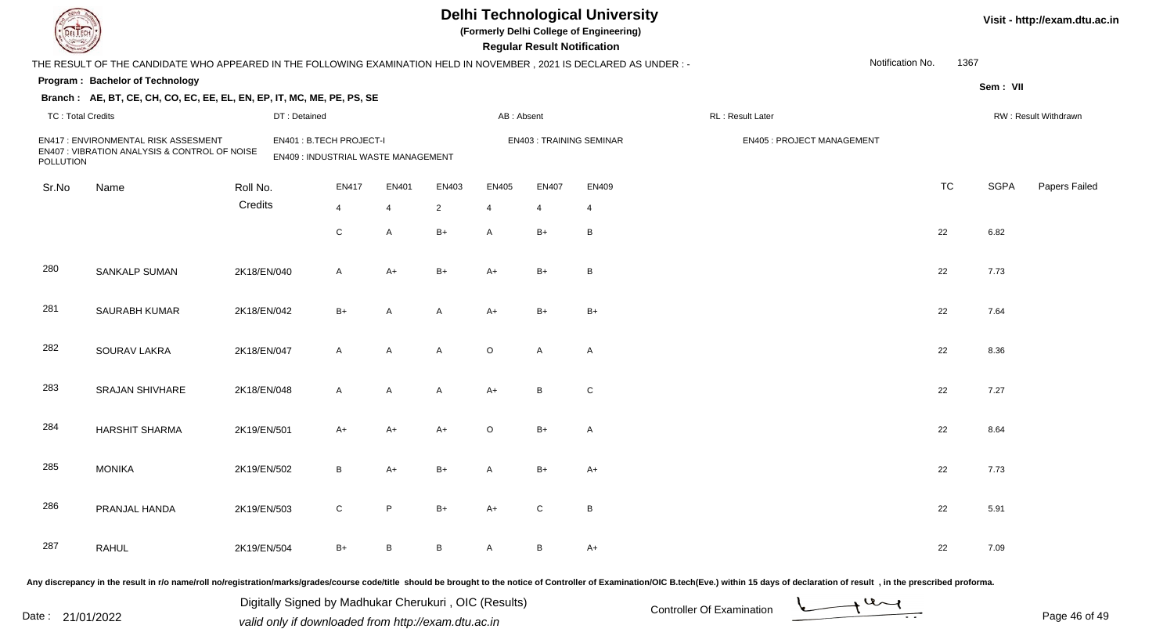| DEL TECH                 |                                                                                                                                                                                                                                |             |                                                                |                |              |                |              | <b>Regular Result Notification</b> | <b>Delhi Technological University</b><br>(Formerly Delhi College of Engineering) |                           |                            |                  |           |             | Visit - http://exam.dtu.ac.in |
|--------------------------|--------------------------------------------------------------------------------------------------------------------------------------------------------------------------------------------------------------------------------|-------------|----------------------------------------------------------------|----------------|--------------|----------------|--------------|------------------------------------|----------------------------------------------------------------------------------|---------------------------|----------------------------|------------------|-----------|-------------|-------------------------------|
|                          | THE RESULT OF THE CANDIDATE WHO APPEARED IN THE FOLLOWING EXAMINATION HELD IN NOVEMBER, 2021 IS DECLARED AS UNDER: -                                                                                                           |             |                                                                |                |              |                |              |                                    |                                                                                  |                           |                            | Notification No. | 1367      |             |                               |
|                          | Program: Bachelor of Technology                                                                                                                                                                                                |             |                                                                |                |              |                |              |                                    |                                                                                  |                           |                            |                  |           | Sem: VII    |                               |
|                          | Branch: AE, BT, CE, CH, CO, EC, EE, EL, EN, EP, IT, MC, ME, PE, PS, SE                                                                                                                                                         |             |                                                                |                |              |                |              |                                    |                                                                                  |                           |                            |                  |           |             |                               |
| <b>TC: Total Credits</b> |                                                                                                                                                                                                                                |             | DT: Detained                                                   |                |              |                | AB: Absent   |                                    |                                                                                  | RL: Result Later          |                            |                  |           |             | RW: Result Withdrawn          |
| POLLUTION                | EN417: ENVIRONMENTAL RISK ASSESMENT<br>EN407 : VIBRATION ANALYSIS & CONTROL OF NOISE                                                                                                                                           |             | EN401: B.TECH PROJECT-I<br>EN409 : INDUSTRIAL WASTE MANAGEMENT |                |              |                |              | <b>EN403: TRAINING SEMINAR</b>     |                                                                                  |                           | EN405 : PROJECT MANAGEMENT |                  |           |             |                               |
| Sr.No                    | Name                                                                                                                                                                                                                           | Roll No.    |                                                                | <b>EN417</b>   | <b>EN401</b> | EN403          | EN405        | <b>EN407</b>                       | EN409                                                                            |                           |                            |                  | <b>TC</b> | <b>SGPA</b> | Papers Failed                 |
|                          |                                                                                                                                                                                                                                | Credits     |                                                                | $\overline{4}$ | 4            | $\overline{2}$ | 4            | 4                                  | 4                                                                                |                           |                            |                  |           |             |                               |
|                          |                                                                                                                                                                                                                                |             |                                                                | ${\rm C}$      | A            | $B+$           | A            | $B+$                               | B                                                                                |                           |                            |                  | 22        | 6.82        |                               |
| 280                      | SANKALP SUMAN                                                                                                                                                                                                                  | 2K18/EN/040 |                                                                | $\mathsf{A}$   | $A+$         | $B+$           | A+           | $B+$                               | B                                                                                |                           |                            |                  | 22        | 7.73        |                               |
| 281                      | SAURABH KUMAR                                                                                                                                                                                                                  | 2K18/EN/042 |                                                                | $B+$           | $\mathsf{A}$ | A              | A+           | $B+$                               | $B+$                                                                             |                           |                            |                  | 22        | 7.64        |                               |
| 282                      | <b>SOURAV LAKRA</b>                                                                                                                                                                                                            | 2K18/EN/047 |                                                                | $\mathsf{A}$   | $\mathsf{A}$ | A              | $\circ$      | $\overline{A}$                     | A                                                                                |                           |                            |                  | 22        | 8.36        |                               |
| 283                      | <b>SRAJAN SHIVHARE</b>                                                                                                                                                                                                         | 2K18/EN/048 |                                                                | $\mathsf{A}$   | $\mathsf{A}$ | A              | $A+$         | B                                  | ${\rm C}$                                                                        |                           |                            |                  | 22        | 7.27        |                               |
| 284                      | <b>HARSHIT SHARMA</b>                                                                                                                                                                                                          | 2K19/EN/501 |                                                                | $A+$           | $A+$         | $A+$           | $\circ$      | $B+$                               | $\mathsf{A}$                                                                     |                           |                            |                  | 22        | 8.64        |                               |
| 285                      | <b>MONIKA</b>                                                                                                                                                                                                                  | 2K19/EN/502 |                                                                | B              | A+           | $B+$           | A            | B+                                 | A+                                                                               |                           |                            |                  | 22        | 7.73        |                               |
| 286                      | PRANJAL HANDA                                                                                                                                                                                                                  | 2K19/EN/503 |                                                                | $\mathsf{C}$   | P            | $B+$           | A+           | C                                  | B                                                                                |                           |                            |                  | 22        | 5.91        |                               |
| 287                      | RAHUL                                                                                                                                                                                                                          | 2K19/EN/504 |                                                                | $B+$           | B            | B              | $\mathsf{A}$ | B                                  | $A+$                                                                             |                           |                            |                  | 22        | 7.09        |                               |
|                          | Any discrepancy in the result in r/o name/roll no/registration/marks/grades/course code/title should be brought to the notice of Controller of Examination/OIC B.tech(Eve.) within 15 days of declaration of result, in the pr |             |                                                                |                |              |                |              |                                    |                                                                                  |                           |                            |                  |           |             |                               |
|                          |                                                                                                                                                                                                                                |             | Digitally Signed by Madhukar Cherukuri, OIC (Results)          |                |              |                |              |                                    |                                                                                  | Controller Of Examination |                            | $\rightarrow$ 42 |           |             |                               |

Date : 21/01/2022 Valid only if downloaded from http://exam.dtu.ac.in<br>
Date : 21/01/2022 valid only if downloaded from http://exam.dtu.ac.in

Page 46 of 49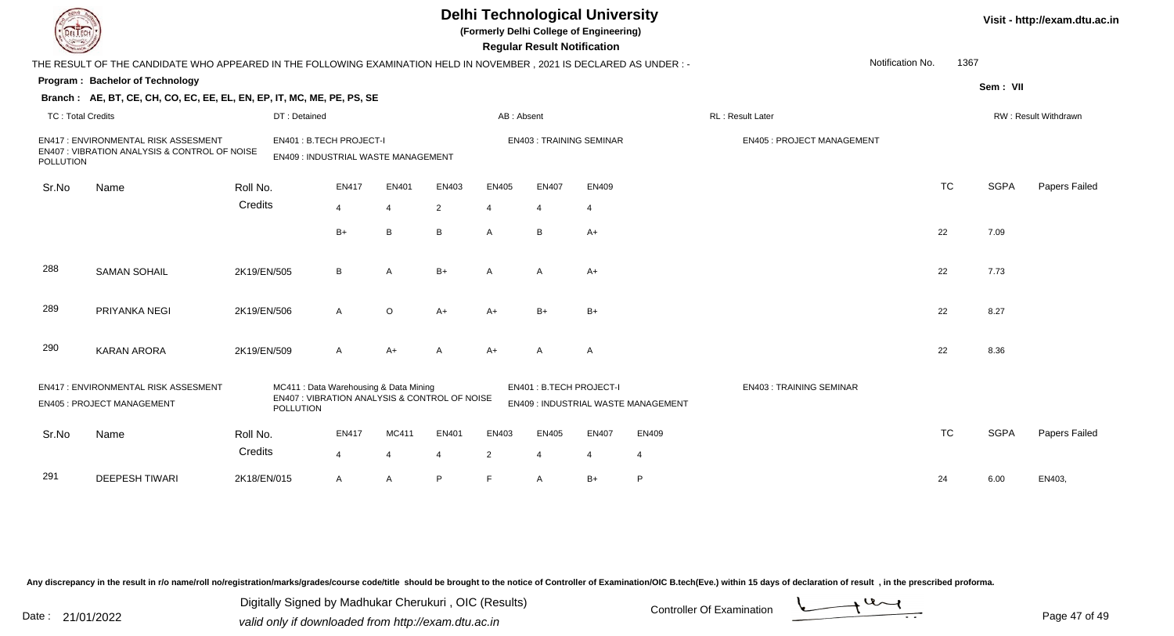|                          |                                                                                                                        |                                                                                                      |                                |                         |                         |                         | <b>Regular Result Notification</b> | <b>Delhi Technological University</b><br>(Formerly Delhi College of Engineering) |                                     |                                  |                  |           |             | Visit - http://exam.dtu.ac.in |
|--------------------------|------------------------------------------------------------------------------------------------------------------------|------------------------------------------------------------------------------------------------------|--------------------------------|-------------------------|-------------------------|-------------------------|------------------------------------|----------------------------------------------------------------------------------|-------------------------------------|----------------------------------|------------------|-----------|-------------|-------------------------------|
|                          | THE RESULT OF THE CANDIDATE WHO APPEARED IN THE FOLLOWING EXAMINATION HELD IN NOVEMBER , 2021 IS DECLARED AS UNDER : - |                                                                                                      |                                |                         |                         |                         |                                    |                                                                                  |                                     |                                  | Notification No. | 1367      |             |                               |
|                          | Program: Bachelor of Technology                                                                                        |                                                                                                      |                                |                         |                         |                         |                                    |                                                                                  |                                     |                                  |                  |           | Sem: VII    |                               |
|                          | Branch: AE, BT, CE, CH, CO, EC, EE, EL, EN, EP, IT, MC, ME, PE, PS, SE                                                 |                                                                                                      |                                |                         |                         |                         |                                    |                                                                                  |                                     |                                  |                  |           |             |                               |
| <b>TC: Total Credits</b> |                                                                                                                        | DT: Detained                                                                                         |                                |                         |                         | AB: Absent              |                                    |                                                                                  |                                     | RL: Result Later                 |                  |           |             | RW: Result Withdrawn          |
| <b>POLLUTION</b>         | <b>EN417: ENVIRONMENTAL RISK ASSESMENT</b><br>EN407 : VIBRATION ANALYSIS & CONTROL OF NOISE                            | EN401: B.TECH PROJECT-I<br>EN409 : INDUSTRIAL WASTE MANAGEMENT                                       |                                |                         |                         |                         |                                    | <b>EN403: TRAINING SEMINAR</b>                                                   |                                     | <b>EN405: PROJECT MANAGEMENT</b> |                  |           |             |                               |
| Sr.No                    | Name                                                                                                                   | Roll No.                                                                                             | <b>EN417</b>                   | EN401                   | EN403                   | <b>EN405</b>            | <b>EN407</b>                       | EN409                                                                            |                                     |                                  |                  | <b>TC</b> | <b>SGPA</b> | Papers Failed                 |
|                          |                                                                                                                        | Credits                                                                                              | $\overline{4}$                 | $\overline{4}$          | 2                       | $\overline{4}$          | $\overline{4}$                     | $\overline{4}$                                                                   |                                     |                                  |                  |           |             |                               |
|                          |                                                                                                                        |                                                                                                      | $B+$                           | B                       | B                       | $\mathsf{A}$            | B                                  | $A+$                                                                             |                                     |                                  |                  | 22        | 7.09        |                               |
| 288                      | <b>SAMAN SOHAIL</b>                                                                                                    | 2K19/EN/505                                                                                          | B                              | $\overline{A}$          | $B+$                    | $\mathsf{A}$            | $\mathsf{A}$                       | $A+$                                                                             |                                     |                                  |                  | 22        | 7.73        |                               |
| 289                      | PRIYANKA NEGI                                                                                                          | 2K19/EN/506                                                                                          | $\mathsf{A}$                   | $\circ$                 | $A+$                    | $A+$                    | $B+$                               | $B+$                                                                             |                                     |                                  |                  | 22        | 8.27        |                               |
| 290                      | <b>KARAN ARORA</b>                                                                                                     | 2K19/EN/509                                                                                          | A                              | $A+$                    | A                       | $A+$                    | A                                  | $\overline{A}$                                                                   |                                     |                                  |                  | 22        | 8.36        |                               |
|                          | EN417: ENVIRONMENTAL RISK ASSESMENT<br><b>EN405: PROJECT MANAGEMENT</b>                                                | MC411 : Data Warehousing & Data Mining<br>EN407 : VIBRATION ANALYSIS & CONTROL OF NOISE<br>POLLUTION |                                |                         |                         |                         | EN401: B.TECH PROJECT-I            |                                                                                  | EN409 : INDUSTRIAL WASTE MANAGEMENT | <b>EN403: TRAINING SEMINAR</b>   |                  |           |             |                               |
| Sr.No                    | Name                                                                                                                   | Roll No.<br>Credits                                                                                  | <b>EN417</b><br>$\overline{4}$ | MC411<br>$\overline{4}$ | EN401<br>$\overline{4}$ | EN403<br>$\overline{2}$ | <b>EN405</b><br>$\overline{4}$     | <b>EN407</b><br>$\overline{4}$                                                   | EN409<br>4                          |                                  |                  | <b>TC</b> | <b>SGPA</b> | Papers Failed                 |
| 291                      | <b>DEEPESH TIWARI</b>                                                                                                  | 2K18/EN/015                                                                                          | A                              | $\overline{A}$          | P                       | E                       | A                                  | $B+$                                                                             | P                                   |                                  |                  | 24        | 6.00        | EN403.                        |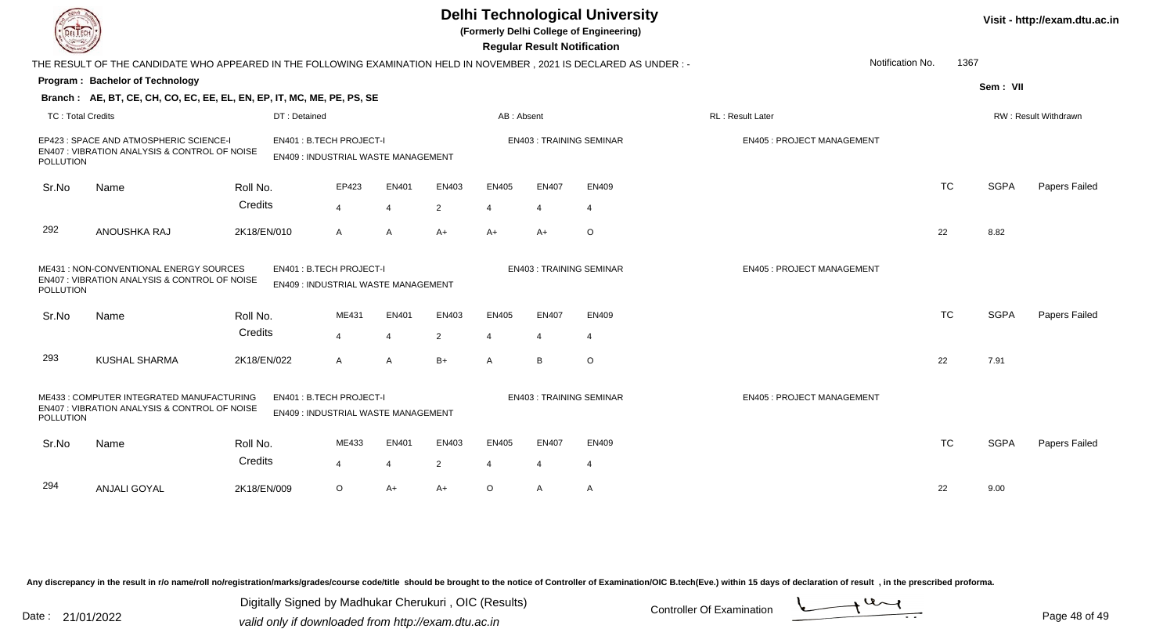| DEL ECH                                                                                                                                                                      |                                                                                                                     |              |                                                                |       |                |                | <b>Regular Result Notification</b> | <b>Delhi Technological University</b><br>(Formerly Delhi College of Engineering) |                                  |                  |           |             | Visit - http://exam.dtu.ac.in |
|------------------------------------------------------------------------------------------------------------------------------------------------------------------------------|---------------------------------------------------------------------------------------------------------------------|--------------|----------------------------------------------------------------|-------|----------------|----------------|------------------------------------|----------------------------------------------------------------------------------|----------------------------------|------------------|-----------|-------------|-------------------------------|
|                                                                                                                                                                              | THE RESULT OF THE CANDIDATE WHO APPEARED IN THE FOLLOWING EXAMINATION HELD IN NOVEMBER, 2021 IS DECLARED AS UNDER:- |              |                                                                |       |                |                |                                    |                                                                                  |                                  | Notification No. | 1367      |             |                               |
|                                                                                                                                                                              | <b>Program: Bachelor of Technology</b>                                                                              |              |                                                                |       |                |                |                                    |                                                                                  |                                  |                  |           | Sem: VII    |                               |
|                                                                                                                                                                              | Branch: AE, BT, CE, CH, CO, EC, EE, EL, EN, EP, IT, MC, ME, PE, PS, SE                                              |              |                                                                |       |                |                |                                    |                                                                                  |                                  |                  |           |             |                               |
| <b>TC: Total Credits</b>                                                                                                                                                     |                                                                                                                     | DT: Detained |                                                                |       |                | AB: Absent     |                                    |                                                                                  | RL: Result Later                 |                  |           |             | RW: Result Withdrawn          |
| <b>POLLUTION</b>                                                                                                                                                             | EP423 : SPACE AND ATMOSPHERIC SCIENCE-I<br>EN407 : VIBRATION ANALYSIS & CONTROL OF NOISE                            |              | EN401: B.TECH PROJECT-I<br>EN409 : INDUSTRIAL WASTE MANAGEMENT |       |                |                |                                    | <b>EN403: TRAINING SEMINAR</b>                                                   | <b>EN405: PROJECT MANAGEMENT</b> |                  |           |             |                               |
| Sr.No                                                                                                                                                                        | Name                                                                                                                | Roll No.     | EP423                                                          | EN401 | EN403          | <b>EN405</b>   | <b>EN407</b>                       | <b>EN409</b>                                                                     |                                  |                  | <b>TC</b> | <b>SGPA</b> | Papers Failed                 |
|                                                                                                                                                                              |                                                                                                                     | Credits      | 4                                                              | 4     | 2              | $\overline{4}$ | 4                                  | $\overline{4}$                                                                   |                                  |                  |           |             |                               |
| 292                                                                                                                                                                          | ANOUSHKA RAJ                                                                                                        | 2K18/EN/010  | A                                                              | Α     | $A+$           | $A+$           | $A+$                               | O                                                                                |                                  |                  | 22        | 8.82        |                               |
| ME431: NON-CONVENTIONAL ENERGY SOURCES<br>EN401: B.TECH PROJECT-I<br>EN407 : VIBRATION ANALYSIS & CONTROL OF NOISE<br>EN409: INDUSTRIAL WASTE MANAGEMENT<br><b>POLLUTION</b> |                                                                                                                     |              |                                                                |       |                |                | <b>EN403: TRAINING SEMINAR</b>     | <b>EN405: PROJECT MANAGEMENT</b>                                                 |                                  |                  |           |             |                               |
| Sr.No                                                                                                                                                                        | Name                                                                                                                | Roll No.     | ME431                                                          | EN401 | EN403          | <b>EN405</b>   | <b>EN407</b>                       | <b>EN409</b>                                                                     |                                  |                  | <b>TC</b> | <b>SGPA</b> | Papers Failed                 |
|                                                                                                                                                                              |                                                                                                                     | Credits      | 4                                                              | 4     | 2              | $\overline{4}$ | 4                                  | $\overline{4}$                                                                   |                                  |                  |           |             |                               |
| 293                                                                                                                                                                          | KUSHAL SHARMA                                                                                                       | 2K18/EN/022  | A                                                              | A     | $B+$           | $\mathsf{A}$   | B                                  | $\circ$                                                                          |                                  |                  | 22        | 7.91        |                               |
| POLLUTION                                                                                                                                                                    | ME433 : COMPUTER INTEGRATED MANUFACTURING<br>EN407 : VIBRATION ANALYSIS & CONTROL OF NOISE                          |              | EN401: B.TECH PROJECT-I<br>EN409: INDUSTRIAL WASTE MANAGEMENT  |       |                |                |                                    | <b>EN403: TRAINING SEMINAR</b>                                                   | <b>EN405: PROJECT MANAGEMENT</b> |                  |           |             |                               |
| Sr.No                                                                                                                                                                        | Name                                                                                                                | Roll No.     | ME433                                                          | EN401 | EN403          | <b>EN405</b>   | <b>EN407</b>                       | <b>EN409</b>                                                                     |                                  |                  | <b>TC</b> | <b>SGPA</b> | Papers Failed                 |
|                                                                                                                                                                              |                                                                                                                     | Credits      | 4                                                              | 4     | $\overline{2}$ | $\overline{4}$ | 4                                  | $\overline{4}$                                                                   |                                  |                  |           |             |                               |
| 294                                                                                                                                                                          | <b>ANJALI GOYAL</b>                                                                                                 | 2K18/EN/009  | $\circ$                                                        | A+    | $A+$           | $\circ$        | A                                  | A                                                                                |                                  |                  | 22        | 9.00        |                               |